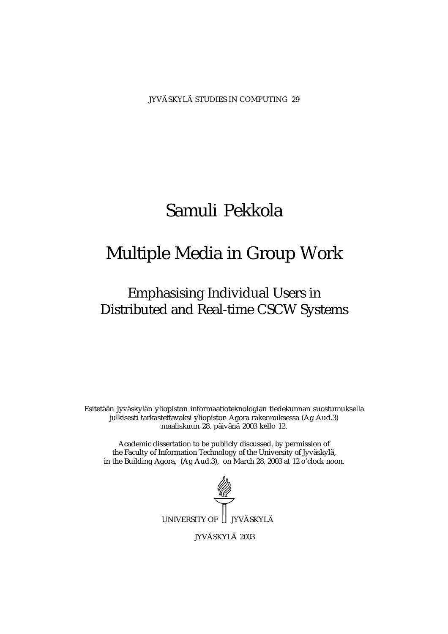JYVÄSKYLÄ STUDIES IN COMPUTING 29

# Samuli Pekkola

# Multiple Media in Group Work

# Emphasising Individual Users in Distributed and Real-time CSCW Systems

Esitetään Jyväskylän yliopiston informaatioteknologian tiedekunnan suostumuksella julkisesti tarkastettavaksi yliopiston Agora rakennuksessa (Ag Aud.3) maaliskuun 28. päivänä 2003 kello 12.

Academic dissertation to be publicly discussed, by permission of the Faculty of Information Technology of the University of Jyväskylä, in the Building Agora, (Ag Aud.3), on March 28, 2003 at 12 o'clock noon.



JYVÄSKYLÄ 2003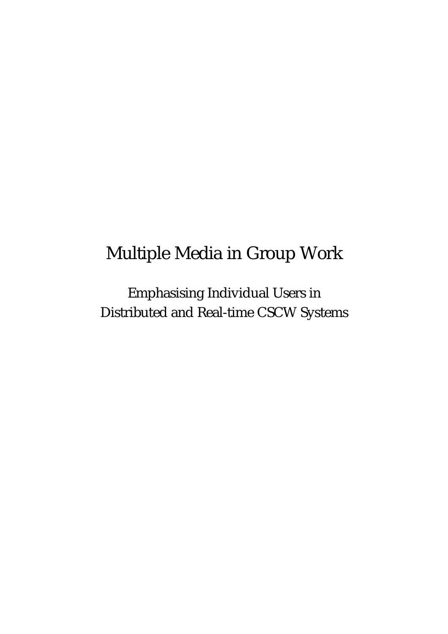# Multiple Media in Group Work

Emphasising Individual Users in Distributed and Real-time CSCW Systems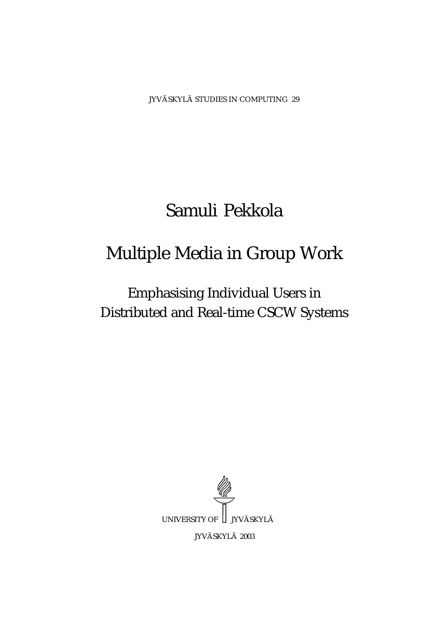JYVÄSKYLÄ STUDIES IN COMPUTING 29

# Samuli Pekkola

# Multiple Media in Group Work

Emphasising Individual Users in Distributed and Real-time CSCW Systems

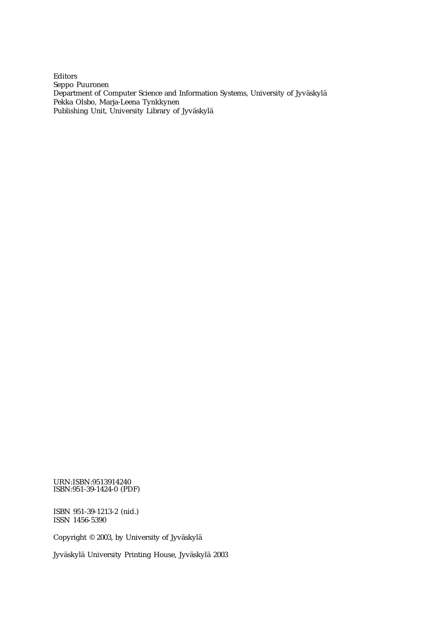Editors Seppo Puuronen Department of Computer Science and Information Systems, University of Jyväskylä Pekka Olsbo, Marja-Leena Tynkkynen Publishing Unit, University Library of Jyväskylä

URN:ISBN:9513914240 ISBN:951-39-1424-0 (PDF)

ISBN 951-39-1213-2 (nid.) ISSN 1456-5390

Copyright © 2003, by University of Jyväskylä

Jyväskylä University Printing House, Jyväskylä 2003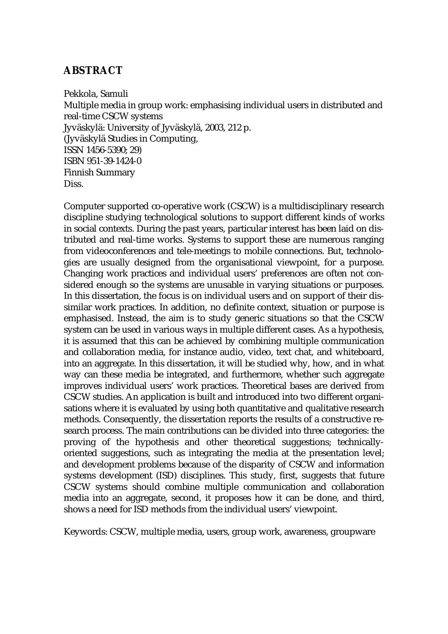## **ABSTRACT**

Pekkola, Samuli Multiple media in group work: emphasising individual users in distributed and real-time CSCW systems Jyväskylä: University of Jyväskylä, 2003, 212 p. (Jyväskylä Studies in Computing, ISSN 1456-5390; 29) ISBN 951-39-1424-0 Finnish Summary Diss.

Computer supported co-operative work (CSCW) is a multidisciplinary research discipline studying technological solutions to support different kinds of works in social contexts. During the past years, particular interest has been laid on distributed and real-time works. Systems to support these are numerous ranging from videoconferences and tele-meetings to mobile connections. But, technologies are usually designed from the organisational viewpoint, for a purpose. Changing work practices and individual users' preferences are often not considered enough so the systems are unusable in varying situations or purposes. In this dissertation, the focus is on individual users and on support of their dissimilar work practices. In addition, no definite context, situation or purpose is emphasised. Instead, the aim is to study generic situations so that the CSCW system can be used in various ways in multiple different cases. As a hypothesis, it is assumed that this can be achieved by combining multiple communication and collaboration media, for instance audio, video, text chat, and whiteboard, into an aggregate. In this dissertation, it will be studied why, how, and in what way can these media be integrated, and furthermore, whether such aggregate improves individual users' work practices. Theoretical bases are derived from CSCW studies. An application is built and introduced into two different organisations where it is evaluated by using both quantitative and qualitative research methods. Consequently, the dissertation reports the results of a constructive research process. The main contributions can be divided into three categories: the proving of the hypothesis and other theoretical suggestions; technicallyoriented suggestions, such as integrating the media at the presentation level; and development problems because of the disparity of CSCW and information systems development (ISD) disciplines. This study, first, suggests that future CSCW systems should combine multiple communication and collaboration media into an aggregate, second, it proposes how it can be done, and third, shows a need for ISD methods from the individual users' viewpoint.

Keywords: CSCW, multiple media, users, group work, awareness, groupware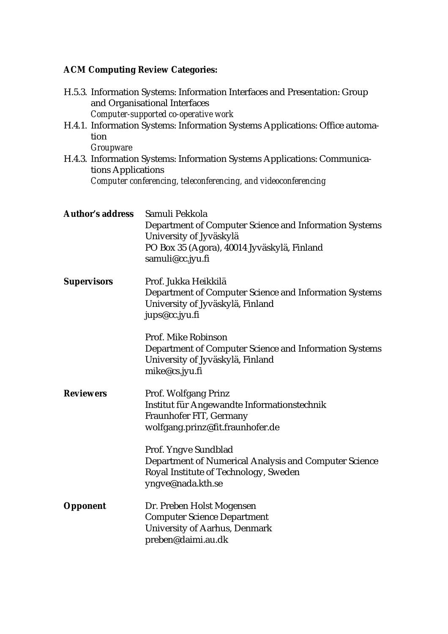# **ACM Computing Review Categories:**

| H.5.3. Information Systems: Information Interfaces and Presentation: Group<br>and Organisational Interfaces<br>Computer-supported co-operative work                                  |                                                                                                                                                                        |  |  |  |
|--------------------------------------------------------------------------------------------------------------------------------------------------------------------------------------|------------------------------------------------------------------------------------------------------------------------------------------------------------------------|--|--|--|
| tion                                                                                                                                                                                 | H.4.1. Information Systems: Information Systems Applications: Office automa-                                                                                           |  |  |  |
| <i>Groupware</i><br>H.4.3. Information Systems: Information Systems Applications: Communica-<br>tions Applications<br>Computer conferencing, teleconferencing, and videoconferencing |                                                                                                                                                                        |  |  |  |
| <b>Author's address</b>                                                                                                                                                              | Samuli Pekkola<br>Department of Computer Science and Information Systems<br>University of Jyväskylä<br>PO Box 35 (Agora), 40014 Jyväskylä, Finland<br>samuli@cc.jyu.fi |  |  |  |
| <b>Supervisors</b>                                                                                                                                                                   | Prof. Jukka Heikkilä<br>Department of Computer Science and Information Systems<br>University of Jyväskylä, Finland<br>jups@cc.jyu.fi                                   |  |  |  |
|                                                                                                                                                                                      | Prof. Mike Robinson<br>Department of Computer Science and Information Systems<br>University of Jyväskylä, Finland<br>mike@cs.jyu.fi                                    |  |  |  |
| <b>Reviewers</b>                                                                                                                                                                     | Prof. Wolfgang Prinz<br>Institut für Angewandte Informationstechnik<br>Fraunhofer FIT, Germany<br>wolfgang.prinz@fit.fraunhofer.de                                     |  |  |  |
|                                                                                                                                                                                      | Prof. Yngve Sundblad<br>Department of Numerical Analysis and Computer Science<br>Royal Institute of Technology, Sweden<br>yngve@nada.kth.se                            |  |  |  |
| <b>Opponent</b>                                                                                                                                                                      | Dr. Preben Holst Mogensen<br><b>Computer Science Department</b><br><b>University of Aarhus, Denmark</b><br>preben@daimi.au.dk                                          |  |  |  |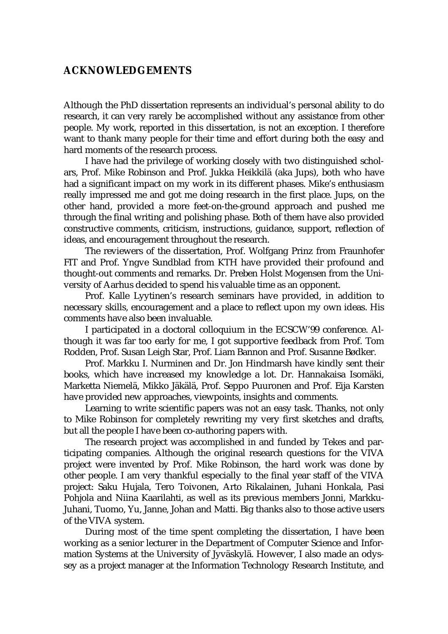## **ACKNOWLEDGEMENTS**

Although the PhD dissertation represents an individual's personal ability to do research, it can very rarely be accomplished without any assistance from other people. My work, reported in this dissertation, is not an exception. I therefore want to thank many people for their time and effort during both the easy and hard moments of the research process.

I have had the privilege of working closely with two distinguished scholars, Prof. Mike Robinson and Prof. Jukka Heikkilä (aka Jups), both who have had a significant impact on my work in its different phases. Mike's enthusiasm really impressed me and got me doing research in the first place. Jups, on the other hand, provided a more feet-on-the-ground approach and pushed me through the final writing and polishing phase. Both of them have also provided constructive comments, criticism, instructions, guidance, support, reflection of ideas, and encouragement throughout the research.

The reviewers of the dissertation, Prof. Wolfgang Prinz from Fraunhofer FIT and Prof. Yngve Sundblad from KTH have provided their profound and thought-out comments and remarks. Dr. Preben Holst Mogensen from the University of Aarhus decided to spend his valuable time as an opponent.

Prof. Kalle Lyytinen's research seminars have provided, in addition to necessary skills, encouragement and a place to reflect upon my own ideas. His comments have also been invaluable.

I participated in a doctoral colloquium in the ECSCW'99 conference. Although it was far too early for me, I got supportive feedback from Prof. Tom Rodden, Prof. Susan Leigh Star, Prof. Liam Bannon and Prof. Susanne Bødker.

Prof. Markku I. Nurminen and Dr. Jon Hindmarsh have kindly sent their books, which have increased my knowledge a lot. Dr. Hannakaisa Isomäki, Marketta Niemelä, Mikko Jäkälä, Prof. Seppo Puuronen and Prof. Eija Karsten have provided new approaches, viewpoints, insights and comments.

Learning to write scientific papers was not an easy task. Thanks, not only to Mike Robinson for completely rewriting my very first sketches and drafts, but all the people I have been co-authoring papers with.

The research project was accomplished in and funded by Tekes and participating companies. Although the original research questions for the VIVA project were invented by Prof. Mike Robinson, the hard work was done by other people. I am very thankful especially to the final year staff of the VIVA project: Saku Hujala, Tero Toivonen, Arto Rikalainen, Juhani Honkala, Pasi Pohjola and Niina Kaarilahti, as well as its previous members Jonni, Markku-Juhani, Tuomo, Yu, Janne, Johan and Matti. Big thanks also to those active users of the VIVA system.

During most of the time spent completing the dissertation, I have been working as a senior lecturer in the Department of Computer Science and Information Systems at the University of Jyväskylä. However, I also made an odyssey as a project manager at the Information Technology Research Institute, and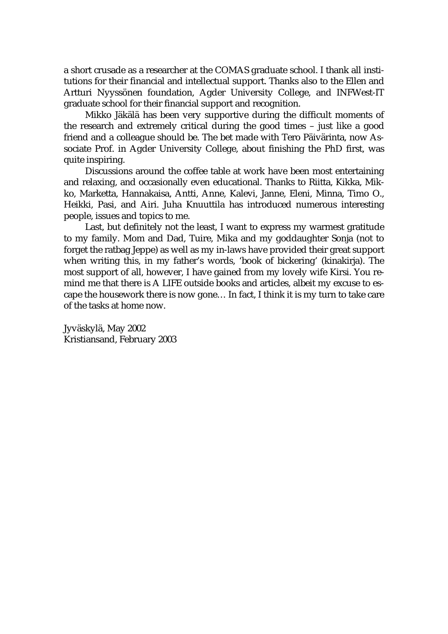a short crusade as a researcher at the COMAS graduate school. I thank all institutions for their financial and intellectual support. Thanks also to the Ellen and Artturi Nyyssönen foundation, Agder University College, and INFWest-IT graduate school for their financial support and recognition.

Mikko Jäkälä has been very supportive during the difficult moments of the research and extremely critical during the good times – just like a good friend and a colleague should be. The bet made with Tero Päivärinta, now Associate Prof. in Agder University College, about finishing the PhD first, was quite inspiring.

Discussions around the coffee table at work have been most entertaining and relaxing, and occasionally even educational. Thanks to Riitta, Kikka, Mikko, Marketta, Hannakaisa, Antti, Anne, Kalevi, Janne, Eleni, Minna, Timo O., Heikki, Pasi, and Airi. Juha Knuuttila has introduced numerous interesting people, issues and topics to me.

Last, but definitely not the least, I want to express my warmest gratitude to my family. Mom and Dad, Tuire, Mika and my goddaughter Sonja (not to forget the ratbag Jeppe) as well as my in-laws have provided their great support when writing this, in my father's words, 'book of bickering' (kinakirja). The most support of all, however, I have gained from my lovely wife Kirsi. You remind me that there is A LIFE outside books and articles, albeit my excuse to escape the housework there is now gone… In fact, I think it is my turn to take care of the tasks at home now.

Jyväskylä, May 2002 Kristiansand, February 2003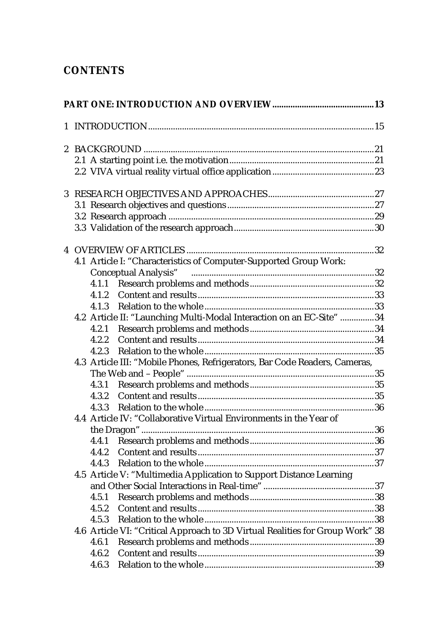# **CONTENTS**

| 3 <sup>1</sup> |                                                                               |  |
|----------------|-------------------------------------------------------------------------------|--|
|                |                                                                               |  |
|                |                                                                               |  |
|                |                                                                               |  |
|                |                                                                               |  |
|                | 4.1 Article I: "Characteristics of Computer-Supported Group Work:             |  |
|                | <b>Conceptual Analysis"</b>                                                   |  |
|                |                                                                               |  |
|                |                                                                               |  |
|                |                                                                               |  |
|                | 4.2 Article II: "Launching Multi-Modal Interaction on an EC-Site"  34         |  |
|                |                                                                               |  |
|                | 4.2.2                                                                         |  |
|                | 4.2.3                                                                         |  |
|                | 4.3 Article III: "Mobile Phones, Refrigerators, Bar Code Readers, Cameras,    |  |
|                |                                                                               |  |
|                |                                                                               |  |
|                |                                                                               |  |
|                | 4.4 Article IV: "Collaborative Virtual Environments in the Year of            |  |
|                |                                                                               |  |
|                | 4.4.1                                                                         |  |
|                | 4.4.2                                                                         |  |
|                |                                                                               |  |
|                | 4.5 Article V: "Multimedia Application to Support Distance Learning           |  |
|                |                                                                               |  |
|                | 4.5.1                                                                         |  |
|                | 4.5.2                                                                         |  |
|                | 4.5.3                                                                         |  |
|                | 4.6 Article VI: "Critical Approach to 3D Virtual Realities for Group Work" 38 |  |
|                | 4.6.1                                                                         |  |
|                | 4.6.2                                                                         |  |
|                | 4.6.3                                                                         |  |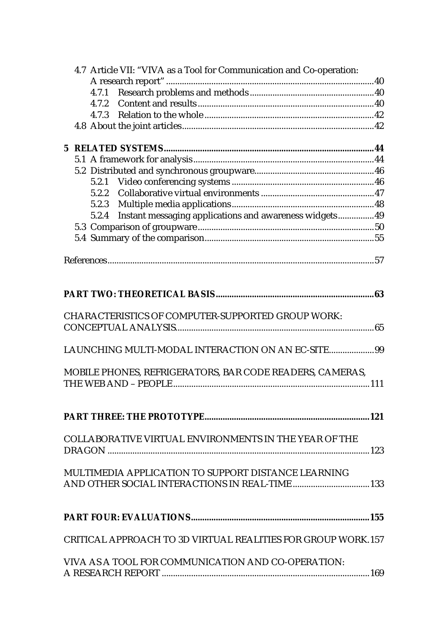|  | 4.7 Article VII: "VIVA as a Tool for Communication and Co-operation: |  |
|--|----------------------------------------------------------------------|--|
|  |                                                                      |  |
|  | 4.7.1                                                                |  |
|  | 4.7.2                                                                |  |
|  |                                                                      |  |
|  |                                                                      |  |
|  |                                                                      |  |
|  |                                                                      |  |
|  |                                                                      |  |
|  |                                                                      |  |
|  |                                                                      |  |
|  |                                                                      |  |
|  | 5.2.4 Instant messaging applications and awareness widgets 49        |  |
|  |                                                                      |  |
|  |                                                                      |  |
|  |                                                                      |  |
|  |                                                                      |  |
|  |                                                                      |  |
|  |                                                                      |  |
|  |                                                                      |  |
|  |                                                                      |  |
|  | <b>CHARACTERISTICS OF COMPUTER-SUPPORTED GROUP WORK:</b>             |  |
|  |                                                                      |  |
|  |                                                                      |  |
|  | LAUNCHING MULTI-MODAL INTERACTION ON AN EC-SITE99                    |  |
|  | MOBILE PHONES, REFRIGERATORS, BAR CODE READERS, CAMERAS,             |  |
|  |                                                                      |  |
|  |                                                                      |  |
|  |                                                                      |  |
|  |                                                                      |  |
|  |                                                                      |  |
|  | <b>COLLABORATIVE VIRTUAL ENVIRONMENTS IN THE YEAR OF THE</b>         |  |
|  |                                                                      |  |
|  |                                                                      |  |
|  | MULTIMEDIA APPLICATION TO SUPPORT DISTANCE LEARNING                  |  |
|  |                                                                      |  |
|  |                                                                      |  |
|  |                                                                      |  |
|  |                                                                      |  |
|  | CRITICAL APPROACH TO 3D VIRTUAL REALITIES FOR GROUP WORK.157         |  |
|  |                                                                      |  |
|  | VIVA AS A TOOL FOR COMMUNICATION AND CO-OPERATION:                   |  |
|  |                                                                      |  |
|  |                                                                      |  |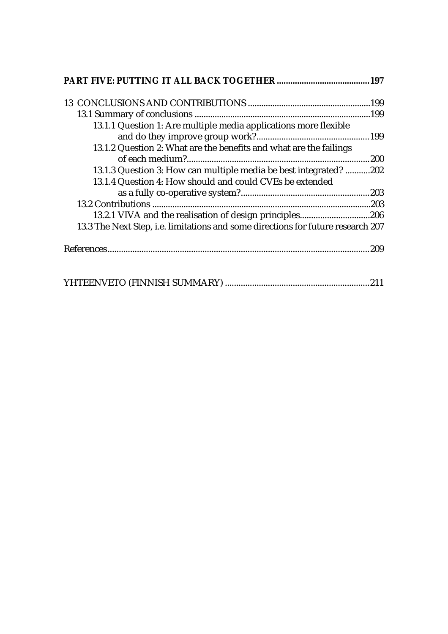| 13.1.1 Question 1: Are multiple media applications more flexible                 |
|----------------------------------------------------------------------------------|
| 13.1.2 Question 2: What are the benefits and what are the failings               |
|                                                                                  |
| 13.1.3 Question 3: How can multiple media be best integrated? 202                |
| 13.1.4 Question 4: How should and could CVEs be extended                         |
|                                                                                  |
|                                                                                  |
| 13.2.1 VIVA and the realisation of design principles206                          |
| 13.3 The Next Step, i.e. limitations and some directions for future research 207 |
|                                                                                  |
|                                                                                  |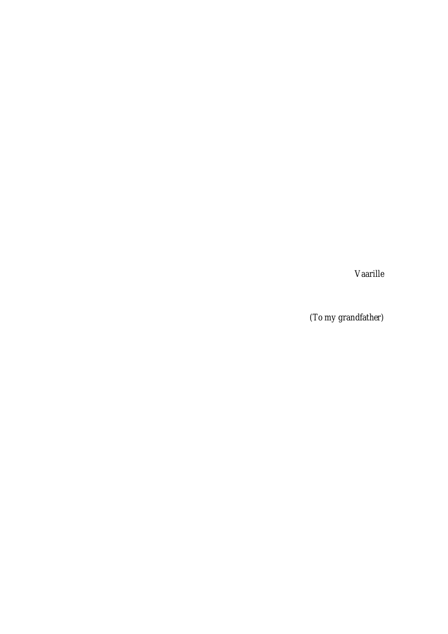*Vaarille* 

*(To my grandfather)*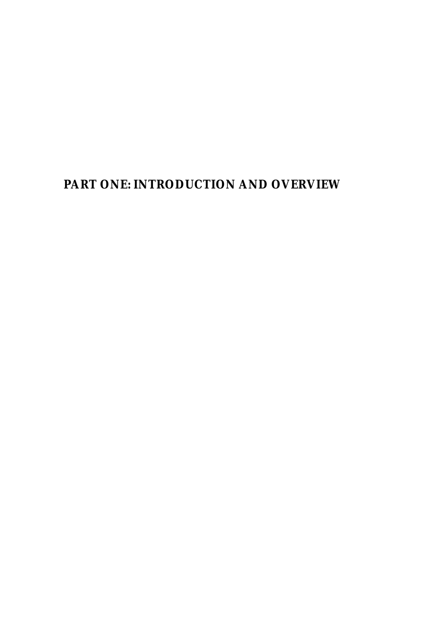**PART ONE: INTRODUCTION AND OVERVIEW**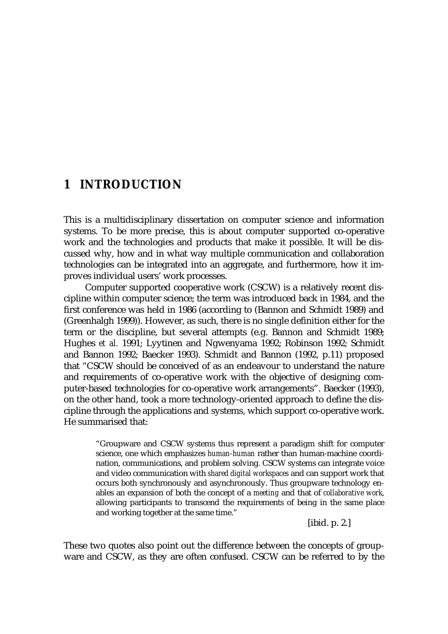## **1 INTRODUCTION**

This is a multidisciplinary dissertation on computer science and information systems. To be more precise, this is about computer supported co-operative work and the technologies and products that make it possible. It will be discussed why, how and in what way multiple communication and collaboration technologies can be integrated into an aggregate, and furthermore, how it improves individual users' work processes.

Computer supported cooperative work (CSCW) is a relatively recent discipline within computer science; the term was introduced back in 1984, and the first conference was held in 1986 (according to (Bannon and Schmidt 1989) and (Greenhalgh 1999)). However, as such, there is no single definition either for the term or the discipline, but several attempts (e.g. Bannon and Schmidt 1989; Hughes *et al.* 1991; Lyytinen and Ngwenyama 1992; Robinson 1992; Schmidt and Bannon 1992; Baecker 1993). Schmidt and Bannon (1992, p.11) proposed that "CSCW should be conceived of as an endeavour to understand the nature and requirements of co-operative work with the objective of designing computer-based technologies for co-operative work arrangements". Baecker (1993), on the other hand, took a more technology-oriented approach to define the discipline through the applications and systems, which support co-operative work. He summarised that:

> "Groupware and CSCW systems thus represent a paradigm shift for computer science, one which emphasizes *human-human* rather than human-machine coordination, communications, and problem solving. CSCW systems can integrate voice and video communication with *shared digital workspaces* and can support work that occurs both synchronously and asynchronously. Thus groupware technology enables an expansion of both the concept of a *meeting* and that of *collaborative work*, allowing participants to transcend the requirements of being in the same place and working together at the same time."

> > [ibid. p. 2.]

These two quotes also point out the difference between the concepts of groupware and CSCW, as they are often confused. CSCW can be referred to by the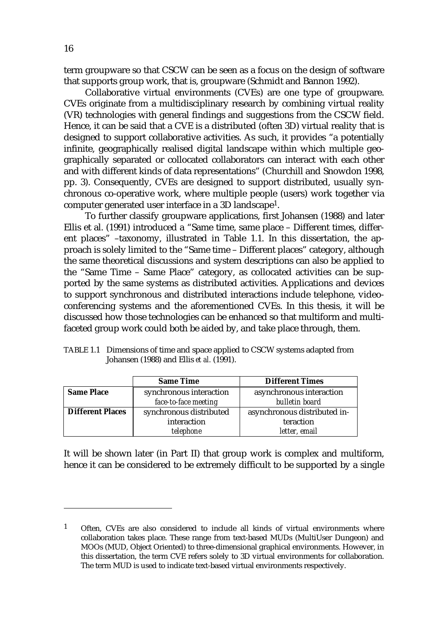term groupware so that CSCW can be seen as a focus on the design of software that supports group work, that is, groupware (Schmidt and Bannon 1992).

Collaborative virtual environments (CVEs) are one type of groupware. CVEs originate from a multidisciplinary research by combining virtual reality (VR) technologies with general findings and suggestions from the CSCW field. Hence, it can be said that a CVE is a distributed (often 3D) virtual reality that is designed to support collaborative activities. As such, it provides "a potentially infinite, geographically realised digital landscape within which multiple geographically separated or collocated collaborators can interact with each other and with different kinds of data representations" (Churchill and Snowdon 1998, pp. 3). Consequently, CVEs are designed to support distributed, usually synchronous co-operative work, where multiple people (users) work together via computer generated user interface in a 3D landscape1.

To further classify groupware applications, first Johansen (1988) and later Ellis et al. (1991) introduced a "Same time, same place – Different times, different places" –taxonomy, illustrated in Table 1.1. In this dissertation, the approach is solely limited to the "Same time – Different places" category, although the same theoretical discussions and system descriptions can also be applied to the "Same Time – Same Place" category, as collocated activities can be supported by the same systems as distributed activities. Applications and devices to support synchronous and distributed interactions include telephone, videoconferencing systems and the aforementioned CVEs. In this thesis, it will be discussed how those technologies can be enhanced so that multiform and multifaceted group work could both be aided by, and take place through, them.

| TABLE 1.1 Dimensions of time and space applied to CSCW systems adapted from |
|-----------------------------------------------------------------------------|
| Johansen (1988) and Ellis <i>et al.</i> (1991).                             |

|                         | <b>Same Time</b>        | <b>Different Times</b>       |  |  |
|-------------------------|-------------------------|------------------------------|--|--|
| <b>Same Place</b>       | synchronous interaction | asynchronous interaction     |  |  |
|                         | face-to-face meeting    | bulletin board               |  |  |
| <b>Different Places</b> | synchronous distributed | asynchronous distributed in- |  |  |
|                         | interaction             | teraction                    |  |  |
|                         | telephone               | letter, email                |  |  |

It will be shown later (in Part II) that group work is complex and multiform, hence it can be considered to be extremely difficult to be supported by a single

<sup>1</sup> Often, CVEs are also considered to include all kinds of virtual environments where collaboration takes place. These range from text-based MUDs (MultiUser Dungeon) and MOOs (MUD, Object Oriented) to three-dimensional graphical environments. However, in this dissertation, the term CVE refers solely to 3D virtual environments for collaboration. The term MUD is used to indicate text-based virtual environments respectively.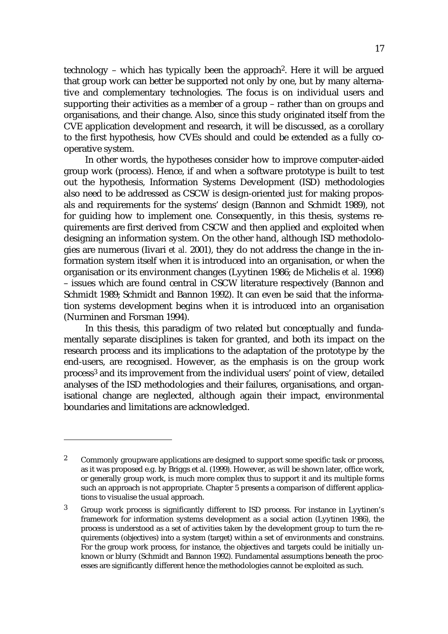technology – which has typically been the approach2. Here it will be argued that group work can better be supported not only by one, but by many alternative and complementary technologies. The focus is on individual users and supporting their activities as a member of a group – rather than on groups and organisations, and their change. Also, since this study originated itself from the CVE application development and research, it will be discussed, as a corollary to the first hypothesis, how CVEs should and could be extended as a fully cooperative system.

In other words, the hypotheses consider how to improve computer-aided group work (process). Hence, if and when a software prototype is built to test out the hypothesis, Information Systems Development (ISD) methodologies also need to be addressed as CSCW is design-oriented just for making proposals and requirements for the systems' design (Bannon and Schmidt 1989), not for guiding how to implement one. Consequently, in this thesis, systems requirements are first derived from CSCW and then applied and exploited when designing an information system. On the other hand, although ISD methodologies are numerous (Iivari *et al.* 2001), they do not address the change in the information system itself when it is introduced into an organisation, or when the organisation or its environment changes (Lyytinen 1986; de Michelis *et al.* 1998) – issues which are found central in CSCW literature respectively (Bannon and Schmidt 1989; Schmidt and Bannon 1992). It can even be said that the information systems development begins when it is introduced into an organisation (Nurminen and Forsman 1994).

In this thesis, this paradigm of two related but conceptually and fundamentally separate disciplines is taken for granted, and both its impact on the research process and its implications to the adaptation of the prototype by the end-users, are recognised. However, as the emphasis is on the group work process3 and its improvement from the individual users' point of view, detailed analyses of the ISD methodologies and their failures, organisations, and organisational change are neglected, although again their impact, environmental boundaries and limitations are acknowledged.

<sup>2</sup> Commonly groupware applications are designed to support some specific task or process, as it was proposed e.g. by Briggs et al. (1999). However, as will be shown later, office work, or generally group work, is much more complex thus to support it and its multiple forms such an approach is not appropriate. Chapter 5 presents a comparison of different applications to visualise the usual approach.

<sup>3</sup> Group work process is significantly different to ISD process. For instance in Lyytinen's framework for information systems development as a social action (Lyytinen 1986), the process is understood as a set of activities taken by the development group to turn the requirements (objectives) into a system (target) within a set of environments and constrains. For the group work process, for instance, the objectives and targets could be initially unknown or blurry (Schmidt and Bannon 1992). Fundamental assumptions beneath the processes are significantly different hence the methodologies cannot be exploited as such.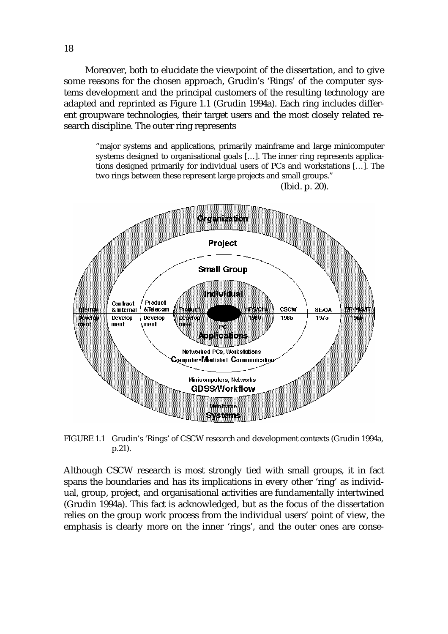Moreover, both to elucidate the viewpoint of the dissertation, and to give some reasons for the chosen approach, Grudin's 'Rings' of the computer systems development and the principal customers of the resulting technology are adapted and reprinted as Figure 1.1 (Grudin 1994a). Each ring includes different groupware technologies, their target users and the most closely related research discipline. The outer ring represents

"major systems and applications, primarily mainframe and large minicomputer systems designed to organisational goals […]. The inner ring represents applications designed primarily for individual users of PCs and workstations […]. The two rings between these represent large projects and small groups." (Ibid. p. 20).



FIGURE 1.1 Grudin's 'Rings' of CSCW research and development contexts (Grudin 1994a, p.21).

Although CSCW research is most strongly tied with small groups, it in fact spans the boundaries and has its implications in every other 'ring' as individual, group, project, and organisational activities are fundamentally intertwined (Grudin 1994a). This fact is acknowledged, but as the focus of the dissertation relies on the group work process from the individual users' point of view, the emphasis is clearly more on the inner 'rings', and the outer ones are conse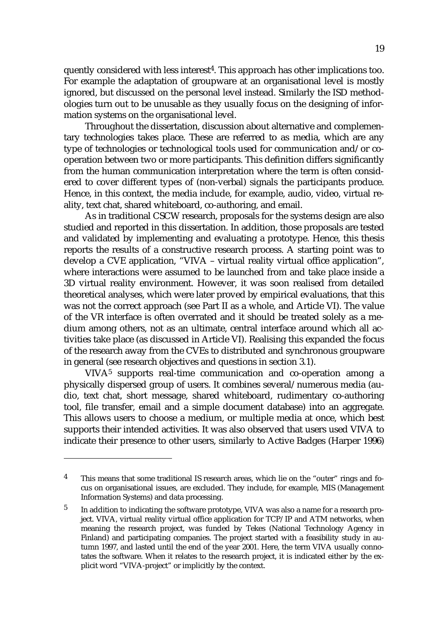quently considered with less interest<sup>4</sup>. This approach has other implications too. For example the adaptation of groupware at an organisational level is mostly ignored, but discussed on the personal level instead. Similarly the ISD methodologies turn out to be unusable as they usually focus on the designing of information systems on the organisational level.

Throughout the dissertation, discussion about alternative and complementary technologies takes place. These are referred to as media, which are any type of technologies or technological tools used for communication and/or cooperation between two or more participants. This definition differs significantly from the human communication interpretation where the term is often considered to cover different types of (non-verbal) signals the participants produce. Hence, in this context, the media include, for example, audio, video, virtual reality, text chat, shared whiteboard, co-authoring, and email.

As in traditional CSCW research, proposals for the systems design are also studied and reported in this dissertation. In addition, those proposals are tested and validated by implementing and evaluating a prototype. Hence, this thesis reports the results of a constructive research process. A starting point was to develop a CVE application, "VIVA – virtual reality virtual office application", where interactions were assumed to be launched from and take place inside a 3D virtual reality environment. However, it was soon realised from detailed theoretical analyses, which were later proved by empirical evaluations, that this was not the correct approach (see Part II as a whole, and Article VI). The value of the VR interface is often overrated and it should be treated solely as a medium among others, not as an ultimate, central interface around which all activities take place (as discussed in Article VI). Realising this expanded the focus of the research away from the CVEs to distributed and synchronous groupware in general (see research objectives and questions in section 3.1).

VIVA5 supports real-time communication and co-operation among a physically dispersed group of users. It combines several/numerous media (audio, text chat, short message, shared whiteboard, rudimentary co-authoring tool, file transfer, email and a simple document database) into an aggregate. This allows users to choose a medium, or multiple media at once, which best supports their intended activities. It was also observed that users used VIVA to indicate their presence to other users, similarly to Active Badges (Harper 1996)

<sup>4</sup> This means that some traditional IS research areas, which lie on the "outer" rings and focus on organisational issues, are excluded. They include, for example, MIS (Management Information Systems) and data processing.

<sup>&</sup>lt;sup>5</sup> In addition to indicating the software prototype, VIVA was also a name for a research project. VIVA, virtual reality virtual office application for TCP/IP and ATM networks, when meaning the research project, was funded by Tekes (National Technology Agency in Finland) and participating companies. The project started with a feasibility study in autumn 1997, and lasted until the end of the year 2001. Here, the term VIVA usually connotates the software. When it relates to the research project, it is indicated either by the explicit word "VIVA-project" or implicitly by the context.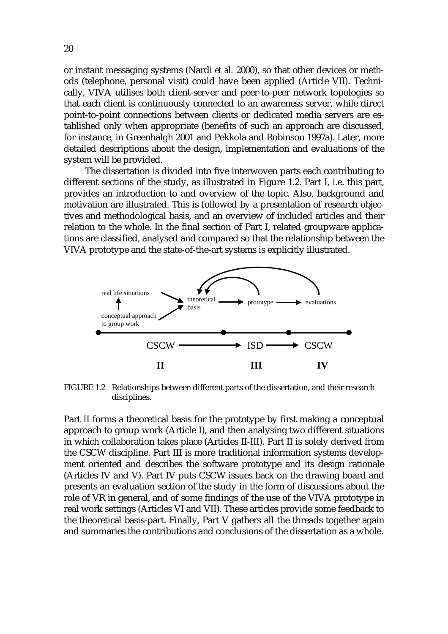or instant messaging systems (Nardi *et al.* 2000), so that other devices or methods (telephone, personal visit) could have been applied (Article VII). Technically, VIVA utilises both client-server and peer-to-peer network topologies so that each client is continuously connected to an awareness server, while direct point-to-point connections between clients or dedicated media servers are established only when appropriate (benefits of such an approach are discussed, for instance, in Greenhalgh 2001 and Pekkola and Robinson 1997a). Later, more detailed descriptions about the design, implementation and evaluations of the system will be provided.

The dissertation is divided into five interwoven parts each contributing to different sections of the study, as illustrated in Figure 1.2. Part I, i.e. this part, provides an introduction to and overview of the topic. Also, background and motivation are illustrated. This is followed by a presentation of research objectives and methodological basis, and an overview of included articles and their relation to the whole. In the final section of Part I, related groupware applications are classified, analysed and compared so that the relationship between the VIVA prototype and the state-of-the-art systems is explicitly illustrated.



FIGURE 1.2 Relationships between different parts of the dissertation, and their research disciplines.

Part II forms a theoretical basis for the prototype by first making a conceptual approach to group work (Article I), and then analysing two different situations in which collaboration takes place (Articles II-III). Part II is solely derived from the CSCW discipline. Part III is more traditional information systems development oriented and describes the software prototype and its design rationale (Articles IV and V). Part IV puts CSCW issues back on the drawing board and presents an evaluation section of the study in the form of discussions about the role of VR in general, and of some findings of the use of the VIVA prototype in real work settings (Articles VI and VII). These articles provide some feedback to the theoretical basis-part. Finally, Part V gathers all the threads together again and summaries the contributions and conclusions of the dissertation as a whole.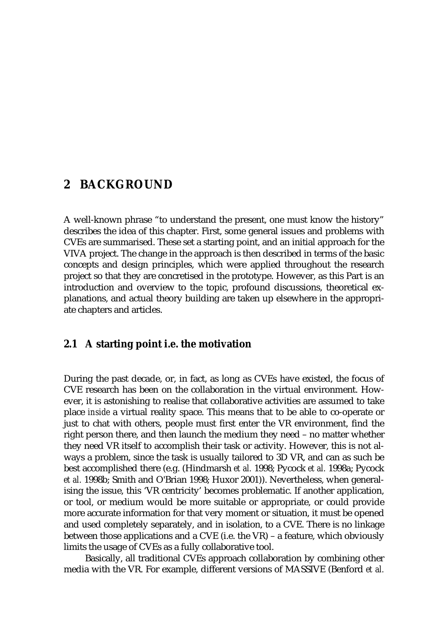## **2 BACKGROUND**

A well-known phrase "to understand the present, one must know the history" describes the idea of this chapter. First, some general issues and problems with CVEs are summarised. These set a starting point, and an initial approach for the VIVA project. The change in the approach is then described in terms of the basic concepts and design principles, which were applied throughout the research project so that they are concretised in the prototype. However, as this Part is an introduction and overview to the topic, profound discussions, theoretical explanations, and actual theory building are taken up elsewhere in the appropriate chapters and articles.

## **2.1 A starting point i.e. the motivation**

During the past decade, or, in fact, as long as CVEs have existed, the focus of CVE research has been on the collaboration in the virtual environment. However, it is astonishing to realise that collaborative activities are assumed to take place *inside* a virtual reality space. This means that to be able to co-operate or just to chat with others, people must first enter the VR environment, find the right person there, and then launch the medium they need – no matter whether they need VR itself to accomplish their task or activity. However, this is not always a problem, since the task is usually tailored to 3D VR, and can as such be best accomplished there (e.g. (Hindmarsh *et al.* 1998; Pycock *et al.* 1998a; Pycock *et al.* 1998b; Smith and O'Brian 1998; Huxor 2001)). Nevertheless, when generalising the issue, this 'VR centricity' becomes problematic. If another application, or tool, or medium would be more suitable or appropriate, or could provide more accurate information for that very moment or situation, it must be opened and used completely separately, and in isolation, to a CVE. There is no linkage between those applications and a CVE (i.e. the VR) – a feature, which obviously limits the usage of CVEs as a fully collaborative tool.

Basically, all traditional CVEs approach collaboration by combining other media with the VR. For example, different versions of MASSIVE (Benford *et al.*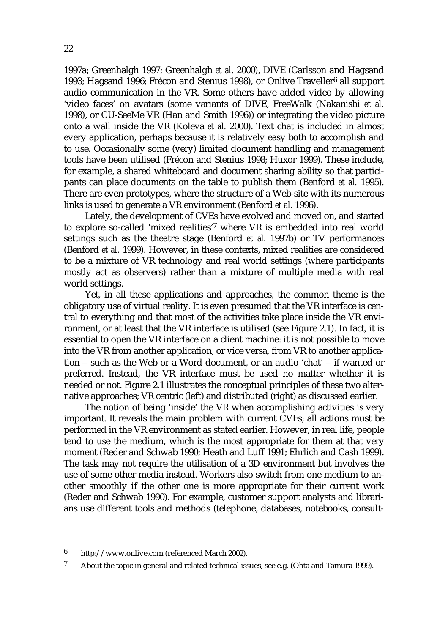1997a; Greenhalgh 1997; Greenhalgh *et al.* 2000), DIVE (Carlsson and Hagsand 1993; Hagsand 1996; Frécon and Stenius 1998), or Onlive Traveller<sup>6</sup> all support audio communication in the VR. Some others have added video by allowing 'video faces' on avatars (some variants of DIVE, FreeWalk (Nakanishi *et al.* 1998), or CU-SeeMe VR (Han and Smith 1996)) or integrating the video picture onto a wall inside the VR (Koleva *et al.* 2000). Text chat is included in almost every application, perhaps because it is relatively easy both to accomplish and to use. Occasionally some (very) limited document handling and management tools have been utilised (Frécon and Stenius 1998; Huxor 1999). These include, for example, a shared whiteboard and document sharing ability so that participants can place documents on the table to publish them (Benford *et al.* 1995). There are even prototypes, where the structure of a Web-site with its numerous links is used to generate a VR environment (Benford *et al.* 1996).

Lately, the development of CVEs have evolved and moved on, and started to explore so-called 'mixed realities'7 where VR is embedded into real world settings such as the theatre stage (Benford *et al.* 1997b) or TV performances (Benford *et al.* 1999). However, in these contexts, mixed realities are considered to be a mixture of VR technology and real world settings (where participants mostly act as observers) rather than a mixture of multiple media with real world settings.

Yet, in all these applications and approaches, the common theme is the obligatory use of virtual reality. It is even presumed that the VR interface is central to everything and that most of the activities take place inside the VR environment, or at least that the VR interface is utilised (see Figure 2.1). In fact, it is essential to open the VR interface on a client machine: it is not possible to move into the VR from another application, or vice versa, from VR to another application − such as the Web or a Word document, or an audio 'chat' − if wanted or preferred. Instead, the VR interface must be used no matter whether it is needed or not. Figure 2.1 illustrates the conceptual principles of these two alternative approaches; VR centric (left) and distributed (right) as discussed earlier.

The notion of being 'inside' the VR when accomplishing activities is very important. It reveals the main problem with current CVEs; all actions must be performed in the VR environment as stated earlier. However, in real life, people tend to use the medium, which is the most appropriate for them at that very moment (Reder and Schwab 1990; Heath and Luff 1991; Ehrlich and Cash 1999). The task may not require the utilisation of a 3D environment but involves the use of some other media instead. Workers also switch from one medium to another smoothly if the other one is more appropriate for their current work (Reder and Schwab 1990). For example, customer support analysts and librarians use different tools and methods (telephone, databases, notebooks, consult-

<sup>6</sup> http://www.onlive.com (referenced March 2002).

<sup>7</sup> About the topic in general and related technical issues, see e.g. (Ohta and Tamura 1999).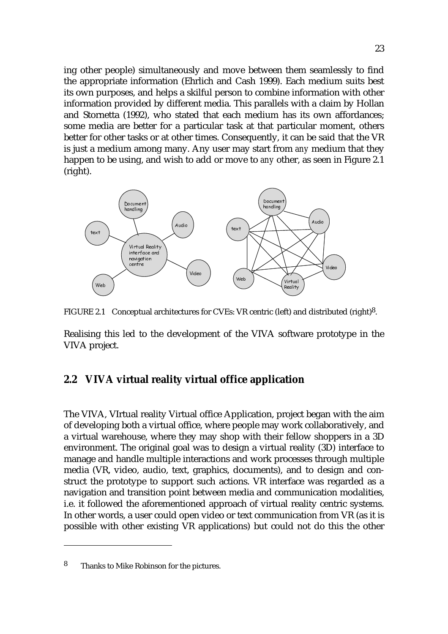ing other people) simultaneously and move between them seamlessly to find the appropriate information (Ehrlich and Cash 1999). Each medium suits best its own purposes, and helps a skilful person to combine information with other information provided by different media. This parallels with a claim by Hollan and Stornetta (1992), who stated that each medium has its own affordances; some media are better for a particular task at that particular moment, others better for other tasks or at other times. Consequently, it can be said that the VR is just a medium among many. Any user may start from *any* medium that they happen to be using, and wish to add or move to *any* other, as seen in Figure 2.1 (right).



FIGURE 2.1 Conceptual architectures for CVEs: VR centric (left) and distributed (right)8.

Realising this led to the development of the VIVA software prototype in the VIVA project.

### **2.2 VIVA virtual reality virtual office application**

The VIVA, VIrtual reality Virtual office Application, project began with the aim of developing both a virtual office, where people may work collaboratively, and a virtual warehouse, where they may shop with their fellow shoppers in a 3D environment. The original goal was to design a virtual reality (3D) interface to manage and handle multiple interactions and work processes through multiple media (VR, video, audio, text, graphics, documents), and to design and construct the prototype to support such actions. VR interface was regarded as a navigation and transition point between media and communication modalities, i.e. it followed the aforementioned approach of virtual reality centric systems. In other words, a user could open video or text communication from VR (as it is possible with other existing VR applications) but could not do this the other

<sup>8</sup> Thanks to Mike Robinson for the pictures.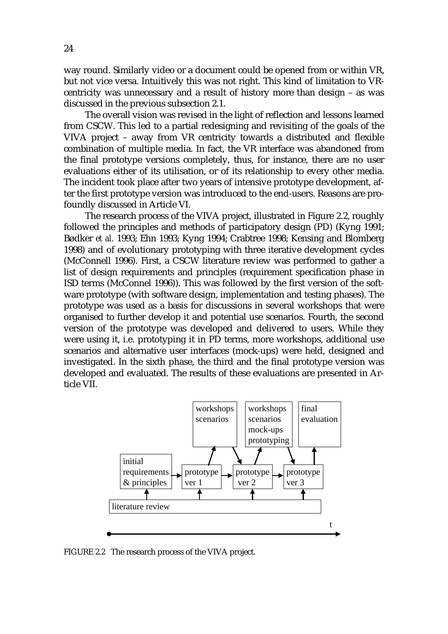way round. Similarly video or a document could be opened from or within VR, but not vice versa. Intuitively this was not right. This kind of limitation to VRcentricity was unnecessary and a result of history more than design – as was discussed in the previous subsection 2.1.

The overall vision was revised in the light of reflection and lessons learned from CSCW. This led to a partial redesigning and revisiting of the goals of the VIVA project – away from VR centricity towards a distributed and flexible combination of multiple media. In fact, the VR interface was abandoned from the final prototype versions completely, thus, for instance, there are no user evaluations either of its utilisation, or of its relationship to every other media. The incident took place after two years of intensive prototype development, after the first prototype version was introduced to the end-users. Reasons are profoundly discussed in Article VI.

The research process of the VIVA project, illustrated in Figure 2.2, roughly followed the principles and methods of participatory design (PD) (Kyng 1991; Bødker *et al.* 1993; Ehn 1993; Kyng 1994; Crabtree 1998; Kensing and Blomberg 1998) and of evolutionary prototyping with three iterative development cycles (McConnell 1996). First, a CSCW literature review was performed to gather a list of design requirements and principles (requirement specification phase in ISD terms (McConnel 1996)). This was followed by the first version of the software prototype (with software design, implementation and testing phases). The prototype was used as a basis for discussions in several workshops that were organised to further develop it and potential use scenarios. Fourth, the second version of the prototype was developed and delivered to users. While they were using it, i.e. prototyping it in PD terms, more workshops, additional use scenarios and alternative user interfaces (mock-ups) were held, designed and investigated. In the sixth phase, the third and the final prototype version was developed and evaluated. The results of these evaluations are presented in Article VII.



FIGURE 2.2 The research process of the VIVA project.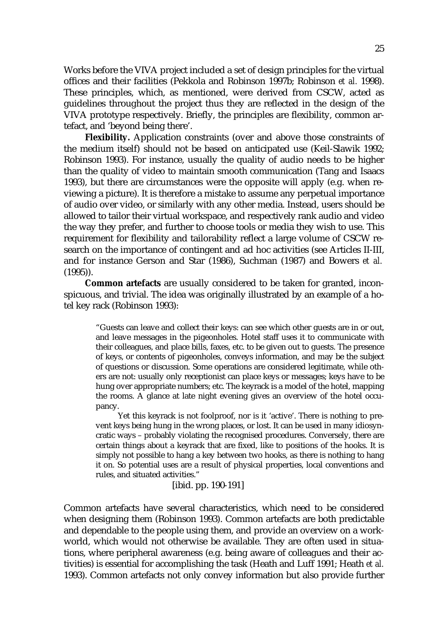Works before the VIVA project included a set of design principles for the virtual offices and their facilities (Pekkola and Robinson 1997b; Robinson *et al.* 1998). These principles, which, as mentioned, were derived from CSCW, acted as guidelines throughout the project thus they are reflected in the design of the VIVA prototype respectively. Briefly, the principles are flexibility, common artefact, and 'beyond being there'.

**Flexibility.** Application constraints (over and above those constraints of the medium itself) should not be based on anticipated use (Keil-Slawik 1992; Robinson 1993). For instance, usually the quality of audio needs to be higher than the quality of video to maintain smooth communication (Tang and Isaacs 1993), but there are circumstances were the opposite will apply (e.g. when reviewing a picture). It is therefore a mistake to assume any perpetual importance of audio over video, or similarly with any other media. Instead, users should be allowed to tailor their virtual workspace, and respectively rank audio and video the way they prefer, and further to choose tools or media they wish to use. This requirement for flexibility and tailorability reflect a large volume of CSCW research on the importance of contingent and ad hoc activities (see Articles II-III, and for instance Gerson and Star (1986), Suchman (1987) and Bowers *et al.* (1995)).

**Common artefacts** are usually considered to be taken for granted, inconspicuous, and trivial. The idea was originally illustrated by an example of a hotel key rack (Robinson 1993):

> "Guests can leave and collect their keys: can see which other guests are in or out, and leave messages in the pigeonholes. Hotel staff uses it to communicate with their colleagues, and place bills, faxes, etc. to be given out to guests. The presence of keys, or contents of pigeonholes, conveys information, and may be the subject of questions or discussion. Some operations are considered legitimate, while others are not: usually only receptionist can place keys or messages; keys have to be hung over appropriate numbers; etc. The keyrack is a model of the hotel, mapping the rooms. A glance at late night evening gives an overview of the hotel occupancy.

> Yet this keyrack is not foolproof, nor is it 'active'. There is nothing to prevent keys being hung in the wrong places, or lost. It can be used in many idiosyncratic ways – probably violating the recognised procedures. Conversely, there are certain things about a keyrack that are fixed, like to positions of the hooks. It is simply not possible to hang a key between two hooks, as there is nothing to hang it on. So potential uses are a result of physical properties, local conventions and rules, and situated activities."

#### [ibid. pp. 190-191]

Common artefacts have several characteristics, which need to be considered when designing them (Robinson 1993). Common artefacts are both predictable and dependable to the people using them, and provide an overview on a workworld, which would not otherwise be available. They are often used in situations, where peripheral awareness (e.g. being aware of colleagues and their activities) is essential for accomplishing the task (Heath and Luff 1991; Heath *et al.* 1993). Common artefacts not only convey information but also provide further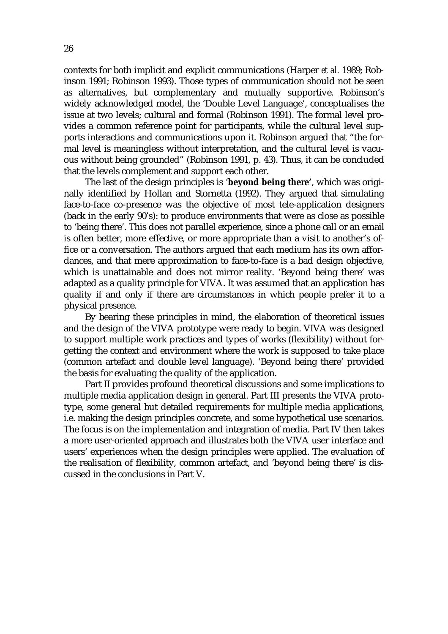contexts for both implicit and explicit communications (Harper *et al.* 1989; Robinson 1991; Robinson 1993). Those types of communication should not be seen as alternatives, but complementary and mutually supportive. Robinson's widely acknowledged model, the 'Double Level Language', conceptualises the issue at two levels; cultural and formal (Robinson 1991). The formal level provides a common reference point for participants, while the cultural level supports interactions and communications upon it. Robinson argued that "the formal level is meaningless without interpretation, and the cultural level is vacuous without being grounded" (Robinson 1991, p. 43). Thus, it can be concluded that the levels complement and support each other.

The last of the design principles is '**beyond being there'**, which was originally identified by Hollan and Stornetta (1992). They argued that simulating face-to-face co-presence was the objective of most tele-application designers (back in the early 90's): to produce environments that were as close as possible to 'being there'. This does not parallel experience, since a phone call or an email is often better, more effective, or more appropriate than a visit to another's office or a conversation. The authors argued that each medium has its own affordances, and that mere approximation to face-to-face is a bad design objective, which is unattainable and does not mirror reality. 'Beyond being there' was adapted as a quality principle for VIVA. It was assumed that an application has quality if and only if there are circumstances in which people prefer it to a physical presence.

By bearing these principles in mind, the elaboration of theoretical issues and the design of the VIVA prototype were ready to begin. VIVA was designed to support multiple work practices and types of works (flexibility) without forgetting the context and environment where the work is supposed to take place (common artefact and double level language). 'Beyond being there' provided the basis for evaluating the quality of the application.

Part II provides profound theoretical discussions and some implications to multiple media application design in general. Part III presents the VIVA prototype, some general but detailed requirements for multiple media applications, i.e. making the design principles concrete, and some hypothetical use scenarios. The focus is on the implementation and integration of media. Part IV then takes a more user-oriented approach and illustrates both the VIVA user interface and users' experiences when the design principles were applied. The evaluation of the realisation of flexibility, common artefact, and 'beyond being there' is discussed in the conclusions in Part V.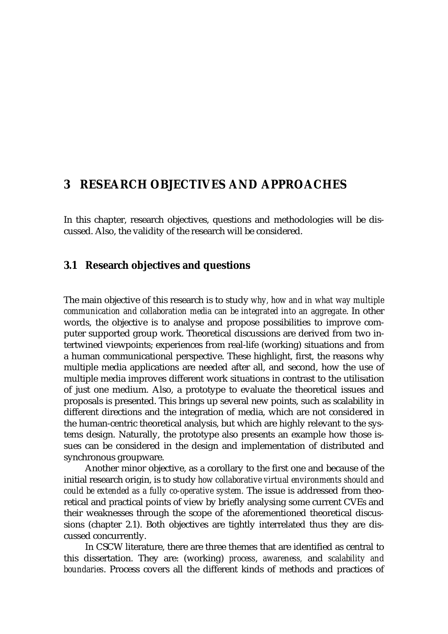## **3 RESEARCH OBJECTIVES AND APPROACHES**

In this chapter, research objectives, questions and methodologies will be discussed. Also, the validity of the research will be considered.

### **3.1 Research objectives and questions**

The main objective of this research is to study *why, how and in what way multiple communication and collaboration media can be integrated into an aggregate*. In other words, the objective is to analyse and propose possibilities to improve computer supported group work. Theoretical discussions are derived from two intertwined viewpoints; experiences from real-life (working) situations and from a human communicational perspective. These highlight, first, the reasons why multiple media applications are needed after all, and second, how the use of multiple media improves different work situations in contrast to the utilisation of just one medium. Also, a prototype to evaluate the theoretical issues and proposals is presented. This brings up several new points, such as scalability in different directions and the integration of media, which are not considered in the human-centric theoretical analysis, but which are highly relevant to the systems design. Naturally, the prototype also presents an example how those issues can be considered in the design and implementation of distributed and synchronous groupware.

Another minor objective, as a corollary to the first one and because of the initial research origin, is to study *how collaborative virtual environments should and could be extended as a fully co-operative system.* The issue is addressed from theoretical and practical points of view by briefly analysing some current CVEs and their weaknesses through the scope of the aforementioned theoretical discussions (chapter 2.1). Both objectives are tightly interrelated thus they are discussed concurrently.

In CSCW literature, there are three themes that are identified as central to this dissertation. They are: (working) *process*, *awareness,* and *scalability and boundaries*. Process covers all the different kinds of methods and practices of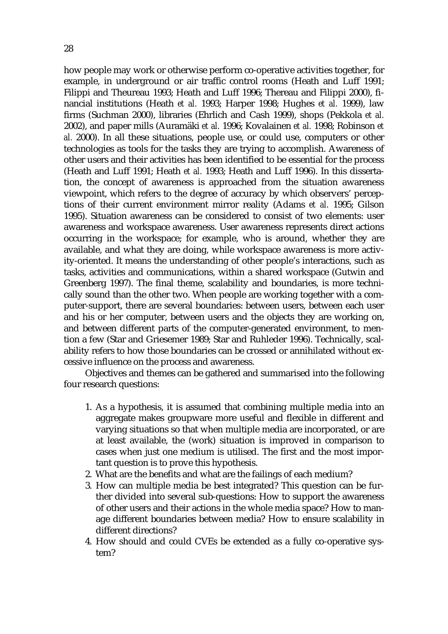how people may work or otherwise perform co-operative activities together, for example, in underground or air traffic control rooms (Heath and Luff 1991; Filippi and Theureau 1993; Heath and Luff 1996; Thereau and Filippi 2000), financial institutions (Heath *et al.* 1993; Harper 1998; Hughes *et al.* 1999), law firms (Suchman 2000), libraries (Ehrlich and Cash 1999), shops (Pekkola *et al.* 2002), and paper mills (Auramäki *et al.* 1996; Kovalainen *et al.* 1998; Robinson *et al.* 2000). In all these situations, people use, or could use, computers or other technologies as tools for the tasks they are trying to accomplish. Awareness of other users and their activities has been identified to be essential for the process (Heath and Luff 1991; Heath *et al.* 1993; Heath and Luff 1996). In this dissertation, the concept of awareness is approached from the situation awareness viewpoint, which refers to the degree of accuracy by which observers' perceptions of their current environment mirror reality (Adams *et al.* 1995; Gilson 1995). Situation awareness can be considered to consist of two elements: user awareness and workspace awareness. User awareness represents direct actions occurring in the workspace; for example, who is around, whether they are available, and what they are doing, while workspace awareness is more activity-oriented. It means the understanding of other people's interactions, such as tasks, activities and communications, within a shared workspace (Gutwin and Greenberg 1997). The final theme, scalability and boundaries, is more technically sound than the other two. When people are working together with a computer-support, there are several boundaries: between users, between each user and his or her computer, between users and the objects they are working on, and between different parts of the computer-generated environment, to mention a few (Star and Griesemer 1989; Star and Ruhleder 1996). Technically, scalability refers to how those boundaries can be crossed or annihilated without excessive influence on the process and awareness.

Objectives and themes can be gathered and summarised into the following four research questions:

- 1. As a hypothesis, it is assumed that combining multiple media into an aggregate makes groupware more useful and flexible in different and varying situations so that when multiple media are incorporated, or are at least available, the (work) situation is improved in comparison to cases when just one medium is utilised. The first and the most important question is to prove this hypothesis.
- 2. What are the benefits and what are the failings of each medium?
- 3. How can multiple media be best integrated? This question can be further divided into several sub-questions: How to support the awareness of other users and their actions in the whole media space? How to manage different boundaries between media? How to ensure scalability in different directions?
- 4. How should and could CVEs be extended as a fully co-operative system?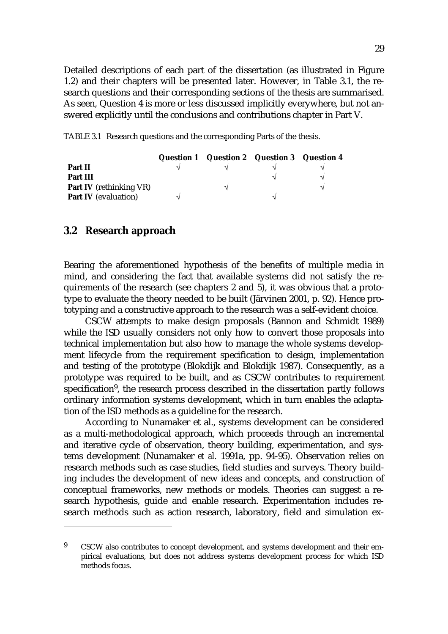Detailed descriptions of each part of the dissertation (as illustrated in Figure 1.2) and their chapters will be presented later. However, in Table 3.1, the research questions and their corresponding sections of the thesis are summarised. As seen, Question 4 is more or less discussed implicitly everywhere, but not answered explicitly until the conclusions and contributions chapter in Part V.

TABLE 3.1 Research questions and the corresponding Parts of the thesis.

|                                | Question 1 Question 2 Question 3 Question 4 |  |
|--------------------------------|---------------------------------------------|--|
| Part II                        |                                             |  |
| Part III                       |                                             |  |
| <b>Part IV</b> (rethinking VR) | $\mathbf{\hat{}}$                           |  |
| <b>Part IV</b> (evaluation)    |                                             |  |

### **3.2 Research approach**

Bearing the aforementioned hypothesis of the benefits of multiple media in mind, and considering the fact that available systems did not satisfy the requirements of the research (see chapters 2 and 5), it was obvious that a prototype to evaluate the theory needed to be built (Järvinen 2001, p. 92). Hence prototyping and a constructive approach to the research was a self-evident choice.

CSCW attempts to make design proposals (Bannon and Schmidt 1989) while the ISD usually considers not only how to convert those proposals into technical implementation but also how to manage the whole systems development lifecycle from the requirement specification to design, implementation and testing of the prototype (Blokdijk and Blokdijk 1987). Consequently, as a prototype was required to be built, and as CSCW contributes to requirement specification<sup>9</sup>, the research process described in the dissertation partly follows ordinary information systems development, which in turn enables the adaptation of the ISD methods as a guideline for the research.

According to Nunamaker et al., systems development can be considered as a multi-methodological approach, which proceeds through an incremental and iterative cycle of observation, theory building, experimentation, and systems development (Nunamaker *et al.* 1991a, pp. 94-95). Observation relies on research methods such as case studies, field studies and surveys. Theory building includes the development of new ideas and concepts, and construction of conceptual frameworks, new methods or models. Theories can suggest a research hypothesis, guide and enable research. Experimentation includes research methods such as action research, laboratory, field and simulation ex-

<sup>9</sup> CSCW also contributes to concept development, and systems development and their empirical evaluations, but does not address systems development process for which ISD methods focus.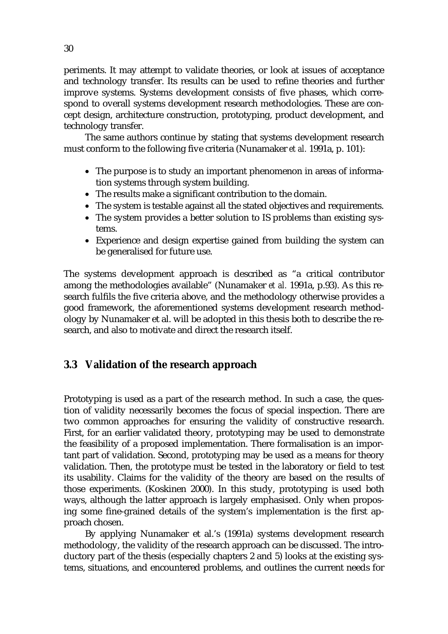periments. It may attempt to validate theories, or look at issues of acceptance and technology transfer. Its results can be used to refine theories and further improve systems. Systems development consists of five phases, which correspond to overall systems development research methodologies. These are concept design, architecture construction, prototyping, product development, and technology transfer.

The same authors continue by stating that systems development research must conform to the following five criteria (Nunamaker *et al.* 1991a, p. 101):

- The purpose is to study an important phenomenon in areas of information systems through system building.
- The results make a significant contribution to the domain.
- The system is testable against all the stated objectives and requirements.
- The system provides a better solution to IS problems than existing systems.
- Experience and design expertise gained from building the system can be generalised for future use.

The systems development approach is described as "a critical contributor among the methodologies available" (Nunamaker *et al.* 1991a, p.93). As this research fulfils the five criteria above, and the methodology otherwise provides a good framework, the aforementioned systems development research methodology by Nunamaker et al. will be adopted in this thesis both to describe the research, and also to motivate and direct the research itself.

## **3.3 Validation of the research approach**

Prototyping is used as a part of the research method. In such a case, the question of validity necessarily becomes the focus of special inspection. There are two common approaches for ensuring the validity of constructive research. First, for an earlier validated theory, prototyping may be used to demonstrate the feasibility of a proposed implementation. There formalisation is an important part of validation. Second, prototyping may be used as a means for theory validation. Then, the prototype must be tested in the laboratory or field to test its usability. Claims for the validity of the theory are based on the results of those experiments. (Koskinen 2000). In this study, prototyping is used both ways, although the latter approach is largely emphasised. Only when proposing some fine-grained details of the system's implementation is the first approach chosen.

By applying Nunamaker et al.'s (1991a) systems development research methodology, the validity of the research approach can be discussed. The introductory part of the thesis (especially chapters 2 and 5) looks at the existing systems, situations, and encountered problems, and outlines the current needs for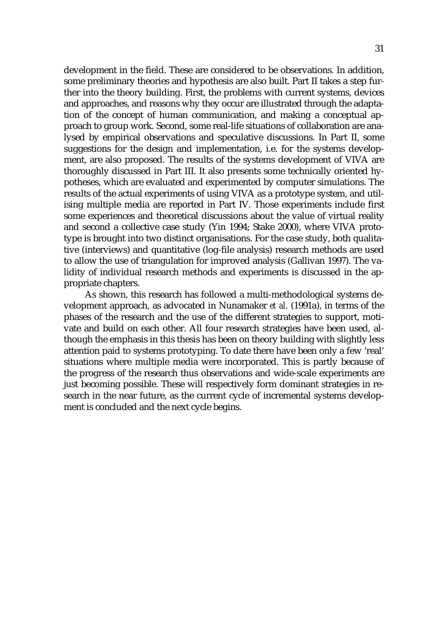development in the field. These are considered to be observations. In addition, some preliminary theories and hypothesis are also built. Part II takes a step further into the theory building. First, the problems with current systems, devices and approaches, and reasons why they occur are illustrated through the adaptation of the concept of human communication, and making a conceptual approach to group work. Second, some real-life situations of collaboration are analysed by empirical observations and speculative discussions. In Part II, some suggestions for the design and implementation, i.e. for the systems development, are also proposed. The results of the systems development of VIVA are thoroughly discussed in Part III. It also presents some technically oriented hypotheses, which are evaluated and experimented by computer simulations. The results of the actual experiments of using VIVA as a prototype system, and utilising multiple media are reported in Part IV. Those experiments include first some experiences and theoretical discussions about the value of virtual reality and second a collective case study (Yin 1994; Stake 2000), where VIVA prototype is brought into two distinct organisations. For the case study, both qualitative (interviews) and quantitative (log-file analysis) research methods are used to allow the use of triangulation for improved analysis (Gallivan 1997). The validity of individual research methods and experiments is discussed in the appropriate chapters.

As shown, this research has followed a multi-methodological systems development approach, as advocated in Nunamaker *et al.* (1991a), in terms of the phases of the research and the use of the different strategies to support, motivate and build on each other. All four research strategies have been used, although the emphasis in this thesis has been on theory building with slightly less attention paid to systems prototyping. To date there have been only a few 'real' situations where multiple media were incorporated. This is partly because of the progress of the research thus observations and wide-scale experiments are just becoming possible. These will respectively form dominant strategies in research in the near future, as the current cycle of incremental systems development is concluded and the next cycle begins.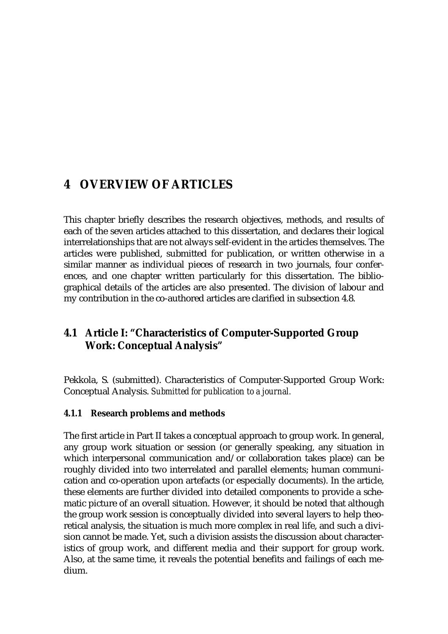# **4 OVERVIEW OF ARTICLES**

This chapter briefly describes the research objectives, methods, and results of each of the seven articles attached to this dissertation, and declares their logical interrelationships that are not always self-evident in the articles themselves. The articles were published, submitted for publication, or written otherwise in a similar manner as individual pieces of research in two journals, four conferences, and one chapter written particularly for this dissertation. The bibliographical details of the articles are also presented. The division of labour and my contribution in the co-authored articles are clarified in subsection 4.8.

## **4.1 Article I: "Characteristics of Computer-Supported Group Work: Conceptual Analysis"**

Pekkola, S. (submitted). Characteristics of Computer-Supported Group Work: Conceptual Analysis. *Submitted for publication to a journal.* 

## **4.1.1 Research problems and methods**

The first article in Part II takes a conceptual approach to group work. In general, any group work situation or session (or generally speaking, any situation in which interpersonal communication and/or collaboration takes place) can be roughly divided into two interrelated and parallel elements; human communication and co-operation upon artefacts (or especially documents). In the article, these elements are further divided into detailed components to provide a schematic picture of an overall situation. However, it should be noted that although the group work session is conceptually divided into several layers to help theoretical analysis, the situation is much more complex in real life, and such a division cannot be made. Yet, such a division assists the discussion about characteristics of group work, and different media and their support for group work. Also, at the same time, it reveals the potential benefits and failings of each medium.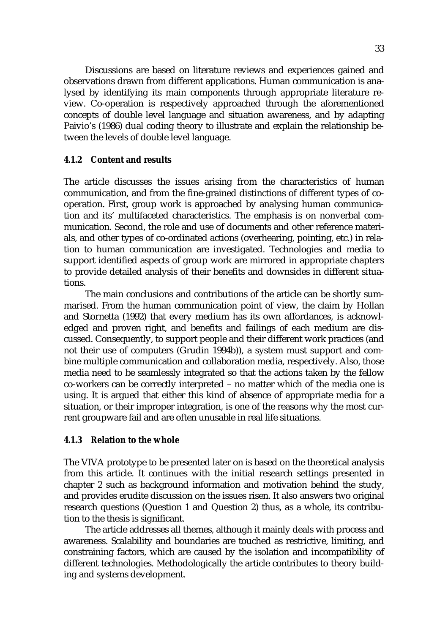Discussions are based on literature reviews and experiences gained and observations drawn from different applications. Human communication is analysed by identifying its main components through appropriate literature review. Co-operation is respectively approached through the aforementioned concepts of double level language and situation awareness, and by adapting Paivio's (1986) dual coding theory to illustrate and explain the relationship between the levels of double level language.

#### **4.1.2 Content and results**

The article discusses the issues arising from the characteristics of human communication, and from the fine-grained distinctions of different types of cooperation. First, group work is approached by analysing human communication and its' multifaceted characteristics. The emphasis is on nonverbal communication. Second, the role and use of documents and other reference materials, and other types of co-ordinated actions (overhearing, pointing, etc.) in relation to human communication are investigated. Technologies and media to support identified aspects of group work are mirrored in appropriate chapters to provide detailed analysis of their benefits and downsides in different situations.

The main conclusions and contributions of the article can be shortly summarised. From the human communication point of view, the claim by Hollan and Stornetta (1992) that every medium has its own affordances, is acknowledged and proven right, and benefits and failings of each medium are discussed. Consequently, to support people and their different work practices (and not their use of computers (Grudin 1994b)), a system must support and combine multiple communication and collaboration media, respectively. Also, those media need to be seamlessly integrated so that the actions taken by the fellow co-workers can be correctly interpreted – no matter which of the media one is using. It is argued that either this kind of absence of appropriate media for a situation, or their improper integration, is one of the reasons why the most current groupware fail and are often unusable in real life situations.

#### **4.1.3 Relation to the whole**

The VIVA prototype to be presented later on is based on the theoretical analysis from this article. It continues with the initial research settings presented in chapter 2 such as background information and motivation behind the study, and provides erudite discussion on the issues risen. It also answers two original research questions (Question 1 and Question 2) thus, as a whole, its contribution to the thesis is significant.

The article addresses all themes, although it mainly deals with process and awareness. Scalability and boundaries are touched as restrictive, limiting, and constraining factors, which are caused by the isolation and incompatibility of different technologies. Methodologically the article contributes to theory building and systems development.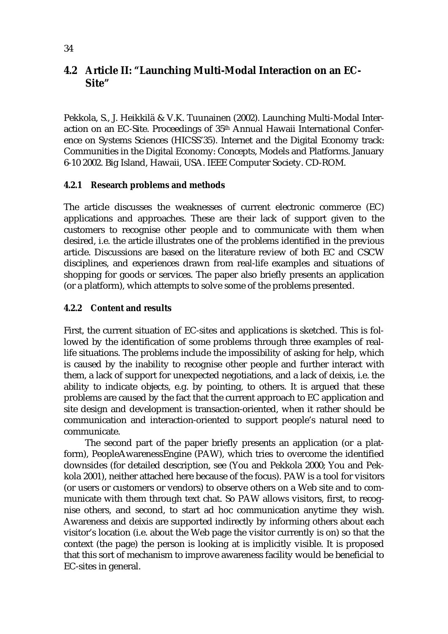## **4.2 Article II: "Launching Multi-Modal Interaction on an EC-Site"**

Pekkola, S., J. Heikkilä & V.K. Tuunainen (2002). Launching Multi-Modal Interaction on an EC-Site. Proceedings of 35th Annual Hawaii International Conference on Systems Sciences (HICSS'35). Internet and the Digital Economy track: Communities in the Digital Economy: Concepts, Models and Platforms. January 6-10 2002. Big Island, Hawaii, USA. IEEE Computer Society. CD-ROM.

## **4.2.1 Research problems and methods**

The article discusses the weaknesses of current electronic commerce (EC) applications and approaches. These are their lack of support given to the customers to recognise other people and to communicate with them when desired, i.e. the article illustrates one of the problems identified in the previous article. Discussions are based on the literature review of both EC and CSCW disciplines, and experiences drawn from real-life examples and situations of shopping for goods or services. The paper also briefly presents an application (or a platform), which attempts to solve some of the problems presented.

## **4.2.2 Content and results**

First, the current situation of EC-sites and applications is sketched. This is followed by the identification of some problems through three examples of reallife situations. The problems include the impossibility of asking for help, which is caused by the inability to recognise other people and further interact with them, a lack of support for unexpected negotiations, and a lack of deixis, i.e. the ability to indicate objects, e.g. by pointing, to others. It is argued that these problems are caused by the fact that the current approach to EC application and site design and development is transaction-oriented, when it rather should be communication and interaction-oriented to support people's natural need to communicate.

The second part of the paper briefly presents an application (or a platform), PeopleAwarenessEngine (PAW), which tries to overcome the identified downsides (for detailed description, see (You and Pekkola 2000; You and Pekkola 2001), neither attached here because of the focus). PAW is a tool for visitors (or users or customers or vendors) to observe others on a Web site and to communicate with them through text chat. So PAW allows visitors, first, to recognise others, and second, to start ad hoc communication anytime they wish. Awareness and deixis are supported indirectly by informing others about each visitor's location (i.e. about the Web page the visitor currently is on) so that the context (the page) the person is looking at is implicitly visible. It is proposed that this sort of mechanism to improve awareness facility would be beneficial to EC-sites in general.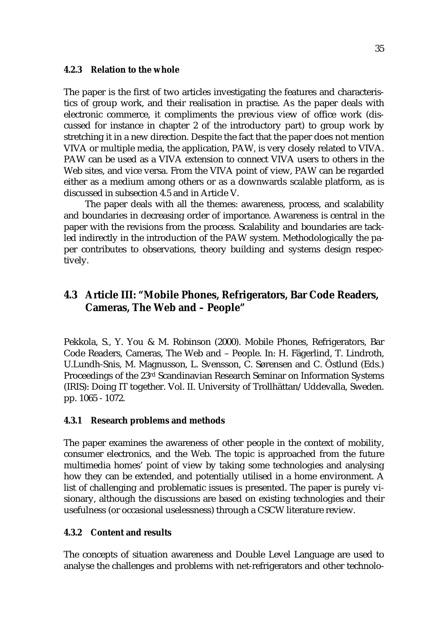#### **4.2.3 Relation to the whole**

The paper is the first of two articles investigating the features and characteristics of group work, and their realisation in practise. As the paper deals with electronic commerce, it compliments the previous view of office work (discussed for instance in chapter 2 of the introductory part) to group work by stretching it in a new direction. Despite the fact that the paper does not mention VIVA or multiple media, the application, PAW, is very closely related to VIVA. PAW can be used as a VIVA extension to connect VIVA users to others in the Web sites, and vice versa. From the VIVA point of view, PAW can be regarded either as a medium among others or as a downwards scalable platform, as is discussed in subsection 4.5 and in Article V.

The paper deals with all the themes: awareness, process, and scalability and boundaries in decreasing order of importance. Awareness is central in the paper with the revisions from the process. Scalability and boundaries are tackled indirectly in the introduction of the PAW system. Methodologically the paper contributes to observations, theory building and systems design respectively.

## **4.3 Article III: "Mobile Phones, Refrigerators, Bar Code Readers, Cameras, The Web and – People"**

Pekkola, S., Y. You & M. Robinson (2000). Mobile Phones, Refrigerators, Bar Code Readers, Cameras, The Web and – People. In: H. Fägerlind, T. Lindroth, U.Lundh-Snis, M. Magnusson, L. Svensson, C. Sørensen and C. Östlund (Eds.) Proceedings of the 23rd Scandinavian Research Seminar on Information Systems (IRIS): Doing IT together. Vol. II. University of Trollhättan/Uddevalla, Sweden. pp. 1065 - 1072.

#### **4.3.1 Research problems and methods**

The paper examines the awareness of other people in the context of mobility, consumer electronics, and the Web. The topic is approached from the future multimedia homes' point of view by taking some technologies and analysing how they can be extended, and potentially utilised in a home environment. A list of challenging and problematic issues is presented. The paper is purely visionary, although the discussions are based on existing technologies and their usefulness (or occasional uselessness) through a CSCW literature review.

#### **4.3.2 Content and results**

The concepts of situation awareness and Double Level Language are used to analyse the challenges and problems with net-refrigerators and other technolo-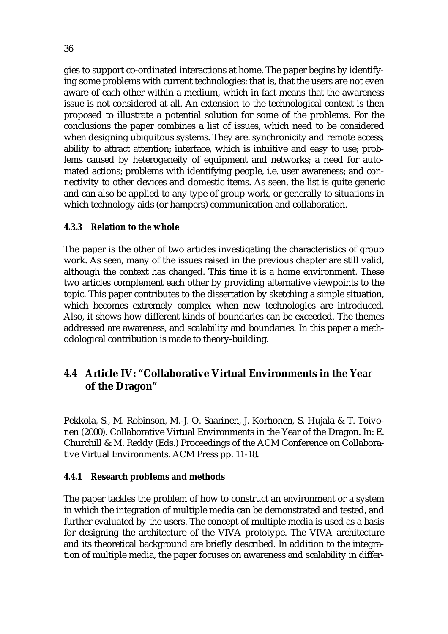gies to support co-ordinated interactions at home. The paper begins by identifying some problems with current technologies; that is, that the users are not even aware of each other within a medium, which in fact means that the awareness issue is not considered at all. An extension to the technological context is then proposed to illustrate a potential solution for some of the problems. For the conclusions the paper combines a list of issues, which need to be considered when designing ubiquitous systems. They are: synchronicity and remote access; ability to attract attention; interface, which is intuitive and easy to use; problems caused by heterogeneity of equipment and networks; a need for automated actions; problems with identifying people, i.e. user awareness; and connectivity to other devices and domestic items. As seen, the list is quite generic and can also be applied to any type of group work, or generally to situations in which technology aids (or hampers) communication and collaboration.

## **4.3.3 Relation to the whole**

The paper is the other of two articles investigating the characteristics of group work. As seen, many of the issues raised in the previous chapter are still valid, although the context has changed. This time it is a home environment. These two articles complement each other by providing alternative viewpoints to the topic. This paper contributes to the dissertation by sketching a simple situation, which becomes extremely complex when new technologies are introduced. Also, it shows how different kinds of boundaries can be exceeded. The themes addressed are awareness, and scalability and boundaries. In this paper a methodological contribution is made to theory-building.

## **4.4 Article IV: "Collaborative Virtual Environments in the Year of the Dragon"**

Pekkola, S., M. Robinson, M.-J. O. Saarinen, J. Korhonen, S. Hujala & T. Toivonen (2000). Collaborative Virtual Environments in the Year of the Dragon. In: E. Churchill & M. Reddy (Eds.) Proceedings of the ACM Conference on Collaborative Virtual Environments. ACM Press pp. 11-18.

## **4.4.1 Research problems and methods**

The paper tackles the problem of how to construct an environment or a system in which the integration of multiple media can be demonstrated and tested, and further evaluated by the users. The concept of multiple media is used as a basis for designing the architecture of the VIVA prototype. The VIVA architecture and its theoretical background are briefly described. In addition to the integration of multiple media, the paper focuses on awareness and scalability in differ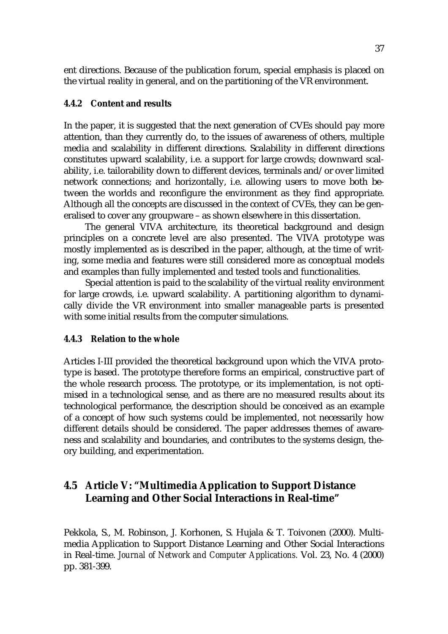ent directions. Because of the publication forum, special emphasis is placed on the virtual reality in general, and on the partitioning of the VR environment.

#### **4.4.2 Content and results**

In the paper, it is suggested that the next generation of CVEs should pay more attention, than they currently do, to the issues of awareness of others, multiple media and scalability in different directions. Scalability in different directions constitutes upward scalability, i.e. a support for large crowds; downward scalability, i.e. tailorability down to different devices, terminals and/or over limited network connections; and horizontally, i.e. allowing users to move both between the worlds and reconfigure the environment as they find appropriate. Although all the concepts are discussed in the context of CVEs, they can be generalised to cover any groupware – as shown elsewhere in this dissertation.

The general VIVA architecture, its theoretical background and design principles on a concrete level are also presented. The VIVA prototype was mostly implemented as is described in the paper, although, at the time of writing, some media and features were still considered more as conceptual models and examples than fully implemented and tested tools and functionalities.

Special attention is paid to the scalability of the virtual reality environment for large crowds, i.e. upward scalability. A partitioning algorithm to dynamically divide the VR environment into smaller manageable parts is presented with some initial results from the computer simulations.

#### **4.4.3 Relation to the whole**

Articles I-III provided the theoretical background upon which the VIVA prototype is based. The prototype therefore forms an empirical, constructive part of the whole research process. The prototype, or its implementation, is not optimised in a technological sense, and as there are no measured results about its technological performance, the description should be conceived as an example of a concept of how such systems could be implemented, not necessarily how different details should be considered. The paper addresses themes of awareness and scalability and boundaries, and contributes to the systems design, theory building, and experimentation.

## **4.5 Article V: "Multimedia Application to Support Distance Learning and Other Social Interactions in Real-time"**

Pekkola, S., M. Robinson, J. Korhonen, S. Hujala & T. Toivonen (2000). Multimedia Application to Support Distance Learning and Other Social Interactions in Real-time. *Journal of Network and Computer Applications.* Vol. 23, No. 4 (2000) pp. 381-399.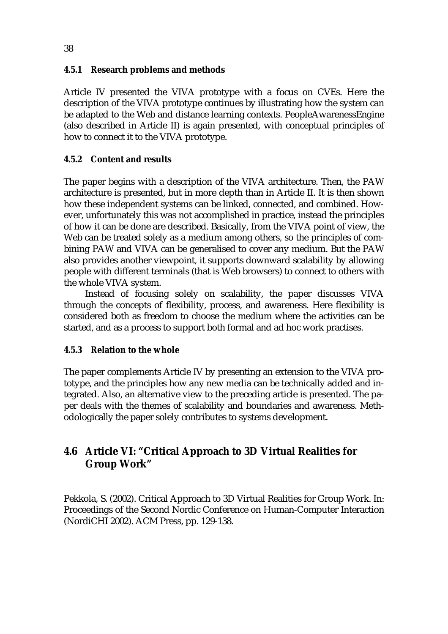# **4.5.1 Research problems and methods**

Article IV presented the VIVA prototype with a focus on CVEs. Here the description of the VIVA prototype continues by illustrating how the system can be adapted to the Web and distance learning contexts. PeopleAwarenessEngine (also described in Article II) is again presented, with conceptual principles of how to connect it to the VIVA prototype.

# **4.5.2 Content and results**

The paper begins with a description of the VIVA architecture. Then, the PAW architecture is presented, but in more depth than in Article II. It is then shown how these independent systems can be linked, connected, and combined. However, unfortunately this was not accomplished in practice, instead the principles of how it can be done are described. Basically, from the VIVA point of view, the Web can be treated solely as a medium among others, so the principles of combining PAW and VIVA can be generalised to cover any medium. But the PAW also provides another viewpoint, it supports downward scalability by allowing people with different terminals (that is Web browsers) to connect to others with the whole VIVA system.

Instead of focusing solely on scalability, the paper discusses VIVA through the concepts of flexibility, process, and awareness. Here flexibility is considered both as freedom to choose the medium where the activities can be started, and as a process to support both formal and ad hoc work practises.

### **4.5.3 Relation to the whole**

The paper complements Article IV by presenting an extension to the VIVA prototype, and the principles how any new media can be technically added and integrated. Also, an alternative view to the preceding article is presented. The paper deals with the themes of scalability and boundaries and awareness. Methodologically the paper solely contributes to systems development.

# **4.6 Article VI: "Critical Approach to 3D Virtual Realities for Group Work"**

Pekkola, S. (2002). Critical Approach to 3D Virtual Realities for Group Work. In: Proceedings of the Second Nordic Conference on Human-Computer Interaction (NordiCHI 2002). ACM Press, pp. 129-138.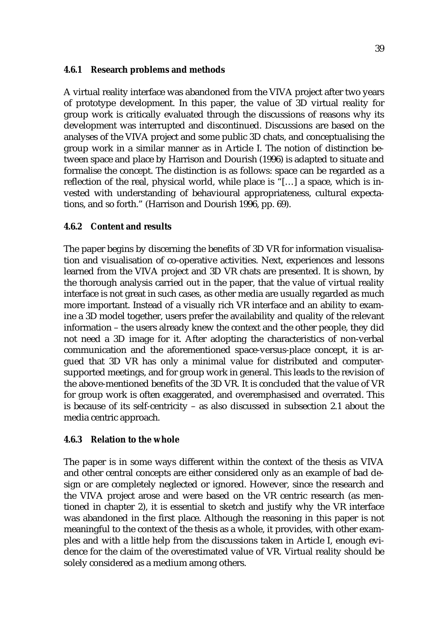#### **4.6.1 Research problems and methods**

A virtual reality interface was abandoned from the VIVA project after two years of prototype development. In this paper, the value of 3D virtual reality for group work is critically evaluated through the discussions of reasons why its development was interrupted and discontinued. Discussions are based on the analyses of the VIVA project and some public 3D chats, and conceptualising the group work in a similar manner as in Article I. The notion of distinction between space and place by Harrison and Dourish (1996) is adapted to situate and formalise the concept. The distinction is as follows: space can be regarded as a reflection of the real, physical world, while place is "[…] a space, which is invested with understanding of behavioural appropriateness, cultural expectations, and so forth." (Harrison and Dourish 1996, pp. 69).

### **4.6.2 Content and results**

The paper begins by discerning the benefits of 3D VR for information visualisation and visualisation of co-operative activities. Next, experiences and lessons learned from the VIVA project and 3D VR chats are presented. It is shown, by the thorough analysis carried out in the paper, that the value of virtual reality interface is not great in such cases, as other media are usually regarded as much more important. Instead of a visually rich VR interface and an ability to examine a 3D model together, users prefer the availability and quality of the relevant information – the users already knew the context and the other people, they did not need a 3D image for it. After adopting the characteristics of non-verbal communication and the aforementioned space-versus-place concept, it is argued that 3D VR has only a minimal value for distributed and computersupported meetings, and for group work in general. This leads to the revision of the above-mentioned benefits of the 3D VR. It is concluded that the value of VR for group work is often exaggerated, and overemphasised and overrated. This is because of its self-centricity – as also discussed in subsection 2.1 about the media centric approach.

### **4.6.3 Relation to the whole**

The paper is in some ways different within the context of the thesis as VIVA and other central concepts are either considered only as an example of bad design or are completely neglected or ignored. However, since the research and the VIVA project arose and were based on the VR centric research (as mentioned in chapter 2), it is essential to sketch and justify why the VR interface was abandoned in the first place. Although the reasoning in this paper is not meaningful to the context of the thesis as a whole, it provides, with other examples and with a little help from the discussions taken in Article I, enough evidence for the claim of the overestimated value of VR. Virtual reality should be solely considered as a medium among others.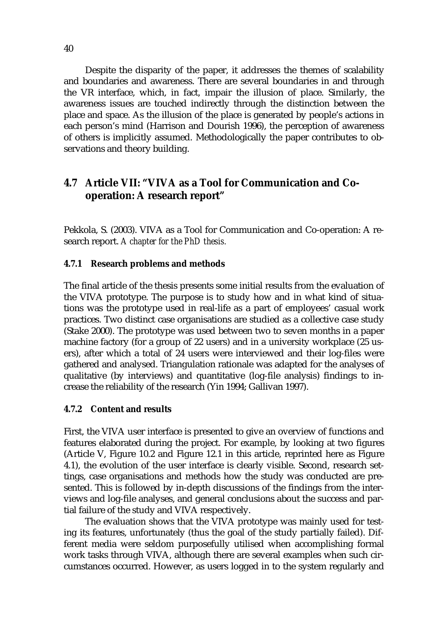Despite the disparity of the paper, it addresses the themes of scalability and boundaries and awareness. There are several boundaries in and through the VR interface, which, in fact, impair the illusion of place. Similarly, the awareness issues are touched indirectly through the distinction between the place and space. As the illusion of the place is generated by people's actions in each person's mind (Harrison and Dourish 1996), the perception of awareness of others is implicitly assumed. Methodologically the paper contributes to observations and theory building.

# **4.7 Article VII: "VIVA as a Tool for Communication and Cooperation: A research report"**

Pekkola, S. (2003). VIVA as a Tool for Communication and Co-operation: A research report. *A chapter for the PhD thesis.* 

#### **4.7.1 Research problems and methods**

The final article of the thesis presents some initial results from the evaluation of the VIVA prototype. The purpose is to study how and in what kind of situations was the prototype used in real-life as a part of employees' casual work practices. Two distinct case organisations are studied as a collective case study (Stake 2000). The prototype was used between two to seven months in a paper machine factory (for a group of 22 users) and in a university workplace (25 users), after which a total of 24 users were interviewed and their log-files were gathered and analysed. Triangulation rationale was adapted for the analyses of qualitative (by interviews) and quantitative (log-file analysis) findings to increase the reliability of the research (Yin 1994; Gallivan 1997).

#### **4.7.2 Content and results**

First, the VIVA user interface is presented to give an overview of functions and features elaborated during the project. For example, by looking at two figures (Article V, Figure 10.2 and Figure 12.1 in this article, reprinted here as Figure 4.1), the evolution of the user interface is clearly visible. Second, research settings, case organisations and methods how the study was conducted are presented. This is followed by in-depth discussions of the findings from the interviews and log-file analyses, and general conclusions about the success and partial failure of the study and VIVA respectively.

The evaluation shows that the VIVA prototype was mainly used for testing its features, unfortunately (thus the goal of the study partially failed). Different media were seldom purposefully utilised when accomplishing formal work tasks through VIVA, although there are several examples when such circumstances occurred. However, as users logged in to the system regularly and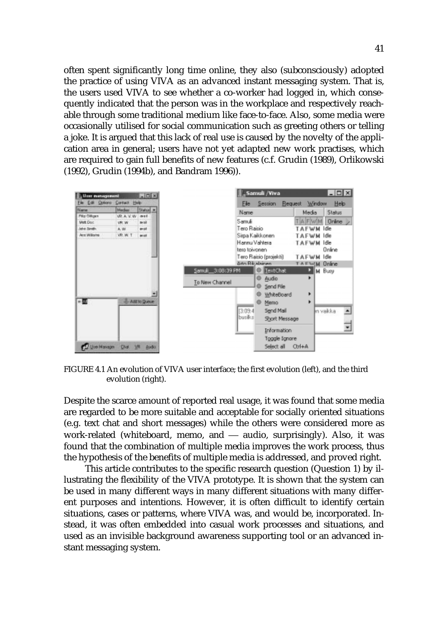often spent significantly long time online, they also (subconsciously) adopted the practice of using VIVA as an advanced instant messaging system. That is, the users used VIVA to see whether a co-worker had logged in, which consequently indicated that the person was in the workplace and respectively reachable through some traditional medium like face-to-face. Also, some media were occasionally utilised for social communication such as greeting others or telling a joke. It is argued that this lack of real use is caused by the novelty of the application area in general; users have not yet adapted new work practises, which are required to gain full benefits of new features (c.f. Grudin (1989), Orlikowski (1992), Grudin (1994b), and Bandram 1996)).

| User management                |                | $ \Box$ $\times$ |                  |               | <b>Samuli /Viva</b>        |                     | $\Box$ D $\times$ |  |
|--------------------------------|----------------|------------------|------------------|---------------|----------------------------|---------------------|-------------------|--|
| Ele Edit Options Centect Help- |                |                  |                  | File          | Session                    | Request Window      | Help              |  |
| Name.                          | <b>Hedar</b>   | Status +         |                  | Name          |                            | Media               | Status            |  |
| Pike Cilligen                  | <b>VRA V.W</b> | met              |                  | Samuli        |                            | TA FWM              | Online            |  |
| <b>Mark Doc</b>                | VW WV          | <b>Birth</b>     |                  |               |                            |                     |                   |  |
| Mri Smith                      | A.W.           | an sit           |                  | Tero Raisio   |                            | TAFWM Idle          |                   |  |
| Acc'Allisons                   | VR.W.T         | anal.            |                  |               | Sirpa Kaikkonen            | TAFWM Idle          |                   |  |
|                                |                |                  |                  |               | Hannu Vahtera              | ⊺AFWM               | Idle              |  |
|                                |                |                  |                  | tera toivonen |                            |                     | Online            |  |
|                                |                |                  |                  |               | Tero Raisio (projekti)     | <b>TAFWM</b>        | Idle              |  |
|                                |                |                  |                  |               | <b>&amp; An Filippinen</b> | <b>TAFWM Online</b> |                   |  |
|                                |                |                  | Samul 3:08:39 PM |               | IextChat                   |                     | M Busy            |  |
|                                |                |                  |                  |               | <sup>©</sup> Audio         |                     |                   |  |
|                                |                |                  | To New Channel   |               | Send File                  |                     |                   |  |
|                                |                |                  |                  |               | WhiteBoard                 | ٠                   |                   |  |
| ÷Ш                             |                | Add to Dutch     |                  |               | Memo                       | ٠                   |                   |  |
|                                |                |                  |                  |               |                            |                     |                   |  |
|                                |                |                  |                  | 13:09.4       | Send Mail                  |                     | in vaikka         |  |
|                                |                |                  |                  | busiks        | Short Message              |                     |                   |  |
|                                |                |                  |                  |               | <b>Information</b>         |                     |                   |  |
|                                |                |                  |                  |               | Toggle Ignore              |                     |                   |  |
| <b>Uje Masson</b>              | Did VR Audio   |                  |                  |               | Select all                 | $Qn+A$              |                   |  |

FIGURE 4.1 An evolution of VIVA user interface; the first evolution (left), and the third evolution (right).

Despite the scarce amount of reported real usage, it was found that some media are regarded to be more suitable and acceptable for socially oriented situations (e.g. text chat and short messages) while the others were considered more as work-related (whiteboard, memo, and  $-$  audio, surprisingly). Also, it was found that the combination of multiple media improves the work process, thus the hypothesis of the benefits of multiple media is addressed, and proved right.

This article contributes to the specific research question (Question 1) by illustrating the flexibility of the VIVA prototype. It is shown that the system can be used in many different ways in many different situations with many different purposes and intentions. However, it is often difficult to identify certain situations, cases or patterns, where VIVA was, and would be, incorporated. Instead, it was often embedded into casual work processes and situations, and used as an invisible background awareness supporting tool or an advanced instant messaging system.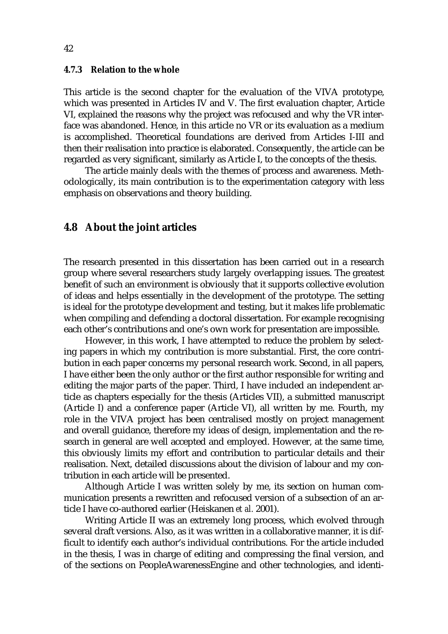#### **4.7.3 Relation to the whole**

This article is the second chapter for the evaluation of the VIVA prototype, which was presented in Articles IV and V. The first evaluation chapter, Article VI, explained the reasons why the project was refocused and why the VR interface was abandoned. Hence, in this article no VR or its evaluation as a medium is accomplished. Theoretical foundations are derived from Articles I-III and then their realisation into practice is elaborated. Consequently, the article can be regarded as very significant, similarly as Article I, to the concepts of the thesis.

The article mainly deals with the themes of process and awareness. Methodologically, its main contribution is to the experimentation category with less emphasis on observations and theory building.

# **4.8 About the joint articles**

The research presented in this dissertation has been carried out in a research group where several researchers study largely overlapping issues. The greatest benefit of such an environment is obviously that it supports collective evolution of ideas and helps essentially in the development of the prototype. The setting is ideal for the prototype development and testing, but it makes life problematic when compiling and defending a doctoral dissertation. For example recognising each other's contributions and one's own work for presentation are impossible.

However, in this work, I have attempted to reduce the problem by selecting papers in which my contribution is more substantial. First, the core contribution in each paper concerns my personal research work. Second, in all papers, I have either been the only author or the first author responsible for writing and editing the major parts of the paper. Third, I have included an independent article as chapters especially for the thesis (Articles VII), a submitted manuscript (Article I) and a conference paper (Article VI), all written by me. Fourth, my role in the VIVA project has been centralised mostly on project management and overall guidance, therefore my ideas of design, implementation and the research in general are well accepted and employed. However, at the same time, this obviously limits my effort and contribution to particular details and their realisation. Next, detailed discussions about the division of labour and my contribution in each article will be presented.

Although Article I was written solely by me, its section on human communication presents a rewritten and refocused version of a subsection of an article I have co-authored earlier (Heiskanen *et al.* 2001).

Writing Article II was an extremely long process, which evolved through several draft versions. Also, as it was written in a collaborative manner, it is difficult to identify each author's individual contributions. For the article included in the thesis, I was in charge of editing and compressing the final version, and of the sections on PeopleAwarenessEngine and other technologies, and identi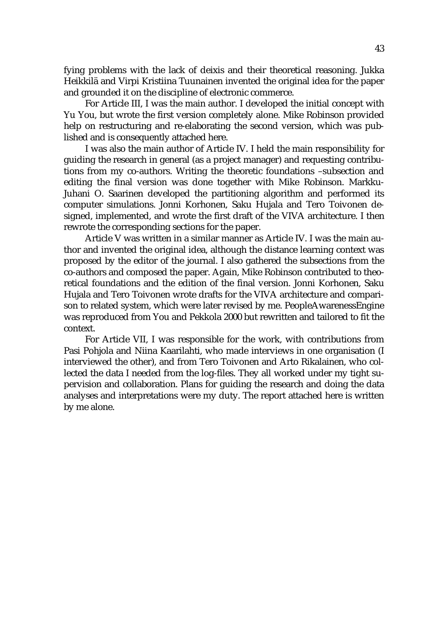fying problems with the lack of deixis and their theoretical reasoning. Jukka Heikkilä and Virpi Kristiina Tuunainen invented the original idea for the paper and grounded it on the discipline of electronic commerce.

For Article III, I was the main author. I developed the initial concept with Yu You, but wrote the first version completely alone. Mike Robinson provided help on restructuring and re-elaborating the second version, which was published and is consequently attached here.

I was also the main author of Article IV. I held the main responsibility for guiding the research in general (as a project manager) and requesting contributions from my co-authors. Writing the theoretic foundations –subsection and editing the final version was done together with Mike Robinson. Markku-Juhani O. Saarinen developed the partitioning algorithm and performed its computer simulations. Jonni Korhonen, Saku Hujala and Tero Toivonen designed, implemented, and wrote the first draft of the VIVA architecture. I then rewrote the corresponding sections for the paper.

Article V was written in a similar manner as Article IV. I was the main author and invented the original idea, although the distance learning context was proposed by the editor of the journal. I also gathered the subsections from the co-authors and composed the paper. Again, Mike Robinson contributed to theoretical foundations and the edition of the final version. Jonni Korhonen, Saku Hujala and Tero Toivonen wrote drafts for the VIVA architecture and comparison to related system, which were later revised by me. PeopleAwarenessEngine was reproduced from You and Pekkola 2000 but rewritten and tailored to fit the context.

For Article VII, I was responsible for the work, with contributions from Pasi Pohjola and Niina Kaarilahti, who made interviews in one organisation (I interviewed the other), and from Tero Toivonen and Arto Rikalainen, who collected the data I needed from the log-files. They all worked under my tight supervision and collaboration. Plans for guiding the research and doing the data analyses and interpretations were my duty. The report attached here is written by me alone.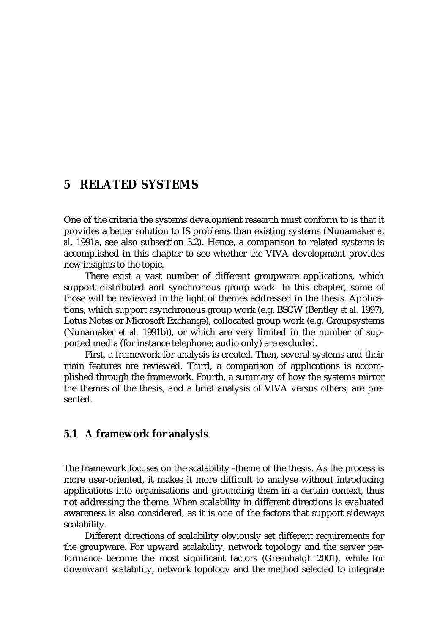# **5 RELATED SYSTEMS**

One of the criteria the systems development research must conform to is that it provides a better solution to IS problems than existing systems (Nunamaker *et al.* 1991a, see also subsection 3.2). Hence, a comparison to related systems is accomplished in this chapter to see whether the VIVA development provides new insights to the topic.

There exist a vast number of different groupware applications, which support distributed and synchronous group work. In this chapter, some of those will be reviewed in the light of themes addressed in the thesis. Applications, which support asynchronous group work (e.g. BSCW (Bentley *et al.* 1997), Lotus Notes or Microsoft Exchange), collocated group work (e.g. Groupsystems (Nunamaker *et al.* 1991b)), or which are very limited in the number of supported media (for instance telephone; audio only) are excluded.

First, a framework for analysis is created. Then, several systems and their main features are reviewed. Third, a comparison of applications is accomplished through the framework. Fourth, a summary of how the systems mirror the themes of the thesis, and a brief analysis of VIVA versus others, are presented.

# **5.1 A framework for analysis**

The framework focuses on the scalability -theme of the thesis. As the process is more user-oriented, it makes it more difficult to analyse without introducing applications into organisations and grounding them in a certain context, thus not addressing the theme. When scalability in different directions is evaluated awareness is also considered, as it is one of the factors that support sideways scalability.

Different directions of scalability obviously set different requirements for the groupware. For upward scalability, network topology and the server performance become the most significant factors (Greenhalgh 2001), while for downward scalability, network topology and the method selected to integrate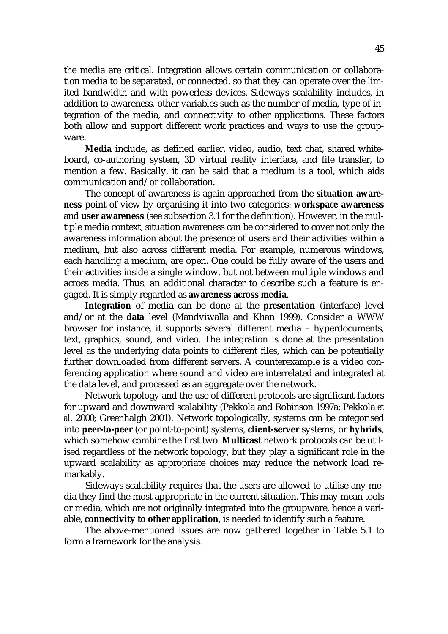the media are critical. Integration allows certain communication or collaboration media to be separated, or connected, so that they can operate over the limited bandwidth and with powerless devices. Sideways scalability includes, in addition to awareness, other variables such as the number of media, type of integration of the media, and connectivity to other applications. These factors both allow and support different work practices and ways to use the groupware.

**Media** include, as defined earlier, video, audio, text chat, shared whiteboard, co-authoring system, 3D virtual reality interface, and file transfer, to mention a few. Basically, it can be said that a medium is a tool, which aids communication and/or collaboration.

The concept of awareness is again approached from the **situation awareness** point of view by organising it into two categories: **workspace awareness** and **user awareness** (see subsection 3.1 for the definition). However, in the multiple media context, situation awareness can be considered to cover not only the awareness information about the presence of users and their activities within a medium, but also across different media. For example, numerous windows, each handling a medium, are open. One could be fully aware of the users and their activities inside a single window, but not between multiple windows and across media. Thus, an additional character to describe such a feature is engaged. It is simply regarded as **awareness across media**.

**Integration** of media can be done at the **presentation** (interface) level and/or at the **data** level (Mandviwalla and Khan 1999). Consider a WWW browser for instance, it supports several different media – hyperdocuments, text, graphics, sound, and video. The integration is done at the presentation level as the underlying data points to different files, which can be potentially further downloaded from different servers. A counterexample is a video conferencing application where sound and video are interrelated and integrated at the data level, and processed as an aggregate over the network.

Network topology and the use of different protocols are significant factors for upward and downward scalability (Pekkola and Robinson 1997a; Pekkola *et al.* 2000; Greenhalgh 2001). Network topologically, systems can be categorised into **peer-to-peer** (or point-to-point) systems, **client-server** systems, or **hybrids**, which somehow combine the first two. **Multicast** network protocols can be utilised regardless of the network topology, but they play a significant role in the upward scalability as appropriate choices may reduce the network load remarkably.

Sideways scalability requires that the users are allowed to utilise any media they find the most appropriate in the current situation. This may mean tools or media, which are not originally integrated into the groupware, hence a variable, **connectivity to other application**, is needed to identify such a feature.

The above-mentioned issues are now gathered together in Table 5.1 to form a framework for the analysis.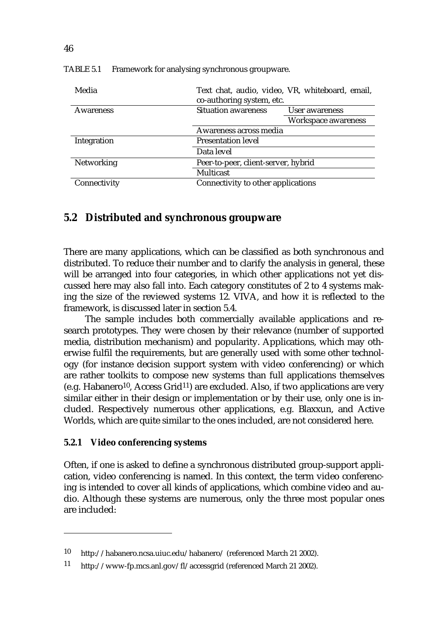| Media            | Text chat, audio, video, VR, whiteboard, email,<br>co-authoring system, etc. |                     |  |  |
|------------------|------------------------------------------------------------------------------|---------------------|--|--|
| <b>Awareness</b> | <b>Situation awareness</b><br>User awareness                                 |                     |  |  |
|                  |                                                                              | Workspace awareness |  |  |
|                  | Awareness across media                                                       |                     |  |  |
| Integration      | <b>Presentation level</b>                                                    |                     |  |  |
|                  |                                                                              |                     |  |  |
| Networking       | Peer-to-peer, client-server, hybrid                                          |                     |  |  |
|                  |                                                                              |                     |  |  |
| Connectivity     | Connectivity to other applications                                           |                     |  |  |

TABLE 5.1 Framework for analysing synchronous groupware.

# **5.2 Distributed and synchronous groupware**

There are many applications, which can be classified as both synchronous and distributed. To reduce their number and to clarify the analysis in general, these will be arranged into four categories, in which other applications not yet discussed here may also fall into. Each category constitutes of 2 to 4 systems making the size of the reviewed systems 12. VIVA, and how it is reflected to the framework, is discussed later in section 5.4.

The sample includes both commercially available applications and research prototypes. They were chosen by their relevance (number of supported media, distribution mechanism) and popularity. Applications, which may otherwise fulfil the requirements, but are generally used with some other technology (for instance decision support system with video conferencing) or which are rather toolkits to compose new systems than full applications themselves (e.g. Habanero<sup>10</sup>, Access Grid<sup>11</sup>) are excluded. Also, if two applications are very similar either in their design or implementation or by their use, only one is included. Respectively numerous other applications, e.g. Blaxxun, and Active Worlds, which are quite similar to the ones included, are not considered here.

#### **5.2.1 Video conferencing systems**

Often, if one is asked to define a synchronous distributed group-support application, video conferencing is named. In this context, the term video conferencing is intended to cover all kinds of applications, which combine video and audio. Although these systems are numerous, only the three most popular ones are included:

<sup>10</sup> http://habanero.ncsa.uiuc.edu/habanero/ (referenced March 21 2002).

<sup>11</sup> http://www-fp.mcs.anl.gov/fl/accessgrid (referenced March 21 2002).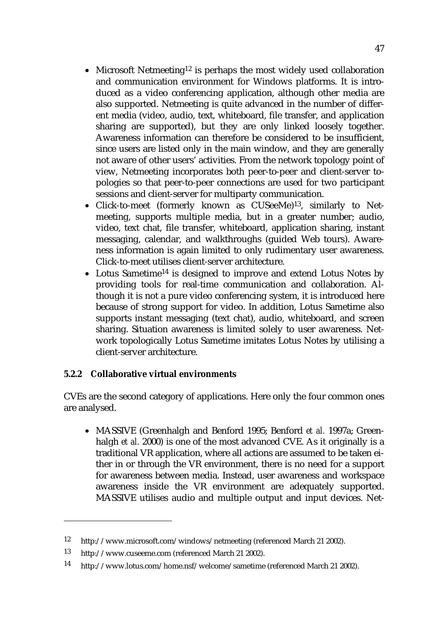- Microsoft Netmeeting<sup>12</sup> is perhaps the most widely used collaboration and communication environment for Windows platforms. It is introduced as a video conferencing application, although other media are also supported. Netmeeting is quite advanced in the number of different media (video, audio, text, whiteboard, file transfer, and application sharing are supported), but they are only linked loosely together. Awareness information can therefore be considered to be insufficient, since users are listed only in the main window, and they are generally not aware of other users' activities. From the network topology point of view, Netmeeting incorporates both peer-to-peer and client-server topologies so that peer-to-peer connections are used for two participant sessions and client-server for multiparty communication.
- Click-to-meet (formerly known as CUSeeMe)13, similarly to Netmeeting, supports multiple media, but in a greater number; audio, video, text chat, file transfer, whiteboard, application sharing, instant messaging, calendar, and walkthroughs (guided Web tours). Awareness information is again limited to only rudimentary user awareness. Click-to-meet utilises client-server architecture.
- Lotus Sametime<sup>14</sup> is designed to improve and extend Lotus Notes by providing tools for real-time communication and collaboration. Although it is not a pure video conferencing system, it is introduced here because of strong support for video. In addition, Lotus Sametime also supports instant messaging (text chat), audio, whiteboard, and screen sharing. Situation awareness is limited solely to user awareness. Network topologically Lotus Sametime imitates Lotus Notes by utilising a client-server architecture.

# **5.2.2 Collaborative virtual environments**

CVEs are the second category of applications. Here only the four common ones are analysed.

• MASSIVE (Greenhalgh and Benford 1995; Benford *et al.* 1997a; Greenhalgh *et al.* 2000) is one of the most advanced CVE. As it originally is a traditional VR application, where all actions are assumed to be taken either in or through the VR environment, there is no need for a support for awareness between media. Instead, user awareness and workspace awareness inside the VR environment are adequately supported. MASSIVE utilises audio and multiple output and input devices. Net-

<sup>12</sup> http://www.microsoft.com/windows/netmeeting (referenced March 21 2002).

<sup>13</sup> http://www.cuseeme.com (referenced March 21 2002).

<sup>14</sup> http://www.lotus.com/home.nsf/welcome/sametime (referenced March 21 2002).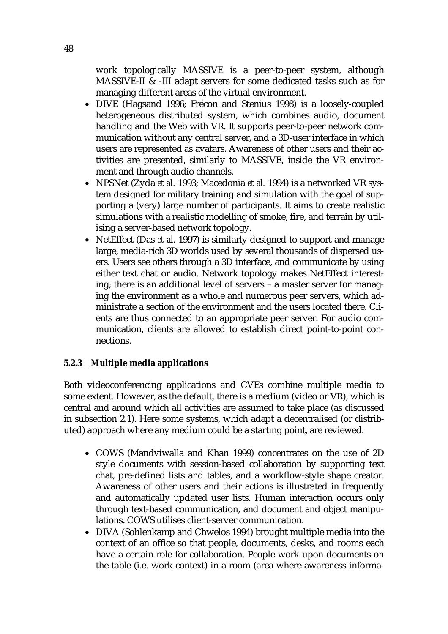work topologically MASSIVE is a peer-to-peer system, although MASSIVE-II & -III adapt servers for some dedicated tasks such as for managing different areas of the virtual environment.

- DIVE (Hagsand 1996; Frécon and Stenius 1998) is a loosely-coupled heterogeneous distributed system, which combines audio, document handling and the Web with VR. It supports peer-to-peer network communication without any central server, and a 3D-user interface in which users are represented as avatars. Awareness of other users and their activities are presented, similarly to MASSIVE, inside the VR environment and through audio channels.
- NPSNet (Zyda *et al.* 1993; Macedonia *et al.* 1994) is a networked VR system designed for military training and simulation with the goal of supporting a (very) large number of participants. It aims to create realistic simulations with a realistic modelling of smoke, fire, and terrain by utilising a server-based network topology.
- NetEffect (Das *et al.* 1997) is similarly designed to support and manage large, media-rich 3D worlds used by several thousands of dispersed users. Users see others through a 3D interface, and communicate by using either text chat or audio. Network topology makes NetEffect interesting; there is an additional level of servers – a master server for managing the environment as a whole and numerous peer servers, which administrate a section of the environment and the users located there. Clients are thus connected to an appropriate peer server. For audio communication, clients are allowed to establish direct point-to-point connections.

# **5.2.3 Multiple media applications**

Both videoconferencing applications and CVEs combine multiple media to some extent. However, as the default, there is a medium (video or VR), which is central and around which all activities are assumed to take place (as discussed in subsection 2.1). Here some systems, which adapt a decentralised (or distributed) approach where any medium could be a starting point, are reviewed.

- COWS (Mandviwalla and Khan 1999) concentrates on the use of 2D style documents with session-based collaboration by supporting text chat, pre-defined lists and tables, and a workflow-style shape creator. Awareness of other users and their actions is illustrated in frequently and automatically updated user lists. Human interaction occurs only through text-based communication, and document and object manipulations. COWS utilises client-server communication.
- DIVA (Sohlenkamp and Chwelos 1994) brought multiple media into the context of an office so that people, documents, desks, and rooms each have a certain role for collaboration. People work upon documents on the table (i.e. work context) in a room (area where awareness informa-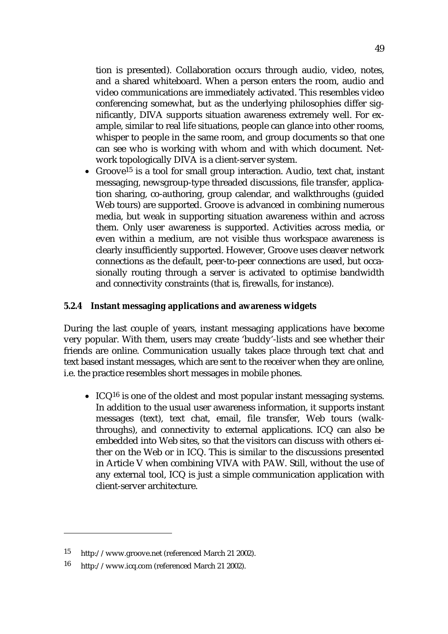tion is presented). Collaboration occurs through audio, video, notes, and a shared whiteboard. When a person enters the room, audio and video communications are immediately activated. This resembles video conferencing somewhat, but as the underlying philosophies differ significantly, DIVA supports situation awareness extremely well. For example, similar to real life situations, people can glance into other rooms, whisper to people in the same room, and group documents so that one can see who is working with whom and with which document. Network topologically DIVA is a client-server system.

• Groove<sup>15</sup> is a tool for small group interaction. Audio, text chat, instant messaging, newsgroup-type threaded discussions, file transfer, application sharing, co-authoring, group calendar, and walkthroughs (guided Web tours) are supported. Groove is advanced in combining numerous media, but weak in supporting situation awareness within and across them. Only user awareness is supported. Activities across media, or even within a medium, are not visible thus workspace awareness is clearly insufficiently supported. However, Groove uses cleaver network connections as the default, peer-to-peer connections are used, but occasionally routing through a server is activated to optimise bandwidth and connectivity constraints (that is, firewalls, for instance).

# **5.2.4 Instant messaging applications and awareness widgets**

During the last couple of years, instant messaging applications have become very popular. With them, users may create 'buddy'-lists and see whether their friends are online. Communication usually takes place through text chat and text based instant messages, which are sent to the receiver when they are online, i.e. the practice resembles short messages in mobile phones.

• ICQ<sup>16</sup> is one of the oldest and most popular instant messaging systems. In addition to the usual user awareness information, it supports instant messages (text), text chat, email, file transfer, Web tours (walkthroughs), and connectivity to external applications. ICQ can also be embedded into Web sites, so that the visitors can discuss with others either on the Web or in ICQ. This is similar to the discussions presented in Article V when combining VIVA with PAW. Still, without the use of any external tool, ICQ is just a simple communication application with client-server architecture.

<sup>15</sup> http://www.groove.net (referenced March 21 2002).

<sup>16</sup> http://www.icq.com (referenced March 21 2002).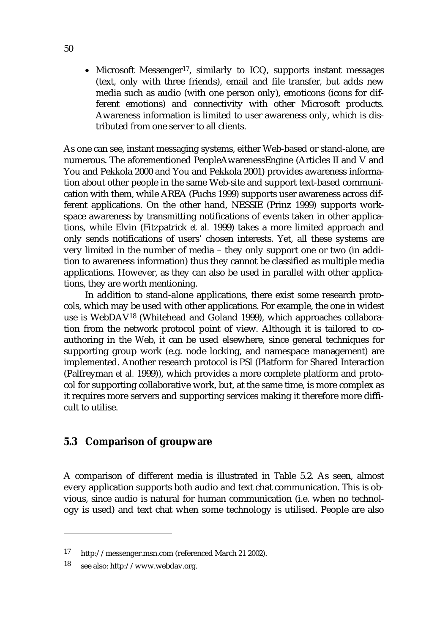• Microsoft Messenger<sup>17</sup>, similarly to ICQ, supports instant messages (text, only with three friends), email and file transfer, but adds new media such as audio (with one person only), emoticons (icons for different emotions) and connectivity with other Microsoft products. Awareness information is limited to user awareness only, which is distributed from one server to all clients.

As one can see, instant messaging systems, either Web-based or stand-alone, are numerous. The aforementioned PeopleAwarenessEngine (Articles II and V and You and Pekkola 2000 and You and Pekkola 2001) provides awareness information about other people in the same Web-site and support text-based communication with them, while AREA (Fuchs 1999) supports user awareness across different applications. On the other hand, NESSIE (Prinz 1999) supports workspace awareness by transmitting notifications of events taken in other applications, while Elvin (Fitzpatrick *et al.* 1999) takes a more limited approach and only sends notifications of users' chosen interests. Yet, all these systems are very limited in the number of media – they only support one or two (in addition to awareness information) thus they cannot be classified as multiple media applications. However, as they can also be used in parallel with other applications, they are worth mentioning.

In addition to stand-alone applications, there exist some research protocols, which may be used with other applications. For example, the one in widest use is WebDAV18 (Whitehead and Goland 1999), which approaches collaboration from the network protocol point of view. Although it is tailored to coauthoring in the Web, it can be used elsewhere, since general techniques for supporting group work (e.g. node locking, and namespace management) are implemented. Another research protocol is PSI (Platform for Shared Interaction (Palfreyman *et al.* 1999)), which provides a more complete platform and protocol for supporting collaborative work, but, at the same time, is more complex as it requires more servers and supporting services making it therefore more difficult to utilise.

# **5.3 Comparison of groupware**

A comparison of different media is illustrated in Table 5.2. As seen, almost every application supports both audio and text chat communication. This is obvious, since audio is natural for human communication (i.e. when no technology is used) and text chat when some technology is utilised. People are also

<sup>17</sup> http://messenger.msn.com (referenced March 21 2002).

<sup>18</sup> see also: http://www.webdav.org.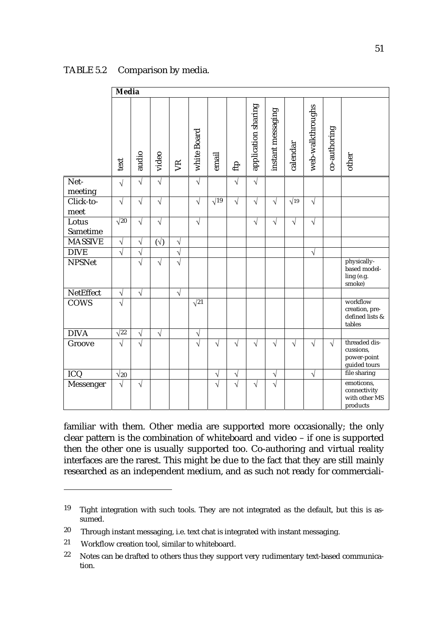#### TABLE 5.2 Comparison by media.

|                   | <b>Media</b> |            |              |                |                       |             |                       |                     |                       |             |                  |              |                                                           |
|-------------------|--------------|------------|--------------|----------------|-----------------------|-------------|-----------------------|---------------------|-----------------------|-------------|------------------|--------------|-----------------------------------------------------------|
|                   | text         | audio      | video        | V <sup>R</sup> | white Board           | email       | fip                   | application sharing | instant messaging     | calendar    | web-walkthroughs | co-authoring | other                                                     |
| Net-<br>meeting   | $\sqrt{ }$   | $\sqrt{}$  | $\sqrt{}$    |                | $\sqrt{}$             |             | $\sqrt{}$             | $\sqrt{}$           |                       |             |                  |              |                                                           |
| Click-to-<br>meet | $\sqrt{ }$   | $\sqrt{}$  | $\sqrt{ }$   |                | $\sqrt{}$             | $\sqrt{19}$ | $\sqrt{}$             | $\sqrt{}$           | $\sqrt{}$             | $\sqrt{19}$ | $\sqrt{}$        |              |                                                           |
| Lotus<br>Sametime | $\sqrt{20}$  | $\sqrt{}$  | $\sqrt{ }$   |                | $\sqrt{}$             |             |                       | $\sqrt{}$           | $\sqrt{}$             | $\sqrt{}$   | $\sqrt{}$        |              |                                                           |
| <b>MASSIVE</b>    | $\sqrt{ }$   | $\sqrt{}$  | $(\sqrt{2})$ | $\sqrt{}$      |                       |             |                       |                     |                       |             |                  |              |                                                           |
| <b>DIVE</b>       | $\sqrt{}$    | N          |              | $\sqrt{}$      |                       |             |                       |                     |                       |             | $\sqrt{}$        |              |                                                           |
| <b>NPSNet</b>     |              | $\sqrt{}$  | $\sqrt{}$    | $\sqrt{}$      |                       |             |                       |                     |                       |             |                  |              | physically-<br>based model-<br>ling (e.g.<br>smoke)       |
| <b>NetEffect</b>  | $\sqrt{}$    | $\sqrt{ }$ |              | $\sqrt{}$      |                       |             |                       |                     |                       |             |                  |              |                                                           |
| <b>COWS</b>       | $\sqrt{}$    |            |              |                | $\sqrt{21}$           |             |                       |                     |                       |             |                  |              | workflow<br>creation, pre-<br>defined lists &<br>tables   |
| <b>DIVA</b>       | $\sqrt{22}$  | $\sqrt{}$  | $\sqrt{}$    |                | $\sqrt{}$             |             |                       |                     |                       |             |                  |              |                                                           |
| Groove            | $\sqrt{}$    | $\sqrt{}$  |              |                | $\overline{\sqrt{2}}$ | $\sqrt{}$   | $\sqrt{}$             | V                   | $\sqrt{}$             | $\sqrt{}$   | V                | $\sqrt{}$    | threaded dis-<br>cussions,<br>power-point<br>guided tours |
| ICQ               | $\sqrt{20}$  |            |              |                |                       | V           | V                     |                     | V                     |             | $\sqrt{}$        |              | file sharing                                              |
| Messenger         | $\sqrt{ }$   | $\sqrt{}$  |              |                |                       | $\sqrt{}$   | $\overline{\sqrt{} }$ | $\sqrt{}$           | $\overline{\sqrt{ }}$ |             |                  |              | emoticons,<br>connectivity<br>with other MS<br>products   |

familiar with them. Other media are supported more occasionally; the only clear pattern is the combination of whiteboard and video – if one is supported then the other one is usually supported too. Co-authoring and virtual reality interfaces are the rarest. This might be due to the fact that they are still mainly researched as an independent medium, and as such not ready for commerciali-

<sup>19</sup> Tight integration with such tools. They are not integrated as the default, but this is assumed.

<sup>20</sup> Through instant messaging, i.e. text chat is integrated with instant messaging.

<sup>21</sup> Workflow creation tool, similar to whiteboard.

 $22$  Notes can be drafted to others thus they support very rudimentary text-based communication.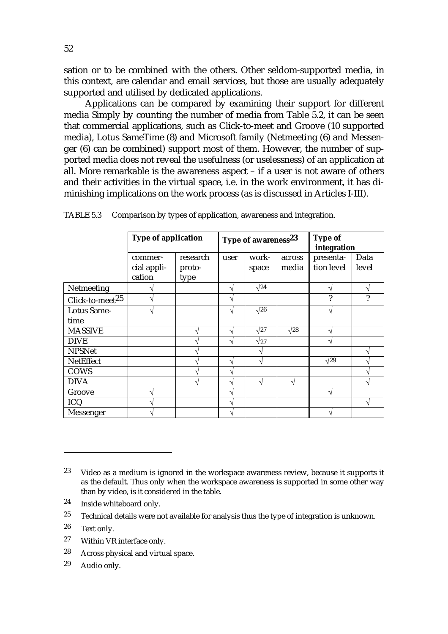sation or to be combined with the others. Other seldom-supported media, in this context, are calendar and email services, but those are usually adequately supported and utilised by dedicated applications.

Applications can be compared by examining their support for different media Simply by counting the number of media from Table 5.2, it can be seen that commercial applications, such as Click-to-meet and Groove (10 supported media), Lotus SameTime (8) and Microsoft family (Netmeeting (6) and Messenger (6) can be combined) support most of them. However, the number of supported media does not reveal the usefulness (or uselessness) of an application at all. More remarkable is the awareness aspect – if a user is not aware of others and their activities in the virtual space, i.e. in the work environment, it has diminishing implications on the work process (as is discussed in Articles I-III).

|                             | <b>Type of application</b>       |                            | Type of awareness <sup>23</sup> | <b>Type of</b><br>integration |                 |                         |               |
|-----------------------------|----------------------------------|----------------------------|---------------------------------|-------------------------------|-----------------|-------------------------|---------------|
|                             | commer-<br>cial appli-<br>cation | research<br>proto-<br>type | user                            | work-<br>space                | across<br>media | presenta-<br>tion level | Data<br>level |
| Netmeeting                  |                                  |                            | ٦                               | $\sqrt{24}$                   |                 |                         |               |
| Click-to-meet <sup>25</sup> |                                  |                            | $\mathcal{L}$                   |                               |                 | 2                       | ?             |
| Lotus Same-<br>time         |                                  |                            | ٦                               | $\sqrt{26}$                   |                 | N                       |               |
| <b>MASSIVE</b>              |                                  |                            | ٦                               | $\sqrt{27}$                   | $\sqrt{28}$     |                         |               |
| <b>DIVE</b>                 |                                  |                            | ٦                               | $\sqrt{27}$                   |                 |                         |               |
| <b>NPSNet</b>               |                                  |                            |                                 |                               |                 |                         |               |
| <b>NetEffect</b>            |                                  |                            |                                 | ٦                             |                 | $\sqrt{29}$             |               |
| <b>COWS</b>                 |                                  |                            |                                 |                               |                 |                         |               |
| <b>DIVA</b>                 |                                  |                            |                                 | ٦                             | ٦               |                         |               |
| Groove                      |                                  |                            |                                 |                               |                 |                         |               |
| ICQ                         |                                  |                            |                                 |                               |                 |                         |               |
| Messenger                   |                                  |                            |                                 |                               |                 |                         |               |

TABLE 5.3 Comparison by types of application, awareness and integration.

- 24 Inside whiteboard only.
- $25$  Technical details were not available for analysis thus the type of integration is unknown.
- 26 Text only.
- 27 Within VR interface only.
- 28 Across physical and virtual space.
- 29 Audio only.

 $23$  Video as a medium is ignored in the workspace awareness review, because it supports it as the default. Thus only when the workspace awareness is supported in some other way than by video, is it considered in the table.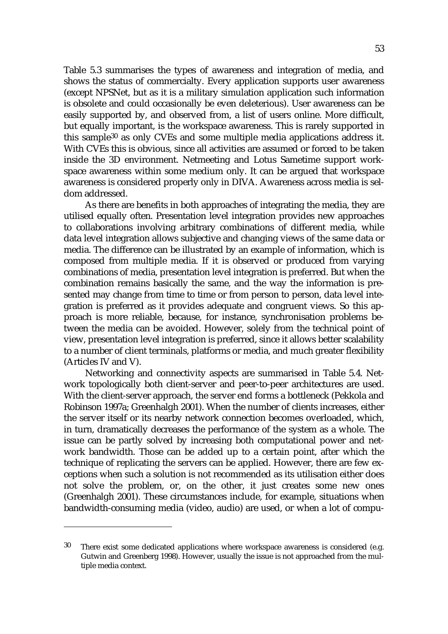Table 5.3 summarises the types of awareness and integration of media, and shows the status of commercialty. Every application supports user awareness (except NPSNet, but as it is a military simulation application such information is obsolete and could occasionally be even deleterious). User awareness can be easily supported by, and observed from, a list of users online. More difficult, but equally important, is the workspace awareness. This is rarely supported in this sample30 as only CVEs and some multiple media applications address it. With CVEs this is obvious, since all activities are assumed or forced to be taken inside the 3D environment. Netmeeting and Lotus Sametime support workspace awareness within some medium only. It can be argued that workspace awareness is considered properly only in DIVA. Awareness across media is seldom addressed.

As there are benefits in both approaches of integrating the media, they are utilised equally often. Presentation level integration provides new approaches to collaborations involving arbitrary combinations of different media, while data level integration allows subjective and changing views of the same data or media. The difference can be illustrated by an example of information, which is composed from multiple media. If it is observed or produced from varying combinations of media, presentation level integration is preferred. But when the combination remains basically the same, and the way the information is presented may change from time to time or from person to person, data level integration is preferred as it provides adequate and congruent views. So this approach is more reliable, because, for instance, synchronisation problems between the media can be avoided. However, solely from the technical point of view, presentation level integration is preferred, since it allows better scalability to a number of client terminals, platforms or media, and much greater flexibility (Articles IV and V).

Networking and connectivity aspects are summarised in Table 5.4. Network topologically both client-server and peer-to-peer architectures are used. With the client-server approach, the server end forms a bottleneck (Pekkola and Robinson 1997a; Greenhalgh 2001). When the number of clients increases, either the server itself or its nearby network connection becomes overloaded, which, in turn, dramatically decreases the performance of the system as a whole. The issue can be partly solved by increasing both computational power and network bandwidth. Those can be added up to a certain point, after which the technique of replicating the servers can be applied. However, there are few exceptions when such a solution is not recommended as its utilisation either does not solve the problem, or, on the other, it just creates some new ones (Greenhalgh 2001). These circumstances include, for example, situations when bandwidth-consuming media (video, audio) are used, or when a lot of compu-

 $30$  There exist some dedicated applications where workspace awareness is considered (e.g. Gutwin and Greenberg 1998). However, usually the issue is not approached from the multiple media context.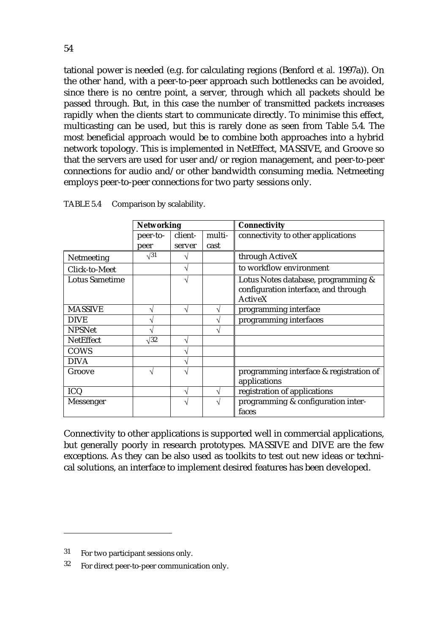tational power is needed (e.g. for calculating regions (Benford *et al.* 1997a)). On the other hand, with a peer-to-peer approach such bottlenecks can be avoided, since there is no centre point, a server, through which all packets should be passed through. But, in this case the number of transmitted packets increases rapidly when the clients start to communicate directly. To minimise this effect, multicasting can be used, but this is rarely done as seen from Table 5.4. The most beneficial approach would be to combine both approaches into a hybrid network topology. This is implemented in NetEffect, MASSIVE, and Groove so that the servers are used for user and/or region management, and peer-to-peer connections for audio and/or other bandwidth consuming media. Netmeeting employs peer-to-peer connections for two party sessions only.

|                       | <b>Networking</b> |               |        | <b>Connectivity</b>                     |  |  |  |
|-----------------------|-------------------|---------------|--------|-----------------------------------------|--|--|--|
|                       | peer-to-          | client-       | multi- | connectivity to other applications      |  |  |  |
|                       | peer              | server        | cast   |                                         |  |  |  |
| Netmeeting            | $\sqrt{31}$       |               |        | through ActiveX                         |  |  |  |
| Click-to-Meet         |                   | N             |        | to workflow environment                 |  |  |  |
| <b>Lotus Sametime</b> |                   | $\mathcal{A}$ |        | Lotus Notes database, programming &     |  |  |  |
|                       |                   |               |        | configuration interface, and through    |  |  |  |
|                       |                   |               |        | <b>ActiveX</b>                          |  |  |  |
| <b>MASSIVE</b>        | N                 | N             | V      | programming interface                   |  |  |  |
| <b>DIVE</b>           | ٦                 |               | ٦1     | programming interfaces                  |  |  |  |
| <b>NPSNet</b>         |                   |               |        |                                         |  |  |  |
| <b>NetEffect</b>      | $\sqrt{32}$       | ٦             |        |                                         |  |  |  |
| <b>COWS</b>           |                   | ٦             |        |                                         |  |  |  |
| DIVA                  |                   | ٦             |        |                                         |  |  |  |
| Groove                | $\mathcal{A}$     | ٦             |        | programming interface & registration of |  |  |  |
|                       |                   |               |        | applications                            |  |  |  |
| <b>ICQ</b>            |                   | N             | V      | registration of applications            |  |  |  |
| Messenger             |                   | $\mathcal{L}$ | ٦Ι     | programming & configuration inter-      |  |  |  |
|                       |                   |               |        | faces                                   |  |  |  |

TABLE 5.4 Comparison by scalability.

Connectivity to other applications is supported well in commercial applications, but generally poorly in research prototypes. MASSIVE and DIVE are the few exceptions. As they can be also used as toolkits to test out new ideas or technical solutions, an interface to implement desired features has been developed.

<sup>31</sup> For two participant sessions only.

<sup>32</sup> For direct peer-to-peer communication only.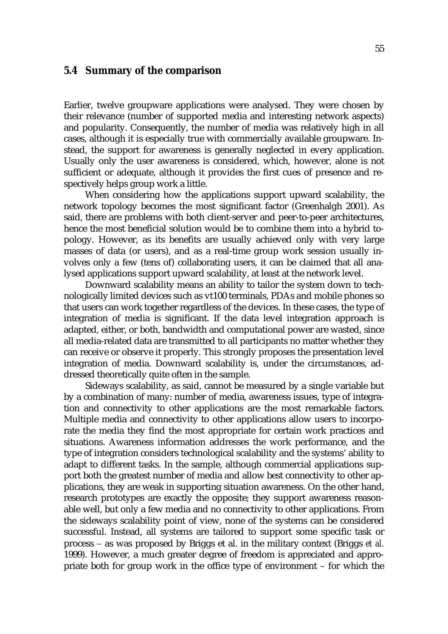#### **5.4 Summary of the comparison**

Earlier, twelve groupware applications were analysed. They were chosen by their relevance (number of supported media and interesting network aspects) and popularity. Consequently, the number of media was relatively high in all cases, although it is especially true with commercially available groupware. Instead, the support for awareness is generally neglected in every application. Usually only the user awareness is considered, which, however, alone is not sufficient or adequate, although it provides the first cues of presence and respectively helps group work a little.

When considering how the applications support upward scalability, the network topology becomes the most significant factor (Greenhalgh 2001). As said, there are problems with both client-server and peer-to-peer architectures, hence the most beneficial solution would be to combine them into a hybrid topology. However, as its benefits are usually achieved only with very large masses of data (or users), and as a real-time group work session usually involves only a few (tens of) collaborating users, it can be claimed that all analysed applications support upward scalability, at least at the network level.

Downward scalability means an ability to tailor the system down to technologically limited devices such as vt100 terminals, PDAs and mobile phones so that users can work together regardless of the devices. In these cases, the type of integration of media is significant. If the data level integration approach is adapted, either, or both, bandwidth and computational power are wasted, since all media-related data are transmitted to all participants no matter whether they can receive or observe it properly. This strongly proposes the presentation level integration of media. Downward scalability is, under the circumstances, addressed theoretically quite often in the sample.

Sideways scalability, as said, cannot be measured by a single variable but by a combination of many: number of media, awareness issues, type of integration and connectivity to other applications are the most remarkable factors. Multiple media and connectivity to other applications allow users to incorporate the media they find the most appropriate for certain work practices and situations. Awareness information addresses the work performance, and the type of integration considers technological scalability and the systems' ability to adapt to different tasks. In the sample, although commercial applications support both the greatest number of media and allow best connectivity to other applications, they are weak in supporting situation awareness. On the other hand, research prototypes are exactly the opposite; they support awareness reasonable well, but only a few media and no connectivity to other applications. From the sideways scalability point of view, none of the systems can be considered successful. Instead, all systems are tailored to support some specific task or process − as was proposed by Briggs et al. in the military context (Briggs *et al.* 1999). However, a much greater degree of freedom is appreciated and appropriate both for group work in the office type of environment – for which the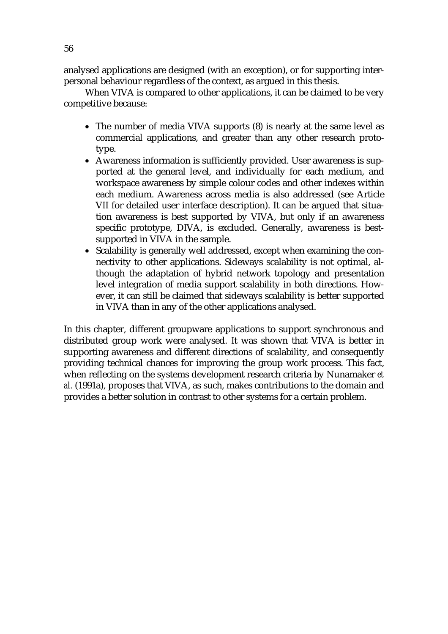analysed applications are designed (with an exception), or for supporting interpersonal behaviour regardless of the context, as argued in this thesis.

When VIVA is compared to other applications, it can be claimed to be very competitive because:

- The number of media VIVA supports (8) is nearly at the same level as commercial applications, and greater than any other research prototype.
- Awareness information is sufficiently provided. User awareness is supported at the general level, and individually for each medium, and workspace awareness by simple colour codes and other indexes within each medium. Awareness across media is also addressed (see Article VII for detailed user interface description). It can be argued that situation awareness is best supported by VIVA, but only if an awareness specific prototype, DIVA, is excluded. Generally, awareness is bestsupported in VIVA in the sample.
- Scalability is generally well addressed, except when examining the connectivity to other applications. Sideways scalability is not optimal, although the adaptation of hybrid network topology and presentation level integration of media support scalability in both directions. However, it can still be claimed that sideways scalability is better supported in VIVA than in any of the other applications analysed.

In this chapter, different groupware applications to support synchronous and distributed group work were analysed. It was shown that VIVA is better in supporting awareness and different directions of scalability, and consequently providing technical chances for improving the group work process. This fact, when reflecting on the systems development research criteria by Nunamaker *et al.* (1991a), proposes that VIVA, as such, makes contributions to the domain and provides a better solution in contrast to other systems for a certain problem.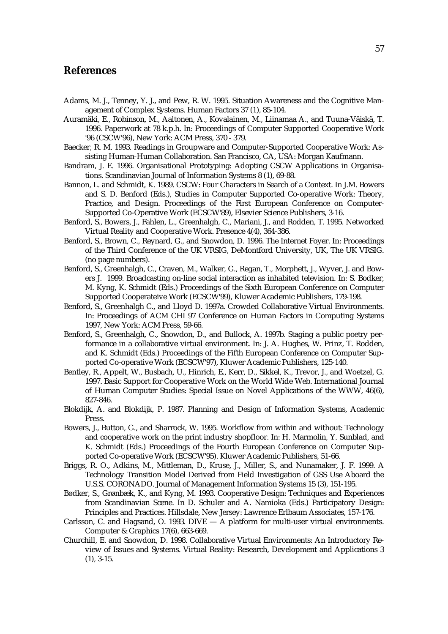## **References**

- Adams, M. J., Tenney, Y. J., and Pew, R. W. 1995. Situation Awareness and the Cognitive Management of Complex Systems. Human Factors 37 (1), 85-104.
- Auramäki, E., Robinson, M., Aaltonen, A., Kovalainen, M., Liinamaa A., and Tuuna-Väiskä, T. 1996. Paperwork at 78 k.p.h. In: Proceedings of Computer Supported Cooperative Work '96 (CSCW'96), New York: ACM Press, 370 - 379.
- Baecker, R. M. 1993. Readings in Groupware and Computer-Supported Cooperative Work: Assisting Human-Human Collaboration. San Francisco, CA, USA: Morgan Kaufmann.
- Bandram, J. E. 1996. Organisational Prototyping: Adopting CSCW Applications in Organisations. Scandinavian Journal of Information Systems 8 (1), 69-88.
- Bannon, L. and Schmidt, K. 1989. CSCW: Four Characters in Search of a Context. In J.M. Bowers and S. D. Benford (Eds.), Studies in Computer Supported Co-operative Work: Theory, Practice, and Design. Proceedings of the First European Conference on Computer-Supported Co-Operative Work (ECSCW'89), Elsevier Science Publishers, 3-16.
- Benford, S., Bowers, J., Fahlen, L., Greenhalgh, C., Mariani, J., and Rodden, T. 1995. Networked Virtual Reality and Cooperative Work. Presence 4(4), 364-386.
- Benford, S., Brown, C., Reynard, G., and Snowdon, D. 1996. The Internet Foyer. In: Proceedings of the Third Conference of the UK VRSIG, DeMontford University, UK, The UK VRSIG. (no page numbers).
- Benford, S., Greenhalgh, C., Craven, M., Walker, G., Regan, T., Morphett, J., Wyver, J. and Bowers J. 1999. Broadcasting on-line social interaction as inhabited television. In: S. Bodker, M. Kyng, K. Schmidt (Eds.) Proceedings of the Sixth European Conference on Computer Supported Cooperateive Work (ECSCW'99), Kluwer Academic Publishers, 179-198.
- Benford, S., Greenhalgh C., and Lloyd D. 1997a. Crowded Collaborative Virtual Environments. In: Proceedings of ACM CHI 97 Conference on Human Factors in Computing Systems 1997, New York: ACM Press, 59-66.
- Benford, S., Greenhalgh, C., Snowdon, D., and Bullock, A. 1997b. Staging a public poetry performance in a collaborative virtual environment. In: J. A. Hughes, W. Prinz, T. Rodden, and K. Schmidt (Eds.) Proceedings of the Fifth European Conference on Computer Supported Co-operative Work (ECSCW'97), Kluwer Academic Publishers, 125-140.
- Bentley, R., Appelt, W., Busbach, U., Hinrich, E., Kerr, D., Sikkel, K., Trevor, J., and Woetzel, G. 1997. Basic Support for Cooperative Work on the World Wide Web. International Journal of Human Computer Studies: Special Issue on Novel Applications of the WWW, 46(6), 827-846.
- Blokdijk, A. and Blokdijk, P. 1987. Planning and Design of Information Systems, Academic Press.
- Bowers, J., Button, G., and Sharrock, W. 1995. Workflow from within and without: Technology and cooperative work on the print industry shopfloor. In: H. Marmolin, Y. Sunblad, and K. Schmidt (Eds.) Proceedings of the Fourth European Conference on Computer Supported Co-operative Work (ECSCW'95). Kluwer Academic Publishers, 51-66.
- Briggs, R. O., Adkins, M., Mittleman, D., Kruse, J., Miller, S., and Nunamaker, J. F. 1999. A Technology Transition Model Derived from Field Investigation of GSS Use Aboard the U.S.S. CORONADO. Journal of Management Information Systems 15 (3), 151-195.
- Bødker, S., Grønbæk, K., and Kyng, M. 1993. Cooperative Design: Techniques and Experiences from Scandinavian Scene. In D. Schuler and A. Namioka (Eds.) Participatory Design: Principles and Practices. Hillsdale, New Jersey: Lawrence Erlbaum Associates, 157-176.
- Carlsson, C. and Hagsand, O. 1993. DIVE A platform for multi-user virtual environments. Computer & Graphics 17(6), 663-669.
- Churchill, E. and Snowdon, D. 1998. Collaborative Virtual Environments: An Introductory Review of Issues and Systems. Virtual Reality: Research, Development and Applications 3 (1), 3-15.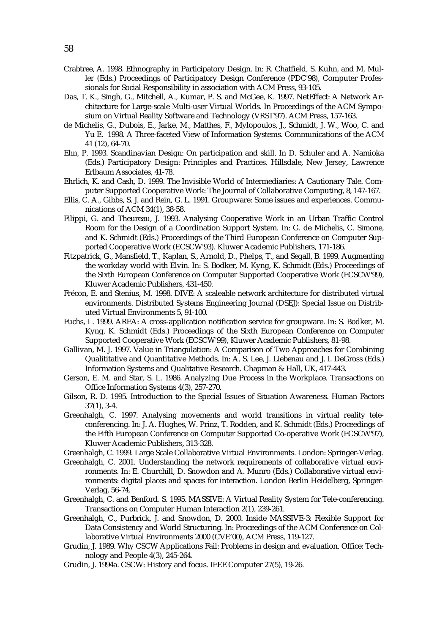- Crabtree, A. 1998. Ethnography in Participatory Design. In: R. Chatfield, S. Kuhn, and M, Muller (Eds.) Proceedings of Participatory Design Conference (PDC'98), Computer Professionals for Social Responsibility in association with ACM Press, 93-105.
- Das, T. K., Singh, G., Mitchell, A., Kumar, P. S. and McGee, K. 1997. NetEffect: A Network Architecture for Large-scale Multi-user Virtual Worlds. In Proceedings of the ACM Symposium on Virtual Reality Software and Technology (VRST'97). ACM Press, 157-163.
- de Michelis, G., Dubois, E., Jarke, M., Matthes, F., Mylopoulos, J., Schmidt, J. W., Woo, C. and Yu E. 1998. A Three-faceted View of Information Systems. Communications of the ACM 41 (12), 64-70.
- Ehn, P. 1993. Scandinavian Design: On participation and skill. In D. Schuler and A. Namioka (Eds.) Participatory Design: Principles and Practices. Hillsdale, New Jersey, Lawrence Erlbaum Associates, 41-78.
- Ehrlich, K. and Cash, D. 1999. The Invisible World of Intermediaries: A Cautionary Tale. Computer Supported Cooperative Work: The Journal of Collaborative Computing, 8, 147-167.
- Ellis, C. A., Gibbs, S. J. and Rein, G. L. 1991. Groupware: Some issues and experiences. Communications of ACM 34(1), 38-58.
- Filippi, G. and Theureau, J. 1993. Analysing Cooperative Work in an Urban Traffic Control Room for the Design of a Coordination Support System. In: G. de Michelis, C. Simone, and K. Schmidt (Eds.) Proceedings of the Third European Conference on Computer Supported Cooperative Work (ECSCW'93). Kluwer Academic Publishers, 171-186.
- Fitzpatrick, G., Mansfield, T., Kaplan, S., Arnold, D., Phelps, T., and Segall, B. 1999. Augmenting the workday world with Elvin. In: S. Bodker, M. Kyng, K. Schmidt (Eds.) Proceedings of the Sixth European Conference on Computer Supported Cooperative Work (ECSCW'99), Kluwer Academic Publishers, 431-450.
- Frécon, E. and Stenius, M. 1998. DIVE: A scaleable network architecture for distributed virtual environments. Distributed Systems Engineering Journal (DSEJ): Special Issue on Distributed Virtual Environments 5, 91-100.
- Fuchs, L. 1999. AREA: A cross-application notification service for groupware. In: S. Bodker, M. Kyng, K. Schmidt (Eds.) Proceedings of the Sixth European Conference on Computer Supported Cooperative Work (ECSCW'99), Kluwer Academic Publishers, 81-98.
- Gallivan, M. J. 1997. Value in Triangulation: A Comparison of Two Approaches for Combining Qualititative and Quantitative Methods. In: A. S. Lee, J. Liebenau and J. I. DeGross (Eds.) Information Systems and Qualitative Research. Chapman & Hall, UK, 417-443.
- Gerson, E. M. and Star, S. L. 1986. Analyzing Due Process in the Workplace. Transactions on Office Information Systems 4(3), 257-270.
- Gilson, R. D. 1995. Introduction to the Special Issues of Situation Awareness. Human Factors 37(1), 3-4.
- Greenhalgh, C. 1997. Analysing movements and world transitions in virtual reality teleconferencing. In: J. A. Hughes, W. Prinz, T. Rodden, and K. Schmidt (Eds.) Proceedings of the Fifth European Conference on Computer Supported Co-operative Work (ECSCW'97), Kluwer Academic Publishers, 313-328.
- Greenhalgh, C. 1999. Large Scale Collaborative Virtual Environments. London: Springer-Verlag.
- Greenhalgh, C. 2001. Understanding the network requirements of collaborative virtual environments. In: E. Churchill, D. Snowdon and A. Munro (Eds.) Collaborative virtual environments: digital places and spaces for interaction. London Berlin Heidelberg, Springer-Verlag, 56-74.
- Greenhalgh, C. and Benford. S. 1995. MASSIVE: A Virtual Reality System for Tele-conferencing. Transactions on Computer Human Interaction 2(1), 239-261.
- Greenhalgh, C., Purbrick, J. and Snowdon, D. 2000. Inside MASSIVE-3: Flexible Support for Data Consistency and World Structuring. In: Proceedings of the ACM Conference on Collaborative Virtual Environments 2000 (CVE'00), ACM Press, 119-127.
- Grudin, J. 1989. Why CSCW Applications Fail: Problems in design and evaluation. Office: Technology and People 4(3), 245-264.
- Grudin, J. 1994a. CSCW: History and focus. IEEE Computer 27(5), 19-26.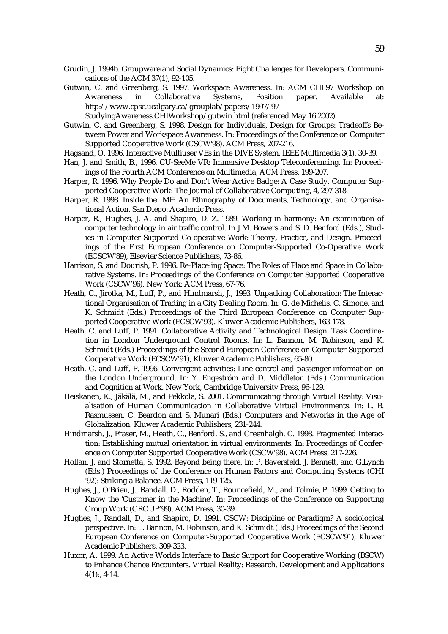- Grudin, J. 1994b. Groupware and Social Dynamics: Eight Challenges for Developers. Communications of the ACM 37(1), 92-105.
- Gutwin, C. and Greenberg, S. 1997. Workspace Awareness. In: ACM CHI'97 Workshop on Awareness in Collaborative Systems, Position paper. Available at: http://www.cpsc.ucalgary.ca/grouplab/papers/1997/97-

StudyingAwareness.CHIWorkshop/gutwin.html (referenced May 16 2002).

- Gutwin, C. and Greenberg, S. 1998. Design for Individuals, Design for Groups: Tradeoffs Between Power and Workspace Awareness. In: Proceedings of the Conference on Computer Supported Cooperative Work (CSCW'98). ACM Press, 207-216.
- Hagsand, O. 1996. Interactive Multiuser VEs in the DIVE System. IEEE Multimedia 3(1), 30-39.
- Han, J. and Smith, B., 1996. CU-SeeMe VR: Immersive Desktop Teleconferencing. In: Proceedings of the Fourth ACM Conference on Multimedia, ACM Press, 199-207.
- Harper, R. 1996. Why People Do and Don't Wear Active Badge: A Case Study. Computer Supported Cooperative Work: The Journal of Collaborative Computing, 4, 297-318.
- Harper, R. 1998. Inside the IMF: An Ethnography of Documents, Technology, and Organisational Action. San Diego: Academic Press.
- Harper, R., Hughes, J. A. and Shapiro, D. Z. 1989. Working in harmony: An examination of computer technology in air traffic control. In J.M. Bowers and S. D. Benford (Eds.), Studies in Computer Supported Co-operative Work: Theory, Practice, and Design. Proceedings of the First European Conference on Computer-Supported Co-Operative Work (ECSCW'89), Elsevier Science Publishers, 73-86.
- Harrison, S. and Dourish, P. 1996. Re-Place-ing Space: The Roles of Place and Space in Collaborative Systems. In: Proceedings of the Conference on Computer Supported Cooperative Work (CSCW'96). New York: ACM Press, 67-76.
- Heath, C., Jirotka, M., Luff, P., and Hindmarsh, J., 1993. Unpacking Collaboration: The Interactional Organisation of Trading in a City Dealing Room. In: G. de Michelis, C. Simone, and K. Schmidt (Eds.) Proceedings of the Third European Conference on Computer Supported Cooperative Work (ECSCW'93). Kluwer Academic Publishers, 163-178.
- Heath, C. and Luff, P. 1991. Collaborative Activity and Technological Design: Task Coordination in London Underground Control Rooms. In: L. Bannon, M. Robinson, and K. Schmidt (Eds.) Proceedings of the Second European Conference on Computer-Supported Cooperative Work (ECSCW'91), Kluwer Academic Publishers, 65-80.
- Heath, C. and Luff, P. 1996. Convergent activities: Line control and passenger information on the London Underground. In: Y. Engeström and D. Middleton (Eds.) Communication and Cognition at Work. New York, Cambridge University Press, 96-129.
- Heiskanen, K., Jäkälä, M., and Pekkola, S. 2001. Communicating through Virtual Reality: Visualisation of Human Communication in Collaborative Virtual Environments. In: L. B. Rasmussen, C. Beardon and S. Munari (Eds.) Computers and Networks in the Age of Globalization. Kluwer Academic Publishers, 231-244.
- Hindmarsh, J., Fraser, M., Heath, C., Benford, S., and Greenhalgh, C. 1998. Fragmented Interaction: Establishing mutual orientation in virtual environments. In: Proceedings of Conference on Computer Supported Cooperative Work (CSCW'98). ACM Press, 217-226.
- Hollan, J. and Stornetta, S. 1992. Beyond being there. In: P. Baversfeld, J. Bennett, and G.Lynch (Eds.) Proceedings of the Conference on Human Factors and Computing Systems (CHI '92): Striking a Balance. ACM Press, 119-125.
- Hughes, J., O'Brien, J., Randall, D., Rodden, T., Rouncefield, M., and Tolmie, P. 1999. Getting to Know the 'Customer in the Machine'. In: Proceedings of the Conference on Supporting Group Work (GROUP'99), ACM Press, 30-39.
- Hughes, J., Randall, D., and Shapiro, D. 1991. CSCW: Discipline or Paradigm? A sociological perspective. In: L. Bannon, M. Robinson, and K. Schmidt (Eds.) Proceedings of the Second European Conference on Computer-Supported Cooperative Work (ECSCW'91), Kluwer Academic Publishers, 309-323.
- Huxor, A. 1999. An Active Worlds Interface to Basic Support for Cooperative Working (BSCW) to Enhance Chance Encounters. Virtual Reality: Research, Development and Applications  $4(1)$ :, 4-14.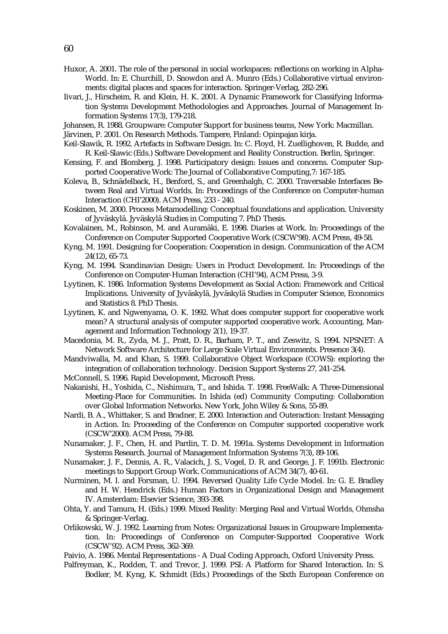- Huxor, A. 2001. The role of the personal in social workspaces: reflections on working in Alpha-World. In: E. Churchill, D. Snowdon and A. Munro (Eds.) Collaborative virtual environments: digital places and spaces for interaction. Springer-Verlag, 282-296.
- Iivari, J., Hirscheim, R. and Klein, H. K. 2001. A Dynamic Framework for Classifying Information Systems Development Methodologies and Approaches. Journal of Management Information Systems 17(3), 179-218.
- Johansen, R. 1988. Groupware: Computer Support for business teams, New York: Macmillan.

Järvinen, P. 2001. On Research Methods. Tampere, Finland: Opinpajan kirja.

- Keil-Slawik, R. 1992. Artefacts in Software Design. In: C. Floyd, H. Zuellighoven, R. Budde, and R. Keil-Slawic (Eds.) Software Development and Reality Construction. Berlin, Springer.
- Kensing, F. and Blomberg, J. 1998. Participatory design: Issues and concerns. Computer Supported Cooperative Work: The Journal of Collaborative Computing,7: 167-185.
- Koleva, B., Schnädelback, H., Benford, S., and Greenhalgh, C. 2000. Traversable Interfaces Between Real and Virtual Worlds. In: Proceedings of the Conference on Computer-human Interaction (CHI'2000). ACM Press, 233 - 240.
- Koskinen, M. 2000. Process Metamodelling: Conceptual foundations and application. University of Jyväskylä. Jyväskylä Studies in Computing 7. PhD Thesis.
- Kovalainen, M., Robinson, M. and Auramäki, E. 1998. Diaries at Work. In: Proceedings of the Conference on Computer Supported Cooperative Work (CSCW'98). ACM Press, 49-58.
- Kyng, M. 1991. Designing for Cooperation: Cooperation in design. Communication of the ACM 24(12), 65-73.
- Kyng, M. 1994. Scandinavian Design: Users in Product Development. In: Proceedings of the Conference on Computer-Human Interaction (CHI'94), ACM Press, 3-9.
- Lyytinen, K. 1986. Information Systems Development as Social Action: Framework and Critical Implications. University of Jyväskylä, Jyväskylä Studies in Computer Science, Economics and Statistics 8. PhD Thesis.
- Lyytinen, K. and Ngwenyama, O. K. 1992. What does computer support for cooperative work mean? A structural analysis of computer supported cooperative work. Accounting, Management and Information Technology 2(1), 19-37.
- Macedonia, M. R., Zyda, M. J., Pratt, D. R., Barham, P. T., and Zeswitz, S. 1994. NPSNET: A Network Software Architecture for Large Scale Virtual Environments. Presence 3(4).
- Mandviwalla, M. and Khan, S. 1999. Collaborative Object Workspace (COWS): exploring the integration of collaboration technology. Decision Support Systems 27, 241-254.
- McConnell, S. 1996. Rapid Development, Microsoft Press.
- Nakanishi, H., Yoshida, C., Nishimura, T., and Ishida. T. 1998. FreeWalk: A Three-Dimensional Meeting-Place for Communities. In Ishida (ed) Community Computing: Collaboration over Global Information Networks. New York, John Wiley & Sons, 55-89.
- Nardi, B. A., Whittaker, S. and Bradner, E. 2000. Interaction and Outeraction: Instant Messaging in Action. In: Proceeding of the Conference on Computer supported cooperative work (CSCW'2000). ACM Press, 79-88.
- Nunamaker, J. F., Chen, H. and Pardin, T. D. M. 1991a. Systems Development in Information Systems Research. Journal of Management Information Systems 7(3), 89-106.
- Nunamaker, J. F., Dennis, A. R., Valacich, J. S., Vogel, D. R. and George, J. F. 1991b. Electronic meetings to Support Group Work. Communications of ACM 34(7), 40-61.
- Nurminen, M. I. and Forsman, U. 1994. Reversed Quality Life Cycle Model. In: G. E. Bradley and H. W. Hendrick (Eds.) Human Factors in Organizational Design and Management IV. Amsterdam: Elsevier Science, 393-398.
- Ohta, Y. and Tamura, H. (Eds.) 1999. Mixed Reality: Merging Real and Virtual Worlds, Ohmsha & Springer-Verlag.
- Orlikowski, W. J. 1992. Learning from Notes: Organizational Issues in Groupware Implementation. In: Proceedings of Conference on Computer-Supported Cooperative Work (CSCW'92). ACM Press, 362-369.
- Paivio, A. 1986. Mental Representations A Dual Coding Approach, Oxford University Press.
- Palfreyman, K., Rodden, T. and Trevor, J. 1999. PSI: A Platform for Shared Interaction. In: S. Bodker, M. Kyng, K. Schmidt (Eds.) Proceedings of the Sixth European Conference on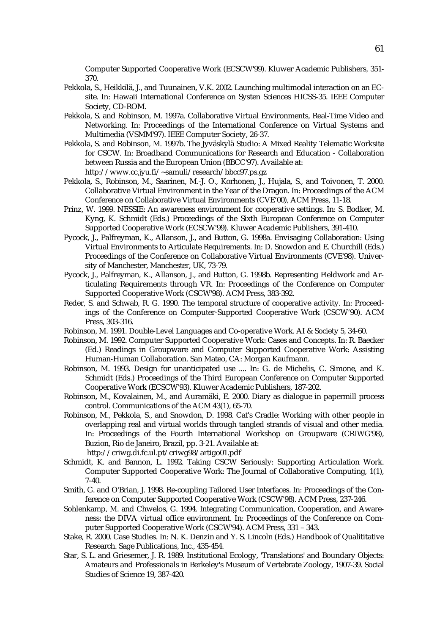Computer Supported Cooperative Work (ECSCW'99). Kluwer Academic Publishers, 351- 370.

- Pekkola, S., Heikkilä, J., and Tuunainen, V.K. 2002. Launching multimodal interaction on an ECsite. In: Hawaii International Conference on Systen Sciences HICSS-35. IEEE Computer Society, CD-ROM.
- Pekkola, S. and Robinson, M. 1997a. Collaborative Virtual Environments, Real-Time Video and Networking. In: Proceedings of the International Conference on Virtual Systems and Multimedia (VSMM'97). IEEE Computer Society, 26-37.
- Pekkola, S. and Robinson, M. 1997b. The Jyväskylä Studio: A Mixed Reality Telematic Worksite for CSCW. In: Broadband Communications for Research and Education - Collaboration between Russia and the European Union (BBCC'97). Available at: http://www.cc.jyu.fi/~samuli/research/bbcc97.ps.gz
- Pekkola, S., Robinson, M., Saarinen, M.-J. O., Korhonen, J., Hujala, S., and Toivonen, T. 2000. Collaborative Virtual Environment in the Year of the Dragon. In: Proceedings of the ACM Conference on Collaborative Virtual Environments (CVE'00), ACM Press, 11-18.
- Prinz, W. 1999. NESSIE: An awareness environment for cooperative settings. In: S. Bodker, M. Kyng, K. Schmidt (Eds.) Proceedings of the Sixth European Conference on Computer Supported Cooperative Work (ECSCW'99). Kluwer Academic Publishers, 391-410.
- Pycock, J., Palfreyman, K., Allanson, J., and Button, G. 1998a. Envisaging Collaboration: Using Virtual Environments to Articulate Requirements. In: D. Snowdon and E. Churchill (Eds.) Proceedings of the Conference on Collaborative Virtual Environments (CVE'98). University of Manchester, Manchester, UK, 73-79.
- Pycock, J., Palfreyman, K., Allanson, J., and Button, G. 1998b. Representing Fieldwork and Articulating Requirements through VR. In: Proceedings of the Conference on Computer Supported Cooperative Work (CSCW'98). ACM Press, 383-392.
- Reder, S. and Schwab, R. G. 1990. The temporal structure of cooperative activity. In: Proceedings of the Conference on Computer-Supported Cooperative Work (CSCW'90). ACM Press, 303-316.
- Robinson, M. 1991. Double-Level Languages and Co-operative Work. AI & Society 5, 34-60.
- Robinson, M. 1992. Computer Supported Cooperative Work: Cases and Concepts. In: R. Baecker (Ed.) Readings in Groupware and Computer Supported Cooperative Work: Assisting Human-Human Collaboration. San Mateo, CA: Morgan Kaufmann.
- Robinson, M. 1993. Design for unanticipated use .... In: G. de Michelis, C. Simone, and K. Schmidt (Eds.) Proceedings of the Third European Conference on Computer Supported Cooperative Work (ECSCW'93). Kluwer Academic Publishers, 187-202.
- Robinson, M., Kovalainen, M., and Auramäki, E. 2000. Diary as dialogue in papermill process control. Communications of the ACM 43(1), 65-70.
- Robinson, M., Pekkola, S., and Snowdon, D. 1998. Cat's Cradle: Working with other people in overlapping real and virtual worlds through tangled strands of visual and other media. In: Proceedings of the Fourth International Workshop on Groupware (CRIWG'98), Buzion, Rio de Janeiro, Brazil, pp. 3-21. Available at: http://criwg.di.fc.ul.pt/criwg98/artigo01.pdf
- Schmidt, K. and Bannon, L. 1992. Taking CSCW Seriously: Supporting Articulation Work. Computer Supported Cooperative Work: The Journal of Collaborative Computing, 1(1), 7-40.
- Smith, G. and O'Brian, J. 1998. Re-coupling Tailored User Interfaces. In: Proceedings of the Conference on Computer Supported Cooperative Work (CSCW'98). ACM Press, 237-246.
- Sohlenkamp, M. and Chwelos, G. 1994. Integrating Communication, Cooperation, and Awareness: the DIVA virtual office environment. In: Proceedings of the Conference on Computer Supported Cooperative Work (CSCW'94). ACM Press, 331 – 343.
- Stake, R. 2000. Case Studies. In: N. K. Denzin and Y. S. Lincoln (Eds.) Handbook of Qualititative Research. Sage Publications, Inc., 435-454.
- Star, S. L. and Griesemer, J. R. 1989. Institutional Ecology, 'Translations' and Boundary Objects: Amateurs and Professionals in Berkeley's Museum of Vertebrate Zoology, 1907-39. Social Studies of Science 19, 387-420.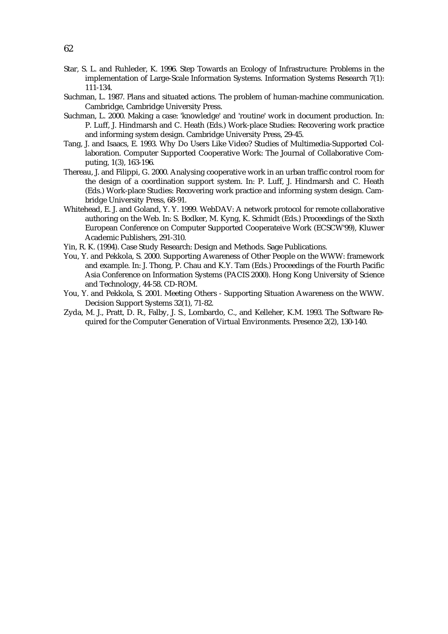- Star, S. L. and Ruhleder, K. 1996. Step Towards an Ecology of Infrastructure: Problems in the implementation of Large-Scale Information Systems. Information Systems Research 7(1): 111-134.
- Suchman, L. 1987. Plans and situated actions. The problem of human-machine communication. Cambridge, Cambridge University Press.
- Suchman, L. 2000. Making a case: 'knowledge' and 'routine' work in document production. In: P. Luff, J. Hindmarsh and C. Heath (Eds.) Work-place Studies: Recovering work practice and informing system design. Cambridge University Press, 29-45.
- Tang, J. and Isaacs, E. 1993. Why Do Users Like Video? Studies of Multimedia-Supported Collaboration. Computer Supported Cooperative Work: The Journal of Collaborative Computing, 1(3), 163-196.
- Thereau, J. and Filippi, G. 2000. Analysing cooperative work in an urban traffic control room for the design of a coordination support system. In: P. Luff, J. Hindmarsh and C. Heath (Eds.) Work-place Studies: Recovering work practice and informing system design. Cambridge University Press, 68-91.
- Whitehead, E. J. and Goland, Y. Y. 1999. WebDAV: A network protocol for remote collaborative authoring on the Web. In: S. Bodker, M. Kyng, K. Schmidt (Eds.) Proceedings of the Sixth European Conference on Computer Supported Cooperateive Work (ECSCW'99), Kluwer Academic Publishers, 291-310.
- Yin, R. K. (1994). Case Study Research: Design and Methods. Sage Publications.
- You, Y. and Pekkola, S. 2000. Supporting Awareness of Other People on the WWW: framework and example. In: J. Thong, P. Chau and K.Y. Tam (Eds.) Proceedings of the Fourth Pacific Asia Conference on Information Systems (PACIS 2000). Hong Kong University of Science and Technology, 44-58. CD-ROM.
- You, Y. and Pekkola, S. 2001. Meeting Others Supporting Situation Awareness on the WWW. Decision Support Systems 32(1), 71-82.
- Zyda, M. J., Pratt, D. R., Falby, J. S., Lombardo, C., and Kelleher, K.M. 1993. The Software Required for the Computer Generation of Virtual Environments. Presence 2(2), 130-140.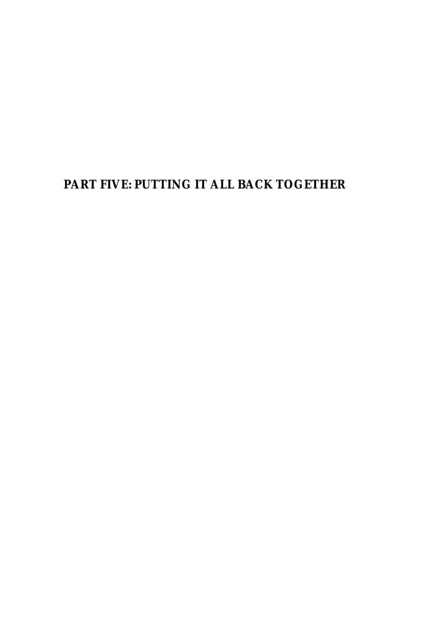# **PART FIVE: PUTTING IT ALL BACK TOGETHER**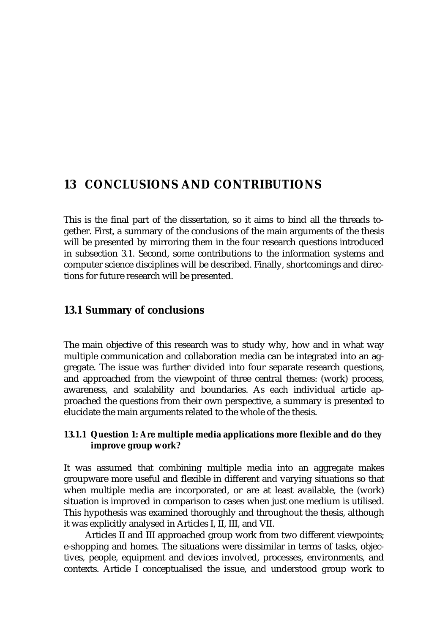# **13 CONCLUSIONS AND CONTRIBUTIONS**

This is the final part of the dissertation, so it aims to bind all the threads together. First, a summary of the conclusions of the main arguments of the thesis will be presented by mirroring them in the four research questions introduced in subsection 3.1. Second, some contributions to the information systems and computer science disciplines will be described. Finally, shortcomings and directions for future research will be presented.

# **13.1 Summary of conclusions**

The main objective of this research was to study why, how and in what way multiple communication and collaboration media can be integrated into an aggregate. The issue was further divided into four separate research questions, and approached from the viewpoint of three central themes: (work) process, awareness, and scalability and boundaries. As each individual article approached the questions from their own perspective, a summary is presented to elucidate the main arguments related to the whole of the thesis.

# **13.1.1 Question 1: Are multiple media applications more flexible and do they improve group work?**

It was assumed that combining multiple media into an aggregate makes groupware more useful and flexible in different and varying situations so that when multiple media are incorporated, or are at least available, the (work) situation is improved in comparison to cases when just one medium is utilised. This hypothesis was examined thoroughly and throughout the thesis, although it was explicitly analysed in Articles I, II, III, and VII.

Articles II and III approached group work from two different viewpoints; e-shopping and homes. The situations were dissimilar in terms of tasks, objectives, people, equipment and devices involved, processes, environments, and contexts. Article I conceptualised the issue, and understood group work to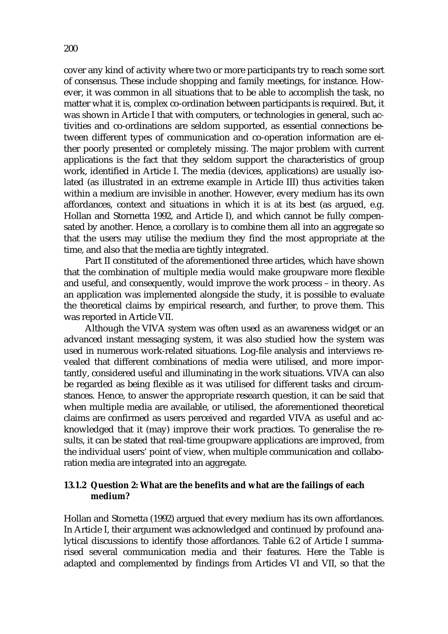cover any kind of activity where two or more participants try to reach some sort of consensus. These include shopping and family meetings, for instance. However, it was common in all situations that to be able to accomplish the task, no matter what it is, complex co-ordination between participants is required. But, it was shown in Article I that with computers, or technologies in general, such activities and co-ordinations are seldom supported, as essential connections between different types of communication and co-operation information are either poorly presented or completely missing. The major problem with current applications is the fact that they seldom support the characteristics of group work, identified in Article I. The media (devices, applications) are usually isolated (as illustrated in an extreme example in Article III) thus activities taken within a medium are invisible in another. However, every medium has its own affordances, context and situations in which it is at its best (as argued, e.g. Hollan and Stornetta 1992, and Article I), and which cannot be fully compensated by another. Hence, a corollary is to combine them all into an aggregate so that the users may utilise the medium they find the most appropriate at the time, and also that the media are tightly integrated.

Part II constituted of the aforementioned three articles, which have shown that the combination of multiple media would make groupware more flexible and useful, and consequently, would improve the work process – in theory. As an application was implemented alongside the study, it is possible to evaluate the theoretical claims by empirical research, and further, to prove them. This was reported in Article VII.

Although the VIVA system was often used as an awareness widget or an advanced instant messaging system, it was also studied how the system was used in numerous work-related situations. Log-file analysis and interviews revealed that different combinations of media were utilised, and more importantly, considered useful and illuminating in the work situations. VIVA can also be regarded as being flexible as it was utilised for different tasks and circumstances. Hence, to answer the appropriate research question, it can be said that when multiple media are available, or utilised, the aforementioned theoretical claims are confirmed as users perceived and regarded VIVA as useful and acknowledged that it (may) improve their work practices. To generalise the results, it can be stated that real-time groupware applications are improved, from the individual users' point of view, when multiple communication and collaboration media are integrated into an aggregate.

#### **13.1.2 Question 2: What are the benefits and what are the failings of each medium?**

Hollan and Stornetta (1992) argued that every medium has its own affordances. In Article I, their argument was acknowledged and continued by profound analytical discussions to identify those affordances. Table 6.2 of Article I summarised several communication media and their features. Here the Table is adapted and complemented by findings from Articles VI and VII, so that the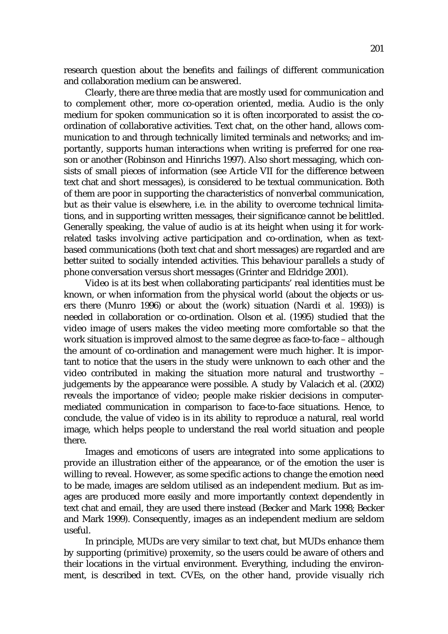research question about the benefits and failings of different communication and collaboration medium can be answered.

Clearly, there are three media that are mostly used for communication and to complement other, more co-operation oriented, media. Audio is the only medium for spoken communication so it is often incorporated to assist the coordination of collaborative activities. Text chat, on the other hand, allows communication to and through technically limited terminals and networks; and importantly, supports human interactions when writing is preferred for one reason or another (Robinson and Hinrichs 1997). Also short messaging, which consists of small pieces of information (see Article VII for the difference between text chat and short messages), is considered to be textual communication. Both of them are poor in supporting the characteristics of nonverbal communication, but as their value is elsewhere, i.e. in the ability to overcome technical limitations, and in supporting written messages, their significance cannot be belittled. Generally speaking, the value of audio is at its height when using it for workrelated tasks involving active participation and co-ordination, when as textbased communications (both text chat and short messages) are regarded and are better suited to socially intended activities. This behaviour parallels a study of phone conversation versus short messages (Grinter and Eldridge 2001).

Video is at its best when collaborating participants' real identities must be known, or when information from the physical world (about the objects or users there (Munro 1996) or about the (work) situation (Nardi *et al.* 1993)) is needed in collaboration or co-ordination. Olson et al. (1995) studied that the video image of users makes the video meeting more comfortable so that the work situation is improved almost to the same degree as face-to-face – although the amount of co-ordination and management were much higher. It is important to notice that the users in the study were unknown to each other and the video contributed in making the situation more natural and trustworthy – judgements by the appearance were possible. A study by Valacich et al. (2002) reveals the importance of video; people make riskier decisions in computermediated communication in comparison to face-to-face situations. Hence, to conclude, the value of video is in its ability to reproduce a natural, real world image, which helps people to understand the real world situation and people there.

Images and emoticons of users are integrated into some applications to provide an illustration either of the appearance, or of the emotion the user is willing to reveal. However, as some specific actions to change the emotion need to be made, images are seldom utilised as an independent medium. But as images are produced more easily and more importantly context dependently in text chat and email, they are used there instead (Becker and Mark 1998; Becker and Mark 1999). Consequently, images as an independent medium are seldom useful.

In principle, MUDs are very similar to text chat, but MUDs enhance them by supporting (primitive) proxemity, so the users could be aware of others and their locations in the virtual environment. Everything, including the environment, is described in text. CVEs, on the other hand, provide visually rich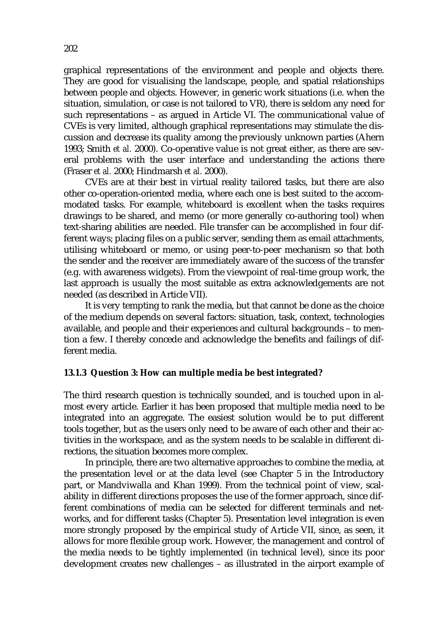graphical representations of the environment and people and objects there. They are good for visualising the landscape, people, and spatial relationships between people and objects. However, in generic work situations (i.e. when the situation, simulation, or case is not tailored to VR), there is seldom any need for such representations – as argued in Article VI. The communicational value of CVEs is very limited, although graphical representations may stimulate the discussion and decrease its quality among the previously unknown parties (Ahern 1993; Smith *et al.* 2000). Co-operative value is not great either, as there are several problems with the user interface and understanding the actions there (Fraser *et al.* 2000; Hindmarsh *et al.* 2000).

CVEs are at their best in virtual reality tailored tasks, but there are also other co-operation-oriented media, where each one is best suited to the accommodated tasks. For example, whiteboard is excellent when the tasks requires drawings to be shared, and memo (or more generally co-authoring tool) when text-sharing abilities are needed. File transfer can be accomplished in four different ways; placing files on a public server, sending them as email attachments, utilising whiteboard or memo, or using peer-to-peer mechanism so that both the sender and the receiver are immediately aware of the success of the transfer (e.g. with awareness widgets). From the viewpoint of real-time group work, the last approach is usually the most suitable as extra acknowledgements are not needed (as described in Article VII).

It is very tempting to rank the media, but that cannot be done as the choice of the medium depends on several factors: situation, task, context, technologies available, and people and their experiences and cultural backgrounds – to mention a few. I thereby concede and acknowledge the benefits and failings of different media.

#### **13.1.3 Question 3: How can multiple media be best integrated?**

The third research question is technically sounded, and is touched upon in almost every article. Earlier it has been proposed that multiple media need to be integrated into an aggregate. The easiest solution would be to put different tools together, but as the users only need to be aware of each other and their activities in the workspace, and as the system needs to be scalable in different directions, the situation becomes more complex.

In principle, there are two alternative approaches to combine the media, at the presentation level or at the data level (see Chapter 5 in the Introductory part, or Mandviwalla and Khan 1999). From the technical point of view, scalability in different directions proposes the use of the former approach, since different combinations of media can be selected for different terminals and networks, and for different tasks (Chapter 5). Presentation level integration is even more strongly proposed by the empirical study of Article VII, since, as seen, it allows for more flexible group work. However, the management and control of the media needs to be tightly implemented (in technical level), since its poor development creates new challenges – as illustrated in the airport example of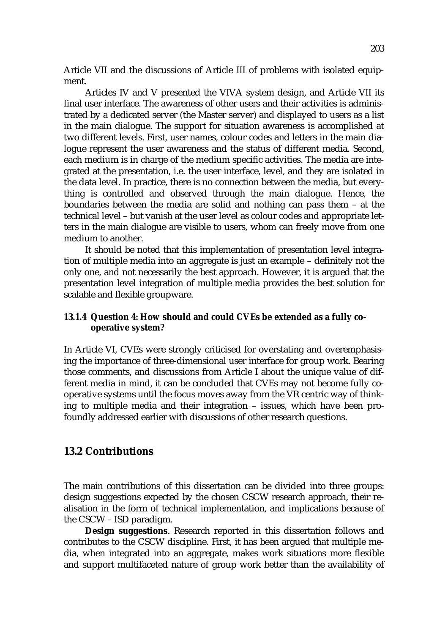Article VII and the discussions of Article III of problems with isolated equipment.

Articles IV and V presented the VIVA system design, and Article VII its final user interface. The awareness of other users and their activities is administrated by a dedicated server (the Master server) and displayed to users as a list in the main dialogue. The support for situation awareness is accomplished at two different levels. First, user names, colour codes and letters in the main dialogue represent the user awareness and the status of different media. Second, each medium is in charge of the medium specific activities. The media are integrated at the presentation, i.e. the user interface, level, and they are isolated in the data level. In practice, there is no connection between the media, but everything is controlled and observed through the main dialogue. Hence, the boundaries between the media are solid and nothing can pass them – at the technical level – but vanish at the user level as colour codes and appropriate letters in the main dialogue are visible to users, whom can freely move from one medium to another.

It should be noted that this implementation of presentation level integration of multiple media into an aggregate is just an example – definitely not the only one, and not necessarily the best approach. However, it is argued that the presentation level integration of multiple media provides the best solution for scalable and flexible groupware.

# **13.1.4 Question 4: How should and could CVEs be extended as a fully cooperative system?**

In Article VI, CVEs were strongly criticised for overstating and overemphasising the importance of three-dimensional user interface for group work. Bearing those comments, and discussions from Article I about the unique value of different media in mind, it can be concluded that CVEs may not become fully cooperative systems until the focus moves away from the VR centric way of thinking to multiple media and their integration – issues, which have been profoundly addressed earlier with discussions of other research questions.

# **13.2 Contributions**

The main contributions of this dissertation can be divided into three groups: design suggestions expected by the chosen CSCW research approach, their realisation in the form of technical implementation, and implications because of the CSCW – ISD paradigm.

**Design suggestions**. Research reported in this dissertation follows and contributes to the CSCW discipline. First, it has been argued that multiple media, when integrated into an aggregate, makes work situations more flexible and support multifaceted nature of group work better than the availability of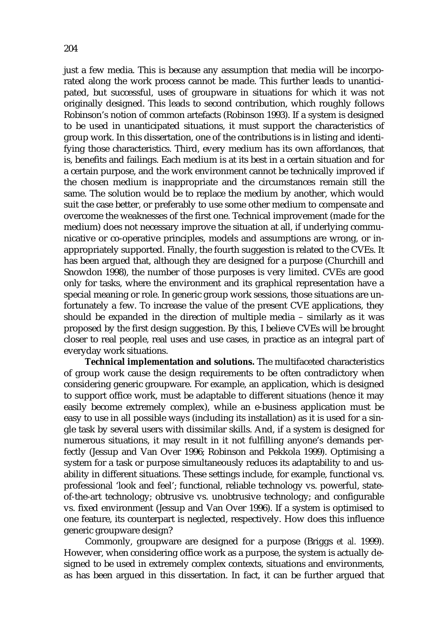just a few media. This is because any assumption that media will be incorporated along the work process cannot be made. This further leads to unanticipated, but successful, uses of groupware in situations for which it was not originally designed. This leads to second contribution, which roughly follows Robinson's notion of common artefacts (Robinson 1993). If a system is designed to be used in unanticipated situations, it must support the characteristics of group work. In this dissertation, one of the contributions is in listing and identifying those characteristics. Third, every medium has its own affordances, that is, benefits and failings. Each medium is at its best in a certain situation and for a certain purpose, and the work environment cannot be technically improved if the chosen medium is inappropriate and the circumstances remain still the same. The solution would be to replace the medium by another, which would suit the case better, or preferably to use some other medium to compensate and overcome the weaknesses of the first one. Technical improvement (made for the medium) does not necessary improve the situation at all, if underlying communicative or co-operative principles, models and assumptions are wrong, or inappropriately supported. Finally, the fourth suggestion is related to the CVEs. It has been argued that, although they are designed for a purpose (Churchill and Snowdon 1998), the number of those purposes is very limited. CVEs are good only for tasks, where the environment and its graphical representation have a special meaning or role. In generic group work sessions, those situations are unfortunately a few. To increase the value of the present CVE applications, they should be expanded in the direction of multiple media – similarly as it was proposed by the first design suggestion. By this, I believe CVEs will be brought closer to real people, real uses and use cases, in practice as an integral part of everyday work situations.

**Technical implementation and solutions.** The multifaceted characteristics of group work cause the design requirements to be often contradictory when considering generic groupware. For example, an application, which is designed to support office work, must be adaptable to different situations (hence it may easily become extremely complex), while an e-business application must be easy to use in all possible ways (including its installation) as it is used for a single task by several users with dissimilar skills. And, if a system is designed for numerous situations, it may result in it not fulfilling anyone's demands perfectly (Jessup and Van Over 1996; Robinson and Pekkola 1999). Optimising a system for a task or purpose simultaneously reduces its adaptability to and usability in different situations. These settings include, for example, functional vs. professional 'look and feel'; functional, reliable technology vs. powerful, stateof-the-art technology; obtrusive vs. unobtrusive technology; and configurable vs. fixed environment (Jessup and Van Over 1996). If a system is optimised to one feature, its counterpart is neglected, respectively. How does this influence generic groupware design?

Commonly, groupware are designed for a purpose (Briggs *et al.* 1999). However, when considering office work as a purpose, the system is actually designed to be used in extremely complex contexts, situations and environments, as has been argued in this dissertation. In fact, it can be further argued that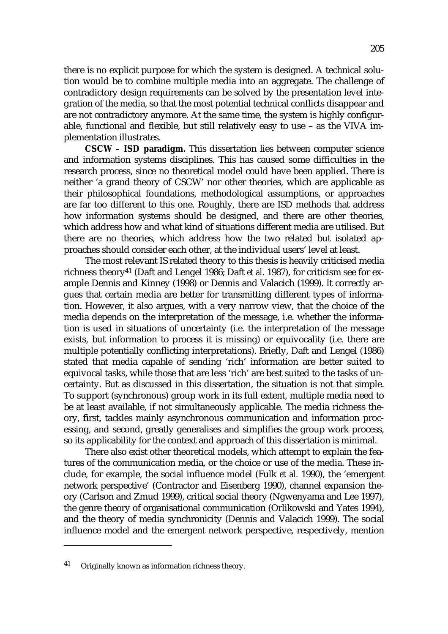there is no explicit purpose for which the system is designed. A technical solution would be to combine multiple media into an aggregate. The challenge of contradictory design requirements can be solved by the presentation level integration of the media, so that the most potential technical conflicts disappear and are not contradictory anymore. At the same time, the system is highly configurable, functional and flexible, but still relatively easy to use – as the VIVA implementation illustrates.

**CSCW – ISD paradigm.** This dissertation lies between computer science and information systems disciplines. This has caused some difficulties in the research process, since no theoretical model could have been applied. There is neither 'a grand theory of CSCW' nor other theories, which are applicable as their philosophical foundations, methodological assumptions, or approaches are far too different to this one. Roughly, there are ISD methods that address how information systems should be designed, and there are other theories, which address how and what kind of situations different media are utilised. But there are no theories, which address how the two related but isolated approaches should consider each other, at the individual users' level at least.

The most relevant IS related theory to this thesis is heavily criticised media richness theory41 (Daft and Lengel 1986; Daft *et al.* 1987), for criticism see for example Dennis and Kinney (1998) or Dennis and Valacich (1999). It correctly argues that certain media are better for transmitting different types of information. However, it also argues, with a very narrow view, that the choice of the media depends on the interpretation of the message, i.e. whether the information is used in situations of uncertainty (i.e. the interpretation of the message exists, but information to process it is missing) or equivocality (i.e. there are multiple potentially conflicting interpretations). Briefly, Daft and Lengel (1986) stated that media capable of sending 'rich' information are better suited to equivocal tasks, while those that are less 'rich' are best suited to the tasks of uncertainty. But as discussed in this dissertation, the situation is not that simple. To support (synchronous) group work in its full extent, multiple media need to be at least available, if not simultaneously applicable. The media richness theory, first, tackles mainly asynchronous communication and information processing, and second, greatly generalises and simplifies the group work process, so its applicability for the context and approach of this dissertation is minimal.

There also exist other theoretical models, which attempt to explain the features of the communication media, or the choice or use of the media. These include, for example, the social influence model (Fulk *et al.* 1990), the 'emergent network perspective' (Contractor and Eisenberg 1990), channel expansion theory (Carlson and Zmud 1999), critical social theory (Ngwenyama and Lee 1997), the genre theory of organisational communication (Orlikowski and Yates 1994), and the theory of media synchronicity (Dennis and Valacich 1999). The social influence model and the emergent network perspective, respectively, mention

<sup>41</sup> Originally known as information richness theory.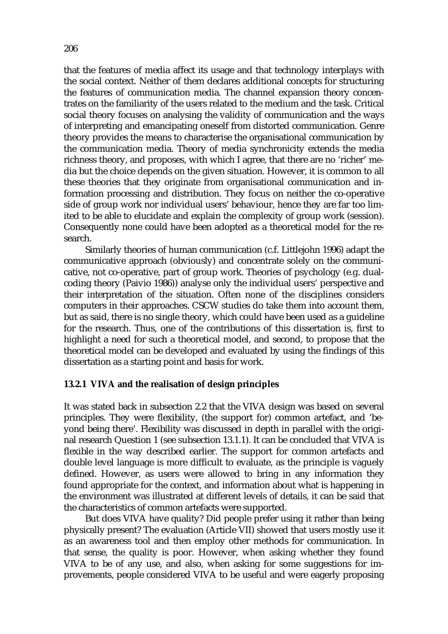that the features of media affect its usage and that technology interplays with the social context. Neither of them declares additional concepts for structuring the features of communication media. The channel expansion theory concentrates on the familiarity of the users related to the medium and the task. Critical social theory focuses on analysing the validity of communication and the ways of interpreting and emancipating oneself from distorted communication. Genre theory provides the means to characterise the organisational communication by the communication media. Theory of media synchronicity extends the media richness theory, and proposes, with which I agree, that there are no 'richer' media but the choice depends on the given situation. However, it is common to all these theories that they originate from organisational communication and information processing and distribution. They focus on neither the co-operative side of group work nor individual users' behaviour, hence they are far too limited to be able to elucidate and explain the complexity of group work (session). Consequently none could have been adopted as a theoretical model for the research.

Similarly theories of human communication (c.f. Littlejohn 1996) adapt the communicative approach (obviously) and concentrate solely on the communicative, not co-operative, part of group work. Theories of psychology (e.g. dualcoding theory (Paivio 1986)) analyse only the individual users' perspective and their interpretation of the situation. Often none of the disciplines considers computers in their approaches. CSCW studies do take them into account them, but as said, there is no single theory, which could have been used as a guideline for the research. Thus, one of the contributions of this dissertation is, first to highlight a need for such a theoretical model, and second, to propose that the theoretical model can be developed and evaluated by using the findings of this dissertation as a starting point and basis for work.

#### **13.2.1 VIVA and the realisation of design principles**

It was stated back in subsection 2.2 that the VIVA design was based on several principles. They were flexibility, (the support for) common artefact, and 'beyond being there'. Flexibility was discussed in depth in parallel with the original research Question 1 (see subsection 13.1.1). It can be concluded that VIVA is flexible in the way described earlier. The support for common artefacts and double level language is more difficult to evaluate, as the principle is vaguely defined. However, as users were allowed to bring in any information they found appropriate for the context, and information about what is happening in the environment was illustrated at different levels of details, it can be said that the characteristics of common artefacts were supported.

But does VIVA have quality? Did people prefer using it rather than being physically present? The evaluation (Article VII) showed that users mostly use it as an awareness tool and then employ other methods for communication. In that sense, the quality is poor. However, when asking whether they found VIVA to be of any use, and also, when asking for some suggestions for improvements, people considered VIVA to be useful and were eagerly proposing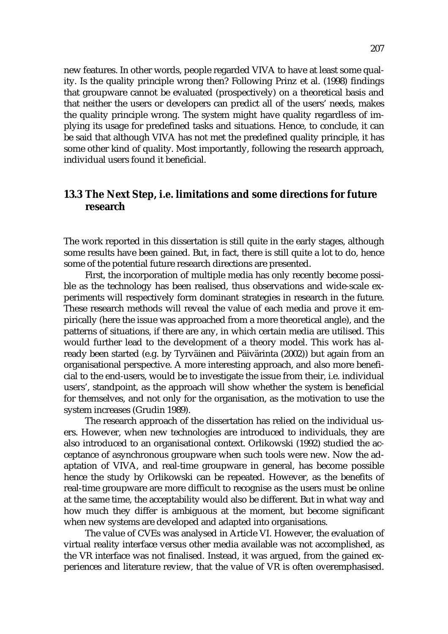new features. In other words, people regarded VIVA to have at least some quality. Is the quality principle wrong then? Following Prinz et al. (1998) findings that groupware cannot be evaluated (prospectively) on a theoretical basis and that neither the users or developers can predict all of the users' needs, makes the quality principle wrong. The system might have quality regardless of implying its usage for predefined tasks and situations. Hence, to conclude, it can be said that although VIVA has not met the predefined quality principle, it has some other kind of quality. Most importantly, following the research approach, individual users found it beneficial.

# **13.3 The Next Step, i.e. limitations and some directions for future research**

The work reported in this dissertation is still quite in the early stages, although some results have been gained. But, in fact, there is still quite a lot to do, hence some of the potential future research directions are presented.

First, the incorporation of multiple media has only recently become possible as the technology has been realised, thus observations and wide-scale experiments will respectively form dominant strategies in research in the future. These research methods will reveal the value of each media and prove it empirically (here the issue was approached from a more theoretical angle), and the patterns of situations, if there are any, in which certain media are utilised. This would further lead to the development of a theory model. This work has already been started (e.g. by Tyrväinen and Päivärinta (2002)) but again from an organisational perspective. A more interesting approach, and also more beneficial to the end-users, would be to investigate the issue from their, i.e. individual users', standpoint, as the approach will show whether the system is beneficial for themselves, and not only for the organisation, as the motivation to use the system increases (Grudin 1989).

The research approach of the dissertation has relied on the individual users. However, when new technologies are introduced to individuals, they are also introduced to an organisational context. Orlikowski (1992) studied the acceptance of asynchronous groupware when such tools were new. Now the adaptation of VIVA, and real-time groupware in general, has become possible hence the study by Orlikowski can be repeated. However, as the benefits of real-time groupware are more difficult to recognise as the users must be online at the same time, the acceptability would also be different. But in what way and how much they differ is ambiguous at the moment, but become significant when new systems are developed and adapted into organisations.

The value of CVEs was analysed in Article VI. However, the evaluation of virtual reality interface versus other media available was not accomplished, as the VR interface was not finalised. Instead, it was argued, from the gained experiences and literature review, that the value of VR is often overemphasised.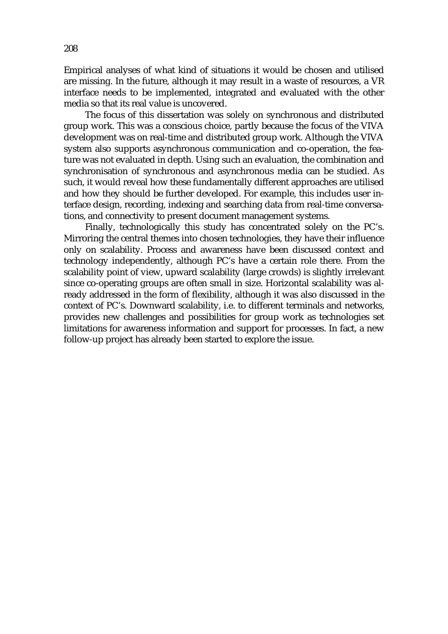Empirical analyses of what kind of situations it would be chosen and utilised are missing. In the future, although it may result in a waste of resources, a VR interface needs to be implemented, integrated and evaluated with the other media so that its real value is uncovered.

The focus of this dissertation was solely on synchronous and distributed group work. This was a conscious choice, partly because the focus of the VIVA development was on real-time and distributed group work. Although the VIVA system also supports asynchronous communication and co-operation, the feature was not evaluated in depth. Using such an evaluation, the combination and synchronisation of synchronous and asynchronous media can be studied. As such, it would reveal how these fundamentally different approaches are utilised and how they should be further developed. For example, this includes user interface design, recording, indexing and searching data from real-time conversations, and connectivity to present document management systems.

Finally, technologically this study has concentrated solely on the PC's. Mirroring the central themes into chosen technologies, they have their influence only on scalability. Process and awareness have been discussed context and technology independently, although PC's have a certain role there. From the scalability point of view, upward scalability (large crowds) is slightly irrelevant since co-operating groups are often small in size. Horizontal scalability was already addressed in the form of flexibility, although it was also discussed in the context of PC's. Downward scalability, i.e. to different terminals and networks, provides new challenges and possibilities for group work as technologies set limitations for awareness information and support for processes. In fact, a new follow-up project has already been started to explore the issue.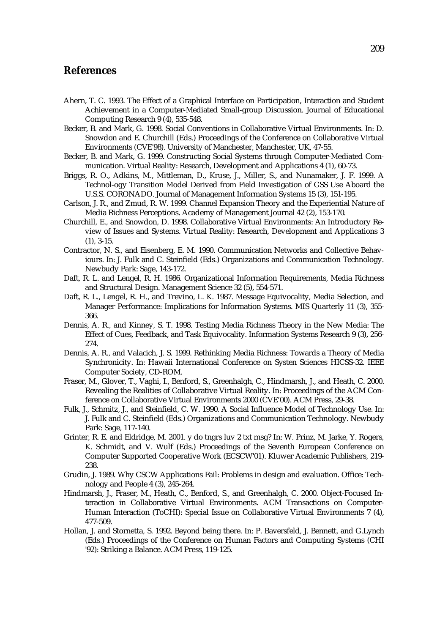## **References**

- Ahern, T. C. 1993. The Effect of a Graphical Interface on Participation, Interaction and Student Achievement in a Computer-Mediated Small-group Discussion. Journal of Educational Computing Research 9 (4), 535-548.
- Becker, B. and Mark, G. 1998. Social Conventions in Collaborative Virtual Environments. In: D. Snowdon and E. Churchill (Eds.) Proceedings of the Conference on Collaborative Virtual Environments (CVE'98). University of Manchester, Manchester, UK, 47-55.
- Becker, B. and Mark, G. 1999. Constructing Social Systems through Computer-Mediated Communication. Virtual Reality: Research, Development and Applications 4 (1), 60-73.
- Briggs, R. O., Adkins, M., Mittleman, D., Kruse, J., Miller, S., and Nunamaker, J. F. 1999. A Technol-ogy Transition Model Derived from Field Investigation of GSS Use Aboard the U.S.S. CORONADO. Journal of Management Information Systems 15 (3), 151-195.
- Carlson, J. R., and Zmud, R. W. 1999. Channel Expansion Theory and the Experiential Nature of Media Richness Perceptions. Academy of Management Journal 42 (2), 153-170.
- Churchill, E., and Snowdon, D. 1998. Collaborative Virtual Environments: An Introductory Review of Issues and Systems. Virtual Reality: Research, Development and Applications 3 (1), 3-15.
- Contractor, N. S., and Eisenberg, E. M. 1990. Communication Networks and Collective Behaviours. In: J. Fulk and C. Steinfield (Eds.) Organizations and Communication Technology. Newbudy Park: Sage, 143-172.
- Daft, R. L. and Lengel, R. H. 1986. Organizational Information Requirements, Media Richness and Structural Design. Management Science 32 (5), 554-571.
- Daft, R. L., Lengel, R. H., and Trevino, L. K. 1987. Message Equivocality, Media Selection, and Manager Performance: Implications for Information Systems. MIS Quarterly 11 (3), 355- 366.
- Dennis, A. R., and Kinney, S. T. 1998. Testing Media Richness Theory in the New Media: The Effect of Cues, Feedback, and Task Equivocality. Information Systems Research 9 (3), 256- 274.
- Dennis, A. R., and Valacich, J. S. 1999. Rethinking Media Richness: Towards a Theory of Media Synchronicity. In: Hawaii International Conference on Systen Sciences HICSS-32. IEEE Computer Society, CD-ROM.
- Fraser, M., Glover, T., Vaghi, I., Benford, S., Greenhalgh, C., Hindmarsh, J., and Heath, C. 2000. Revealing the Realities of Collaborative Virtual Reality. In: Proceedings of the ACM Conference on Collaborative Virtual Environments 2000 (CVE'00). ACM Press, 29-38.
- Fulk, J., Schmitz, J., and Steinfield, C. W. 1990. A Social Influence Model of Technology Use. In: J. Fulk and C. Steinfield (Eds.) Organizations and Communication Technology. Newbudy Park: Sage, 117-140.
- Grinter, R. E. and Eldridge, M. 2001. y do tngrs luv 2 txt msg? In: W. Prinz, M. Jarke, Y. Rogers, K. Schmidt, and V. Wulf (Eds.) Proceedings of the Seventh European Conference on Computer Supported Cooperative Work (ECSCW'01). Kluwer Academic Publishers, 219- 238.
- Grudin, J. 1989. Why CSCW Applications Fail: Problems in design and evaluation. Office: Technology and People 4 (3), 245-264.
- Hindmarsh, J., Fraser, M., Heath, C., Benford, S., and Greenhalgh, C. 2000. Object-Focused Interaction in Collaborative Virtual Environments. ACM Transactions on Computer-Human Interaction (ToCHI): Special Issue on Collaborative Virtual Environments 7 (4), 477-509.
- Hollan, J. and Stornetta, S. 1992. Beyond being there. In: P. Baversfeld, J. Bennett, and G.Lynch (Eds.) Proceedings of the Conference on Human Factors and Computing Systems (CHI '92): Striking a Balance. ACM Press, 119-125.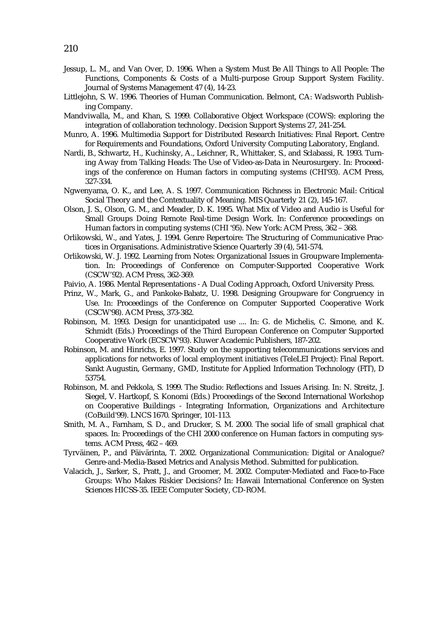- Jessup, L. M., and Van Over, D. 1996. When a System Must Be All Things to All People: The Functions, Components & Costs of a Multi-purpose Group Support System Facility. Journal of Systems Management 47 (4), 14-23.
- Littlejohn, S. W. 1996. Theories of Human Communication. Belmont, CA: Wadsworth Publishing Company.
- Mandviwalla, M., and Khan, S. 1999. Collaborative Object Workspace (COWS): exploring the integration of collaboration technology. Decision Support Systems 27, 241-254.
- Munro, A. 1996. Multimedia Support for Distributed Research Initiatives: Final Report. Centre for Requirements and Foundations, Oxford University Computing Laboratory, England.
- Nardi, B., Schwartz, H., Kuchinsky, A., Leichner, R., Whittaker, S., and Sclabassi, R. 1993. Turning Away from Talking Heads: The Use of Video-as-Data in Neurosurgery. In: Proceedings of the conference on Human factors in computing systems (CHI'93). ACM Press, 327-334.
- Ngwenyama, O. K., and Lee, A. S. 1997. Communication Richness in Electronic Mail: Critical Social Theory and the Contextuality of Meaning. MIS Quarterly 21 (2), 145-167.
- Olson, J. S., Olson, G. M., and Meader, D. K. 1995. What Mix of Video and Audio is Useful for Small Groups Doing Remote Real-time Design Work. In: Conference proceedings on Human factors in computing systems (CHI '95). New York: ACM Press, 362 – 368.
- Orlikowski, W., and Yates, J. 1994. Genre Repertoire: The Structuring of Communicative Practices in Organisations. Administrative Science Quarterly 39 (4), 541-574.
- Orlikowski, W. J. 1992. Learning from Notes: Organizational Issues in Groupware Implementation. In: Proceedings of Conference on Computer-Supported Cooperative Work (CSCW'92). ACM Press, 362-369.
- Paivio, A. 1986. Mental Representations A Dual Coding Approach, Oxford University Press.
- Prinz, W., Mark, G., and Pankoke-Babatz, U. 1998. Designing Groupware for Congruency in Use. In: Proceedings of the Conference on Computer Supported Cooperative Work (CSCW'98). ACM Press, 373-382.
- Robinson, M. 1993. Design for unanticipated use .... In: G. de Michelis, C. Simone, and K. Schmidt (Eds.) Proceedings of the Third European Conference on Computer Supported Cooperative Work (ECSCW'93). Kluwer Academic Publishers, 187-202.
- Robinson, M. and Hinrichs, E. 1997. Study on the supporting telecommunications services and applications for networks of local employment initiatives (TeleLEI Project): Final Report. Sankt Augustin, Germany, GMD, Institute for Applied Information Technology (FIT), D 53754.
- Robinson, M. and Pekkola, S. 1999. The Studio: Reflections and Issues Arising. In: N. Streitz, J. Siegel, V. Hartkopf, S. Konomi (Eds.) Proceedings of the Second International Workshop on Cooperative Buildings - Integrating Information, Organizations and Architecture (CoBuild'99). LNCS 1670. Springer, 101-113.
- Smith, M. A., Farnham, S. D., and Drucker, S. M. 2000. The social life of small graphical chat spaces. In: Proceedings of the CHI 2000 conference on Human factors in computing systems. ACM Press, 462 – 469.
- Tyrväinen, P., and Päivärinta, T. 2002. Organizational Communication: Digital or Analogue? Genre-and-Media-Based Metrics and Analysis Method. Submitted for publication.
- Valacich, J., Sarker, S., Pratt, J., and Groomer, M. 2002. Computer-Mediated and Face-to-Face Groups: Who Makes Riskier Decisions? In: Hawaii International Conference on Systen Sciences HICSS-35. IEEE Computer Society, CD-ROM.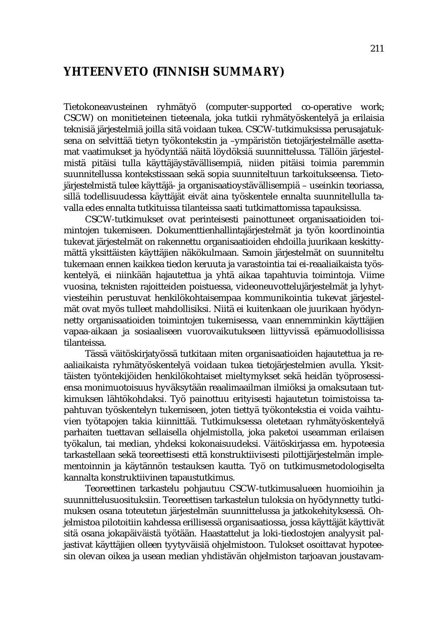## **YHTEENVETO (FINNISH SUMMARY)**

Tietokoneavusteinen ryhmätyö (computer-supported co-operative work; CSCW) on monitieteinen tieteenala, joka tutkii ryhmätyöskentelyä ja erilaisia teknisiä järjestelmiä joilla sitä voidaan tukea. CSCW-tutkimuksissa perusajatuksena on selvittää tietyn työkontekstin ja –ympäristön tietojärjestelmälle asettamat vaatimukset ja hyödyntää näitä löydöksiä suunnittelussa. Tällöin järjestelmistä pitäisi tulla käyttäjäystävällisempiä, niiden pitäisi toimia paremmin suunnitellussa kontekstissaan sekä sopia suunniteltuun tarkoitukseensa. Tietojärjestelmistä tulee käyttäjä- ja organisaatioystävällisempiä – useinkin teoriassa, sillä todellisuudessa käyttäjät eivät aina työskentele ennalta suunnitellulla tavalla edes ennalta tutkituissa tilanteissa saati tutkimattomissa tapauksissa.

CSCW-tutkimukset ovat perinteisesti painottuneet organisaatioiden toimintojen tukemiseen. Dokumenttienhallintajärjestelmät ja työn koordinointia tukevat järjestelmät on rakennettu organisaatioiden ehdoilla juurikaan keskittymättä yksittäisten käyttäjien näkökulmaan. Samoin järjestelmät on suunniteltu tukemaan ennen kaikkea tiedon keruuta ja varastointia tai ei-reaaliaikaista työskentelyä, ei niinkään hajautettua ja yhtä aikaa tapahtuvia toimintoja. Viime vuosina, teknisten rajoitteiden poistuessa, videoneuvottelujärjestelmät ja lyhytviesteihin perustuvat henkilökohtaisempaa kommunikointia tukevat järjestelmät ovat myös tulleet mahdollisiksi. Niitä ei kuitenkaan ole juurikaan hyödynnetty organisaatioiden toimintojen tukemisessa, vaan ennemminkin käyttäjien vapaa-aikaan ja sosiaaliseen vuorovaikutukseen liittyvissä epämuodollisissa tilanteissa.

Tässä väitöskirjatyössä tutkitaan miten organisaatioiden hajautettua ja reaaliaikaista ryhmätyöskentelyä voidaan tukea tietojärjestelmien avulla. Yksittäisten työntekijöiden henkilökohtaiset mieltymykset sekä heidän työprosessiensa monimuotoisuus hyväksytään reaalimaailman ilmiöksi ja omaksutaan tutkimuksen lähtökohdaksi. Työ painottuu erityisesti hajautetun toimistoissa tapahtuvan työskentelyn tukemiseen, joten tiettyä työkontekstia ei voida vaihtuvien työtapojen takia kiinnittää. Tutkimuksessa oletetaan ryhmätyöskentelyä parhaiten tuettavan sellaisella ohjelmistolla, joka paketoi useamman erilaisen työkalun, tai median, yhdeksi kokonaisuudeksi. Väitöskirjassa em. hypoteesia tarkastellaan sekä teoreettisesti että konstruktiivisesti pilottijärjestelmän implementoinnin ja käytännön testauksen kautta. Työ on tutkimusmetodologiselta kannalta konstruktiivinen tapaustutkimus.

Teoreettinen tarkastelu pohjautuu CSCW-tutkimusalueen huomioihin ja suunnittelusuosituksiin. Teoreettisen tarkastelun tuloksia on hyödynnetty tutkimuksen osana toteutetun järjestelmän suunnittelussa ja jatkokehityksessä. Ohjelmistoa pilotoitiin kahdessa erillisessä organisaatiossa, jossa käyttäjät käyttivät sitä osana jokapäiväistä työtään. Haastattelut ja loki-tiedostojen analyysit paljastivat käyttäjien olleen tyytyväisiä ohjelmistoon. Tulokset osoittavat hypoteesin olevan oikea ja usean median yhdistävän ohjelmiston tarjoavan joustavam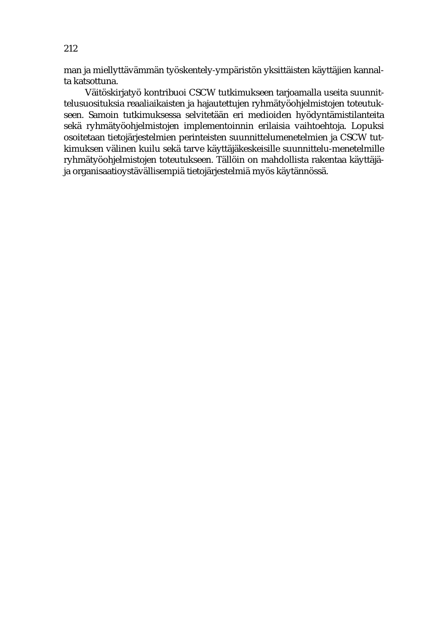man ja miellyttävämmän työskentely-ympäristön yksittäisten käyttäjien kannalta katsottuna.

Väitöskirjatyö kontribuoi CSCW tutkimukseen tarjoamalla useita suunnittelusuosituksia reaaliaikaisten ja hajautettujen ryhmätyöohjelmistojen toteutukseen. Samoin tutkimuksessa selvitetään eri medioiden hyödyntämistilanteita sekä ryhmätyöohjelmistojen implementoinnin erilaisia vaihtoehtoja. Lopuksi osoitetaan tietojärjestelmien perinteisten suunnittelumenetelmien ja CSCW tutkimuksen välinen kuilu sekä tarve käyttäjäkeskeisille suunnittelu-menetelmille ryhmätyöohjelmistojen toteutukseen. Tällöin on mahdollista rakentaa käyttäjäja organisaatioystävällisempiä tietojärjestelmiä myös käytännössä.